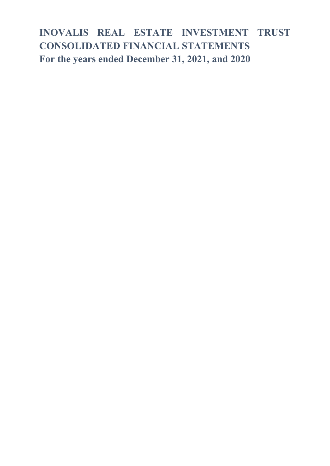# **INOVALIS REAL ESTATE INVESTMENT TRUST CONSOLIDATED FINANCIAL STATEMENTS For the years ended December 31, 2021, and 2020**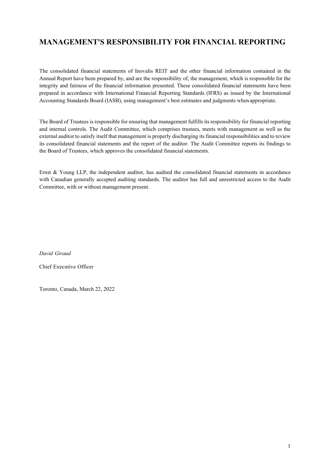## **MANAGEMENT'S RESPONSIBILITY FOR FINANCIAL REPORTING**

The consolidated financial statements of Inovalis REIT and the other financial information contained in the Annual Report have been prepared by, and are the responsibility of, the management, which is responsible for the integrity and fairness of the financial information presented. These consolidated financial statements have been prepared in accordance with International Financial Reporting Standards (IFRS) as issued by the International Accounting Standards Board (IASB), using management's best estimates and judgments when appropriate.

The Board of Trustees is responsible for ensuring that management fulfills its responsibility for financial reporting and internal controls. The Audit Committee, which comprises trustees, meets with management as well as the external auditor to satisfy itself that management is properly discharging its financial responsibilities and to review its consolidated financial statements and the report of the auditor. The Audit Committee reports its findings to the Board of Trustees, which approves the consolidated financial statements.

Ernst & Young LLP, the independent auditor, has audited the consolidated financial statements in accordance with Canadian generally accepted auditing standards. The auditor has full and unrestricted access to the Audit Committee, with or without management present.

*David Giraud*

Chief Executive Officer

Toronto, Canada, March 22, 2022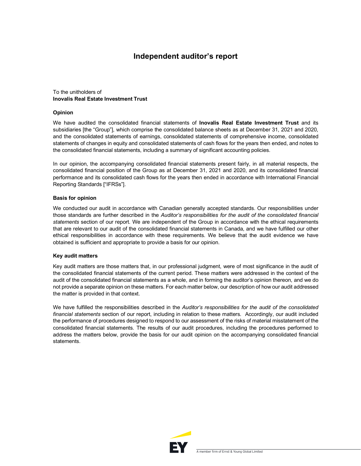## **Independent auditor's report**

#### To the unitholders of **Inovalis Real Estate Investment Trust**

#### **Opinion**

We have audited the consolidated financial statements of **Inovalis Real Estate Investment Trust** and its subsidiaries [the "Group"], which comprise the consolidated balance sheets as at December 31, 2021 and 2020, and the consolidated statements of earnings, consolidated statements of comprehensive income, consolidated statements of changes in equity and consolidated statements of cash flows for the years then ended, and notes to the consolidated financial statements, including a summary of significant accounting policies.

In our opinion, the accompanying consolidated financial statements present fairly, in all material respects, the consolidated financial position of the Group as at December 31, 2021 and 2020, and its consolidated financial performance and its consolidated cash flows for the years then ended in accordance with International Financial Reporting Standards ["IFRSs"].

#### **Basis for opinion**

We conducted our audit in accordance with Canadian generally accepted standards. Our responsibilities under those standards are further described in the *Auditor's responsibilities for the audit of the consolidated financial statements* section of our report. We are independent of the Group in accordance with the ethical requirements that are relevant to our audit of the consolidated financial statements in Canada, and we have fulfilled our other ethical responsibilities in accordance with these requirements. We believe that the audit evidence we have obtained is sufficient and appropriate to provide a basis for our opinion.

#### **Key audit matters**

Key audit matters are those matters that, in our professional judgment, were of most significance in the audit of the consolidated financial statements of the current period. These matters were addressed in the context of the audit of the consolidated financial statements as a whole, and in forming the auditor's opinion thereon, and we do not provide a separate opinion on these matters. For each matter below, our description of how our audit addressed the matter is provided in that context.

We have fulfilled the responsibilities described in the *Auditor's responsibilities for the audit of the consolidated financial statements* section of our report, including in relation to these matters. Accordingly, our audit included the performance of procedures designed to respond to our assessment of the risks of material misstatement of the consolidated financial statements. The results of our audit procedures, including the procedures performed to address the matters below, provide the basis for our audit opinion on the accompanying consolidated financial statements.

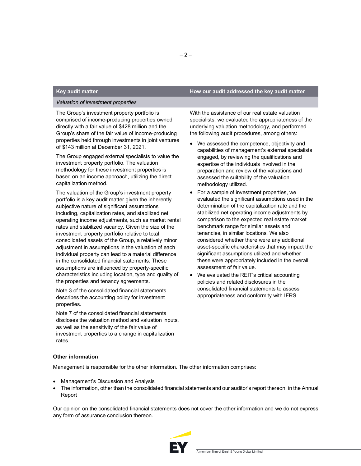#### *Valuation of investment properties*

The Group's investment property portfolio is comprised of income-producing properties owned directly with a fair value of \$428 million and the Group's share of the fair value of income-producing properties held through investments in joint ventures of \$143 million at December 31, 2021.

The Group engaged external specialists to value the investment property portfolio. The valuation methodology for these investment properties is based on an income approach, utilizing the direct capitalization method.

The valuation of the Group's investment property portfolio is a key audit matter given the inherently subjective nature of significant assumptions including, capitalization rates, and stabilized net operating income adjustments, such as market rental rates and stabilized vacancy. Given the size of the investment property portfolio relative to total consolidated assets of the Group, a relatively minor adjustment in assumptions in the valuation of each individual property can lead to a material difference in the consolidated financial statements. These assumptions are influenced by property-specific characteristics including location, type and quality of the properties and tenancy agreements.

Note 3 of the consolidated financial statements describes the accounting policy for investment properties.

Note 7 of the consolidated financial statements discloses the valuation method and valuation inputs, as well as the sensitivity of the fair value of investment properties to a change in capitalization rates.

#### **Key audit matter How our audit addressed the key audit matter**

With the assistance of our real estate valuation specialists, we evaluated the appropriateness of the underlying valuation methodology, and performed the following audit procedures, among others:

- We assessed the competence, objectivity and capabilities of management's external specialists engaged, by reviewing the qualifications and expertise of the individuals involved in the preparation and review of the valuations and assessed the suitability of the valuation methodology utilized.
- For a sample of investment properties, we evaluated the significant assumptions used in the determination of the capitalization rate and the stabilized net operating income adjustments by comparison to the expected real estate market benchmark range for similar assets and tenancies, in similar locations. We also considered whether there were any additional asset-specific characteristics that may impact the significant assumptions utilized and whether these were appropriately included in the overall assessment of fair value.
- We evaluated the REIT's critical accounting policies and related disclosures in the consolidated financial statements to assess appropriateness and conformity with IFRS.

#### **Other information**

Management is responsible for the other information. The other information comprises:

- Management's Discussion and Analysis
- The information, other than the consolidated financial statements and our auditor's report thereon, in the Annual Report

Our opinion on the consolidated financial statements does not cover the other information and we do not express any form of assurance conclusion thereon.

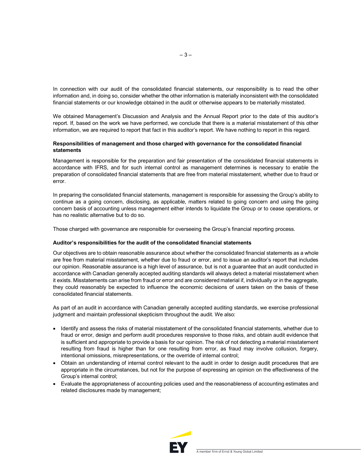In connection with our audit of the consolidated financial statements, our responsibility is to read the other information and, in doing so, consider whether the other information is materially inconsistent with the consolidated financial statements or our knowledge obtained in the audit or otherwise appears to be materially misstated.

We obtained Management's Discussion and Analysis and the Annual Report prior to the date of this auditor's report. If, based on the work we have performed, we conclude that there is a material misstatement of this other information, we are required to report that fact in this auditor's report. We have nothing to report in this regard.

#### **Responsibilities of management and those charged with governance for the consolidated financial statements**

Management is responsible for the preparation and fair presentation of the consolidated financial statements in accordance with IFRS, and for such internal control as management determines is necessary to enable the preparation of consolidated financial statements that are free from material misstatement, whether due to fraud or error.

In preparing the consolidated financial statements, management is responsible for assessing the Group's ability to continue as a going concern, disclosing, as applicable, matters related to going concern and using the going concern basis of accounting unless management either intends to liquidate the Group or to cease operations, or has no realistic alternative but to do so.

Those charged with governance are responsible for overseeing the Group's financial reporting process.

#### **Auditor's responsibilities for the audit of the consolidated financial statements**

Our objectives are to obtain reasonable assurance about whether the consolidated financial statements as a whole are free from material misstatement, whether due to fraud or error, and to issue an auditor's report that includes our opinion. Reasonable assurance is a high level of assurance, but is not a guarantee that an audit conducted in accordance with Canadian generally accepted auditing standards will always detect a material misstatement when it exists. Misstatements can arise from fraud or error and are considered material if, individually or in the aggregate, they could reasonably be expected to influence the economic decisions of users taken on the basis of these consolidated financial statements.

As part of an audit in accordance with Canadian generally accepted auditing standards, we exercise professional judgment and maintain professional skepticism throughout the audit. We also:

- Identify and assess the risks of material misstatement of the consolidated financial statements, whether due to fraud or error, design and perform audit procedures responsive to those risks, and obtain audit evidence that is sufficient and appropriate to provide a basis for our opinion. The risk of not detecting a material misstatement resulting from fraud is higher than for one resulting from error, as fraud may involve collusion, forgery, intentional omissions, misrepresentations, or the override of internal control;
- Obtain an understanding of internal control relevant to the audit in order to design audit procedures that are appropriate in the circumstances, but not for the purpose of expressing an opinion on the effectiveness of the Group's internal control;
- Evaluate the appropriateness of accounting policies used and the reasonableness of accounting estimates and related disclosures made by management;

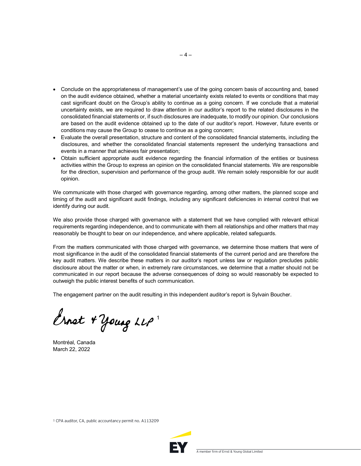• Conclude on the appropriateness of management's use of the going concern basis of accounting and, based on the audit evidence obtained, whether a material uncertainty exists related to events or conditions that may cast significant doubt on the Group's ability to continue as a going concern. If we conclude that a material uncertainty exists, we are required to draw attention in our auditor's report to the related disclosures in the consolidated financial statements or, if such disclosures are inadequate, to modify our opinion. Our conclusions are based on the audit evidence obtained up to the date of our auditor's report. However, future events or conditions may cause the Group to cease to continue as a going concern;

 $-4-$ 

- Evaluate the overall presentation, structure and content of the consolidated financial statements, including the disclosures, and whether the consolidated financial statements represent the underlying transactions and events in a manner that achieves fair presentation;
- Obtain sufficient appropriate audit evidence regarding the financial information of the entities or business activities within the Group to express an opinion on the consolidated financial statements. We are responsible for the direction, supervision and performance of the group audit. We remain solely responsible for our audit opinion.

We communicate with those charged with governance regarding, among other matters, the planned scope and timing of the audit and significant audit findings, including any significant deficiencies in internal control that we identify during our audit.

We also provide those charged with governance with a statement that we have complied with relevant ethical requirements regarding independence, and to communicate with them all relationships and other matters that may reasonably be thought to bear on our independence, and where applicable, related safeguards.

From the matters communicated with those charged with governance, we determine those matters that were of most significance in the audit of the consolidated financial statements of the current period and are therefore the key audit matters. We describe these matters in our auditor's report unless law or regulation precludes public disclosure about the matter or when, in extremely rare circumstances, we determine that a matter should not be communicated in our report because the adverse consequences of doing so would reasonably be expected to outweigh the public interest benefits of such communication.

The engagement partner on the audit resulting in this independent auditor's report is Sylvain Boucher.

Ernet + Young LLP

Montréal, Canada March 22, 2022

<sup>1</sup> CPA auditor, CA, public accountancy permit no. A113209

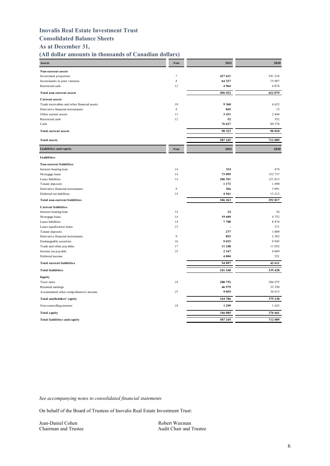## **Inovalis Real Estate Investment Trust Consolidated Balance Sheets**

## **As at December 31,**

## **(All dollar amounts in thousands of Canadian dollars)**

| <b>Assets</b>                                | Note                       | 2021    | 2020    |
|----------------------------------------------|----------------------------|---------|---------|
| Non-current assets                           |                            |         |         |
| Investment properties                        | $\boldsymbol{7}$           | 427 631 | 541 218 |
| Investments in joint ventures                | $\boldsymbol{\mathcal{S}}$ | 64 327  | 75 987  |
| Restricted cash                              | 12                         | 4 9 6 4 | 4874    |
| <b>Total non-current assets</b>              |                            | 496 922 | 622 079 |
| <b>Current assets</b>                        |                            |         |         |
| Trade receivables and other financial assets | $10\,$                     | 9368    | 6623    |
| Derivative financial instruments             | 9                          | 845     | 15      |
| Other current assets                         | 11                         | 3 4 3 1 | 2 4 4 4 |
| Restricted cash                              | 12                         | 52      | 552     |
| Cash                                         |                            | 76 627  | 80 376  |
| <b>Total current assets</b>                  |                            | 90 323  | 90 010  |
| <b>Total assets</b>                          |                            | 587 245 | 712 089 |
|                                              |                            |         |         |
| Liabilities and equity                       | <b>Note</b>                | 2021    | 2020    |
| Liabilities                                  |                            |         |         |
| Non-current liabilities                      |                            |         |         |
| Interest-bearing loan                        | 14                         | 334     | 474     |
| Mortgage loans                               | 14                         | 73 099  | 152 737 |
| Lease liabilities                            | 14                         | 106 351 | 121813  |
| Tenant deposits                              |                            | 1 1 7 2 | 1490    |
| Derivative financial instruments             | $\mathfrak{g}$             | 366     | 3 0 9 1 |
| Deferred tax liabilities                     | 23                         | 4941    | 13 212  |
| <b>Total non-current liabilities</b>         |                            | 186 263 | 292 817 |
| <b>Current liabilities</b>                   |                            |         |         |
| Interest-bearing loan                        | 14                         | 24      | 36      |
| Mortgage loans                               | 14                         | 19 609  | 4 7 5 2 |
| Lease liabilities                            | 14                         | 7700    | 8 4 7 4 |
| Lease equalization loans                     | 15                         |         | 371     |
| Tenant deposits                              |                            | 277     | 1 0 0 9 |
| Derivative financial instruments             | 9                          | 853     | 2 3 8 2 |
| Exchangeable securities                      | 16                         | 9015    | 9 9 4 5 |
| Trade and other payables                     | 17                         | 11 248  | 11 052  |
| Income tax payable<br>Deferred income        | 23                         | 2 1 6 7 | 4 0 6 9 |
|                                              |                            | 4 0 0 4 | 521     |
| <b>Total current liabilities</b>             |                            | 54 897  | 42 611  |
| <b>Total liabilities</b>                     |                            | 241 160 | 335 428 |
| Equity                                       |                            |         |         |
| Trust units                                  | 18                         | 288 752 | 286 975 |
| Retained earnings                            |                            | 46 979  | 53 350  |
| Accumulated other comprehensive income       | 25                         | 9055    | 34 913  |
| Total unitholders' equity                    |                            | 344 786 | 375 238 |
| Non-controlling interest                     | 19                         | 1 2 9 9 | 1423    |
| <b>Total equity</b>                          |                            | 346 085 | 376 661 |
| <b>Total liabilities and equity</b>          |                            | 587 245 | 712 089 |

*See accompanying notes to consolidated financial statements*

On behalf of the Board of Trustees of Inovalis Real Estate Investment Trust:

Jean-Daniel Cohen Robert Waxman<br>
Chairman and Trustee Robert Maxman<br>
Audit Chair and T

Audit Chair and Trustee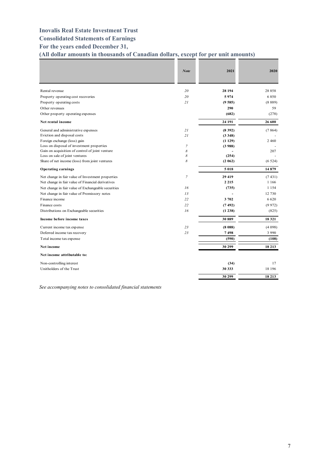## **Inovalis Real Estate Investment Trust**

## **Consolidated Statements of Earnings**

## **For the years ended December 31,**

**(All dollar amounts in thousands of Canadian dollars, except for per unit amounts)**

|                                                     | <b>Note</b>      | 2021    | 2020    |
|-----------------------------------------------------|------------------|---------|---------|
| Rental revenue                                      | 20               | 28 194  | 28 858  |
| Property operating cost recoveries                  | 20               | 5974    | 6.850   |
| Property operating costs                            | 21               | (9585)  | (8889)  |
| Other revenues                                      |                  | 290     | 59      |
| Other property operating expenses                   |                  | (682)   | (278)   |
| Net rental income                                   |                  | 24 191  | 26 600  |
| General and administrative expenses                 | 21               | (8392)  | (7864)  |
| Eviction and disposal costs                         | 21               | (3348)  |         |
| Foreign exchange (loss) gain                        |                  | (1129)  | 2 4 6 0 |
| Loss on disposal of investment properties           | $\boldsymbol{7}$ | (3988)  |         |
| Gain on acquisition of control of joint venture     | 8                |         | 207     |
| Loss on sale of joint ventures                      | 8<br>8           | (254)   |         |
| Share of net income (loss) from joint ventures      |                  | (2 062) | (6524)  |
| <b>Operating earnings</b>                           |                  | 5018    | 14 879  |
| Net change in fair value of Investment properties   | $\overline{7}$   | 29 419  | (7431)  |
| Net change in fair value of Financial derivatives   |                  | 2 2 1 5 | 1 1 6 6 |
| Net change in fair value of Exchangeable securities | 16               | (735)   | 1 1 5 4 |
| Net change in fair value of Promissory notes        | 13               |         | 12 730  |
| Finance income                                      | 22               | 3702    | 6 6 20  |
| Finance costs                                       | 22               | (7492)  | (9972)  |
| Distributions on Exchangeable securities            | 16               | (1238)  | (825)   |
| Income before income taxes                          |                  | 30889   | 18 3 21 |
| Current income tax expense                          | 23               | (8088)  | (4098)  |
| Deferred income tax recovery                        | 23               | 7498    | 3 9 9 0 |
| Total income tax expense                            |                  | (590)   | (108)   |
| Net income                                          |                  | 30 299  | 18 213  |
| Net income attributable to:                         |                  |         |         |
| Non-controlling interest                            |                  | (34)    | 17      |
| Unitholders of the Trust                            |                  | 30 333  | 18 19 6 |
|                                                     |                  | 30 299  | 18 213  |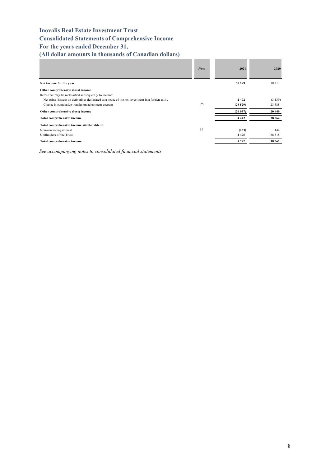## **Inovalis Real Estate Investment Trust Consolidated Statements of Comprehensive Income For the years ended December 31,**

## **(All dollar amounts in thousands of Canadian dollars)**

|                                                                                                   | <b>Note</b> | 2021    | 2020    |
|---------------------------------------------------------------------------------------------------|-------------|---------|---------|
| Net income for the year                                                                           |             | 30 299  | 18 213  |
| Other comprehensive (loss) income                                                                 |             |         |         |
| Items that may be reclassified subsequently to income:                                            |             |         |         |
| Net gains (losses) on derivatives designated as a hedge of the net investment in a foreign entity |             | 2472    | (3139)  |
| Change in cumulative translation adjustment account                                               | 25          | (28529) | 23 5 88 |
| Other comprehensive (loss) income                                                                 |             | (26057) | 20 449  |
| Total comprehensive income                                                                        |             | 4 2 4 2 | 38 662  |
| Total comprehensive income attributable to:                                                       |             |         |         |
| Non-controlling interest                                                                          | 19          | (233)   | 144     |
| Unitholders of the Trust                                                                          |             | 4475    | 38 518  |
| Total comprehensive income                                                                        |             | 4 2 4 2 | 38 662  |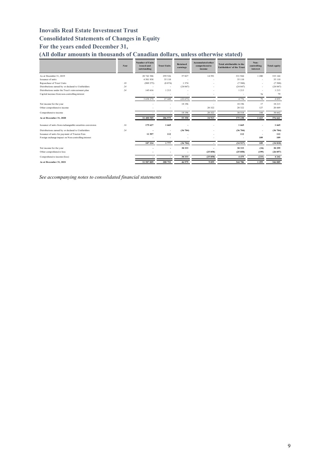## **Inovalis Real Estate Investment Trust Consolidated Statements of Changes in Equity For the years ended December 31,**

## **(All dollar amounts in thousands of Canadian dollars, unless otherwise stated)**

|                                                           | Note | <b>Number of Units</b><br>issued and<br>outstanding | <b>Trust Units</b> | Retained<br>earnings | <b>Accumulated other</b><br>comprehensive<br>income | Total attributable to the<br><b>Unitholders' of the Trust</b> | Non-<br>controlling<br>interest | <b>Total equity</b> |
|-----------------------------------------------------------|------|-----------------------------------------------------|--------------------|----------------------|-----------------------------------------------------|---------------------------------------------------------------|---------------------------------|---------------------|
| As at December 31, 2019                                   |      | 28 742 306                                          | 259 526            | 57827                | 14 5 91                                             | 331 944                                                       | 1 200                           | 333 144             |
| Issuance of units                                         |      | 4 501 938                                           | 35 110             |                      |                                                     | 35 110                                                        |                                 | 35 110              |
| Repurchase of Trust Units                                 | 18   | (989 275)                                           | (8874)             | 1 3 7 4              |                                                     | (7500)                                                        | ٠                               | (7500)              |
| Distributions carned by or declared to Unitholders        | 24   |                                                     | $\sim$             | (24047)              |                                                     | (24047)                                                       | ٠                               | (24047)             |
| Distributions under the Trust's reinvestment plan         | 24   | 145 616                                             | 1213               |                      |                                                     | 1 2 1 3                                                       |                                 | 1213                |
| Capital increase from non-controlling interest            |      |                                                     |                    |                      |                                                     |                                                               | 79                              | 79                  |
|                                                           |      | 3 658 279                                           | 27 449             | (22673)              |                                                     | 4 7 7 6                                                       | 79                              | 4855                |
| Net income for the year                                   |      |                                                     | ÷                  | 18 19 6              |                                                     | 18 19 6                                                       | 17                              | 18213               |
| Other comprehensive income                                |      |                                                     |                    |                      | 20 322                                              | 20 322                                                        | 127                             | 20 449              |
| Comprehensive income                                      |      |                                                     |                    | 18 19 6              | 20 322                                              | 38 518                                                        | 144                             | 38 662              |
| As at December 31, 2020                                   |      | 32 400 585                                          | 286 975            | 53 350               | 34 913                                              | 375 238                                                       | 1423                            | 376 661             |
| Issuance of units from exchangeable securities conversion | 16   | 175 627                                             | 1665               |                      |                                                     | 1 6 6 5                                                       |                                 | 1665                |
| Distributions carned by or declared to Unitholders        | 24   |                                                     | ٠                  | (36704)              |                                                     | (36704)                                                       | $\overline{\phantom{a}}$        | (36704)             |
| Issuance of units for payment of Trustee Fees             |      | 11597                                               | 112                |                      |                                                     | 112                                                           |                                 | 112                 |
| Foreign exchange impact on Non-controlling interest       |      |                                                     |                    |                      |                                                     |                                                               | 109                             | 109                 |
|                                                           |      | 187 224                                             | 1777               | (36704)              |                                                     | (34927)                                                       | 109                             | (34818)             |
| Net income for the year                                   |      |                                                     | ٠                  | 30 333               |                                                     | 30 333                                                        | (34)                            | 30 299              |
| Other comprehensive loss                                  |      |                                                     |                    |                      | (25858)                                             | (25858)                                                       | (199)                           | (26057)             |
| Comprehensive income (loss)                               |      |                                                     | ٠                  | 30 333               | (25858)                                             | 4 4 7 5                                                       | (233)                           | 4 2 4 2             |
| As at December 31, 2021                                   |      | 32 587 809                                          | 288 752            | 46 979               | 9 0 5 5                                             | 344 786                                                       | 1 2 9 9                         | 346 085             |
|                                                           |      |                                                     |                    |                      |                                                     |                                                               |                                 |                     |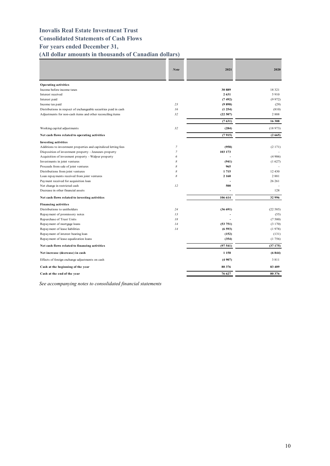## **Inovalis Real Estate Investment Trust**

**Consolidated Statements of Cash Flows**

## **For years ended December 31,**

**(All dollar amounts in thousands of Canadian dollars)**

|                                                                  | <b>Note</b>      | 2021     | 2020    |
|------------------------------------------------------------------|------------------|----------|---------|
|                                                                  |                  |          |         |
| <b>Operating activities</b>                                      |                  |          |         |
| Income before income taxes                                       |                  | 30 889   | 18321   |
| Interest received                                                |                  | 2631     | 5910    |
| Interest paid                                                    |                  | (7492)   | (9972)  |
| Income tax paid                                                  | 23               | (9898)   | (29)    |
| Distributions in respect of exchangeable securities paid in cash | 16               | (1254)   | (810)   |
| Adjustments for non-cash items and other reconciling items       | 32               | (22.507) | 2888    |
|                                                                  |                  | (7631)   | 16 308  |
| Working capital adjustments                                      | 32               | (284)    | (18973) |
| Net cash flows related to operating activities                   |                  | (7915)   | (2665)  |
| <b>Investing activities</b>                                      |                  |          |         |
| Additions to investment properties and capitalized letting fees  | $\boldsymbol{7}$ | (958)    | (2171)  |
| Disposition of investment property - Jeuneurs property           | $\overline{7}$   | 103 173  |         |
| Acquisition of invesment property - Walpur property              | 6                |          | (4906)  |
| Investments in joint ventures                                    | 8                | (941)    | (1627)  |
| Proceeds from sale of joint ventures                             | 8                | 965      |         |
| Distributions from joint ventures                                | 8                | 1715     | 12 4 30 |
| Loan repayments received from joint ventures                     | 8                | 2 1 6 0  | 2881    |
| Payment received for acquisition loan                            |                  |          | 26 26 1 |
| Net change in restricted cash                                    | 12               | 500      |         |
| Decrease in other financial assets                               |                  |          | 128     |
| Net cash flows related to investing activities                   |                  | 106 614  | 32 996  |
| <b>Financing activities</b>                                      |                  |          |         |
| Distributions to unitholders                                     | 24               | (36691)  | (22585) |
| Repayment of promissory notes                                    | 13               |          | (55)    |
| Repurchase of Trust Units                                        | 18               |          | (7500)  |
| Repayment of mortgage loans                                      | 14               | (53751)  | (3170)  |
| Repayment of lease liabilities                                   | 14               | (6593)   | (1978)  |
| Repayment of interest bearing loan                               |                  | (152)    | (131)   |
| Repayment of lease equalization loans                            |                  | (354)    | (1756)  |
| Net cash flows related to financing activities                   |                  | (97541)  | (37175) |
| Net increase (decrease) in cash                                  |                  | 1 1 5 8  | (6844)  |
| Effects of foreign exchange adjustments on cash                  |                  | (4907)   | 3811    |
| Cash at the beginning of the year                                |                  | 80 376   | 83 409  |
| Cash at the end of the year                                      |                  | 76 627   | 80 376  |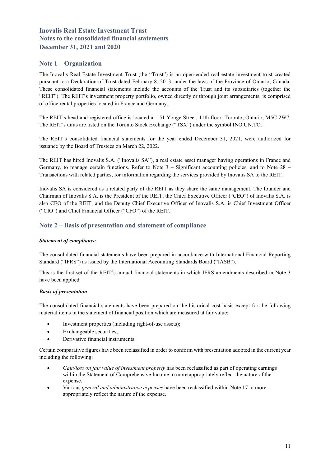## **Inovalis Real Estate Investment Trust Notes to the consolidated financial statements December 31, 2021 and 2020**

## **Note 1 – Organization**

The Inovalis Real Estate Investment Trust (the "Trust") is an open-ended real estate investment trust created pursuant to a Declaration of Trust dated February 8, 2013, under the laws of the Province of Ontario, Canada. These consolidated financial statements include the accounts of the Trust and its subsidiaries (together the "REIT"). The REIT's investment property portfolio, owned directly or through joint arrangements, is comprised of office rental properties located in France and Germany.

The REIT's head and registered office is located at 151 Yonge Street, 11th floor, Toronto, Ontario, M5C 2W7. The REIT's units are listed on the Toronto Stock Exchange ("TSX") under the symbol INO.UN.TO.

The REIT's consolidated financial statements for the year ended December 31, 2021, were authorized for issuance by the Board of Trustees on March 22, 2022.

The REIT has hired Inovalis S.A. ("Inovalis SA"), a real estate asset manager having operations in France and Germany, to manage certain functions. Refer to Note  $3 -$  Significant accounting policies, and to Note 28 – Transactions with related parties, for information regarding the services provided by Inovalis SA to the REIT.

Inovalis SA is considered as a related party of the REIT as they share the same management. The founder and Chairman of Inovalis S.A. is the President of the REIT, the Chief Executive Officer ("CEO") of Inovalis S.A. is also CEO of the REIT, and the Deputy Chief Executive Officer of Inovalis S.A. is Chief Investment Officer ("CIO") and Chief Financial Officer ("CFO") of the REIT.

## **Note 2 – Basis of presentation and statement of compliance**

## *Statement of compliance*

The consolidated financial statements have been prepared in accordance with International Financial Reporting Standard ("IFRS") as issued by the International Accounting Standards Board ("IASB").

This is the first set of the REIT's annual financial statements in which IFRS amendments described in Note 3 have been applied.

## *Basis of presentation*

The consolidated financial statements have been prepared on the historical cost basis except for the following material items in the statement of financial position which are measured at fair value:

- Investment properties (including right-of-use assets);
- Exchangeable securities:
- Derivative financial instruments.

Certain comparative figures have been reclassified in order to conform with presentation adopted in the current year including the following:

- *Gain/loss on fair value of investment property* has been reclassified as part of operating earnings within the Statement of Comprehensive Income to more appropriately reflect the nature of the expense.
- Various *general and administrative expenses* have been reclassified within Note 17 to more appropriately reflect the nature of the expense.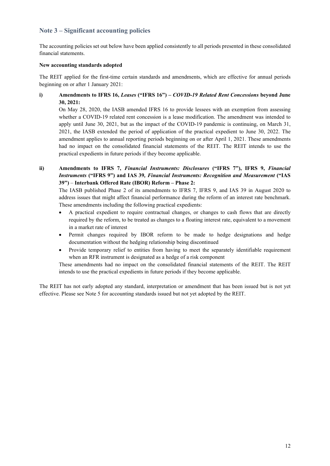## **Note 3 – Significant accounting policies**

The accounting policies set out below have been applied consistently to all periods presented in these consolidated financial statements.

### **New accounting standards adopted**

The REIT applied for the first-time certain standards and amendments, which are effective for annual periods beginning on or after 1 January 2021:

## **i) Amendments to IFRS 16,** *Leases* **("IFRS 16")** *– COVID-19 Related Rent Concessions* **beyond June 30, 2021:**

On May 28, 2020, the IASB amended IFRS 16 to provide lessees with an exemption from assessing whether a COVID-19 related rent concession is a lease modification. The amendment was intended to apply until June 30, 2021, but as the impact of the COVID-19 pandemic is continuing, on March 31, 2021, the IASB extended the period of application of the practical expedient to June 30, 2022. The amendment applies to annual reporting periods beginning on or after April 1, 2021. These amendments had no impact on the consolidated financial statements of the REIT. The REIT intends to use the practical expedients in future periods if they become applicable.

**ii) Amendments to IFRS 7,** *Financial Instruments: Disclosures* **("IFRS 7"), IFRS 9,** *Financial Instruments* **("IFRS 9") and IAS 39***, Financial Instruments: Recognition and Measurement* **("IAS 39")** *–* **Interbank Offered Rate (IBOR) Reform – Phase 2:**

The IASB published Phase 2 of its amendments to IFRS 7, IFRS 9, and IAS 39 in August 2020 to address issues that might affect financial performance during the reform of an interest rate benchmark. These amendments including the following practical expedients:

- A practical expedient to require contractual changes, or changes to cash flows that are directly required by the reform, to be treated as changes to a floating interest rate, equivalent to a movement in a market rate of interest
- Permit changes required by IBOR reform to be made to hedge designations and hedge documentation without the hedging relationship being discontinued
- Provide temporary relief to entities from having to meet the separately identifiable requirement when an RFR instrument is designated as a hedge of a risk component

These amendments had no impact on the consolidated financial statements of the REIT. The REIT intends to use the practical expedients in future periods if they become applicable.

The REIT has not early adopted any standard, interpretation or amendment that has been issued but is not yet effective. Please see Note 5 for accounting standards issued but not yet adopted by the REIT.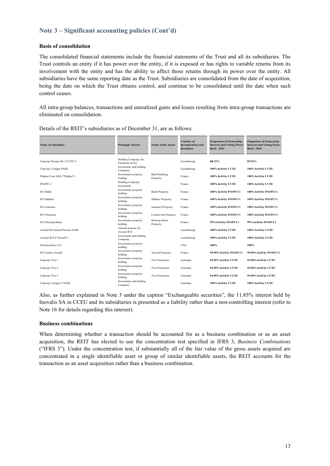#### **Basis of consolidation**

The consolidated financial statements include the financial statements of the Trust and all its subsidiaries. The Trust controls an entity if it has power over the entity, if it is exposed or has rights to variable returns from its involvement with the entity and has the ability to affect those returns through its power over the entity. All subsidiaries have the same reporting date as the Trust. Subsidiaries are consolidated from the date of acquisition, being the date on which the Trust obtains control, and continue to be consolidated until the date when such control ceases.

All intra-group balances, transactions and unrealized gains and losses resulting from intra-group transactions are eliminated on consolidation.

| Name of subsidiary               | <b>Principal Activity</b>              | Name of the assets             | <b>Country of</b><br><b>Incorporation</b> and<br>Residence | <b>Proportion of Ownership</b><br><b>Interest and Voting Power</b><br><b>Held - 2021</b> | <b>Proportion of Ownership</b><br><b>Interest and Voting Power</b><br><b>Held - 2020</b> |
|----------------------------------|----------------------------------------|--------------------------------|------------------------------------------------------------|------------------------------------------------------------------------------------------|------------------------------------------------------------------------------------------|
| Cancorp Europe SA ("CCEU")       | Holding Company for<br>European assets |                                | Luxembourg                                                 | 88.15%                                                                                   | 85.92%                                                                                   |
| Cancorp Cologne SARL             | Investment and holding<br>Company      |                                | Luxembourg                                                 | 100% held by CCEU                                                                        | 100% held by CCEU                                                                        |
| Walpur Four SAS ("Walpur")       | Investment property<br>holding         | <b>Bad Homburg</b><br>Property | France                                                     | 100% held by CCEU                                                                        | 100% held by CCEU                                                                        |
| <b>INOPCI1</b>                   | Holding Company<br>Investment          |                                | France                                                     | 100% held by CCEU                                                                        | 100% held by CCEU                                                                        |
| <b>SCI Baldi</b>                 | Investment property<br>holding         | Baldi Property                 | France                                                     | 100% held by INOPCI1                                                                     | 100% held by INOPCI1                                                                     |
| <b>SCI</b> Sabliere              | Investment property<br>holding         | Sabliere Property              | France                                                     | 100% held by INOPCI1                                                                     | 100% held by INOPCI1                                                                     |
| <b>SCI</b> Jeuneurs              | Investment property<br>holding         | Jeuneurs Property              | France                                                     | 100% held by INOPCI1                                                                     | 100% held by INOPCI1                                                                     |
| <b>SCI</b> Veronese              | Investment property<br>holding         | Courbevoie Property            | France                                                     | 100% held by INOPCI1                                                                     | 100% held by INOPCI1                                                                     |
| SCI M etropolitain               | Investment property<br>holding         | Metropolitain<br>Property      | France                                                     | 99% held by INOPCI1                                                                      | 99% held by INOPCI1                                                                      |
| Arcueil SI General Partner SARL. | General partner for<br>Arcueil SCS     |                                | Luxembourg                                                 | 100% held by CCEU                                                                        | 100% held by CCEU                                                                        |
| Arcueil SCS ("Arcueil")          | Investment and holding<br>Company      |                                | Luxembourg                                                 | 100% held by CCEU                                                                        | 100% held by CCEU                                                                        |
| Metropolitan LLC                 | Investment property<br>holding         |                                | <b>USA</b>                                                 | 100%                                                                                     | 100%                                                                                     |
| <b>SCI Lenine Arcueil</b>        | Investment property<br>holding         | Arcueil Property               | France                                                     | 99.90% held by INOPCI1                                                                   | 99.90% held by INOPCI1                                                                   |
| Cancorp Trio 1                   | Investment property<br>holding         | <b>Trio Properties</b>         | Germany                                                    | 94.90% held by CCEU                                                                      | 94.90% held by CCEU                                                                      |
| Cancorp Trio 2                   | Investment property<br>holding         | <b>Trio Properties</b>         | Germany                                                    | 94.90% held by CCEU                                                                      | 94.90% held by CCEU                                                                      |
| Cancorp Trio 3                   | Investment property<br>holding         | <b>Trio Properties</b>         | Germany                                                    | 94.90% held by CCEU                                                                      | 94.90% held by CCEU                                                                      |
| Cancorp Cologne 2 SARL           | Investment and holding<br>Company      |                                | Germany                                                    | 100% held by CCEU                                                                        | 100% held by CCEU                                                                        |

Details of the REIT's subsidiaries as of December 31, are as follows:

Also, as further explained in Note 3 under the caption "Exchangeable securities", the 11.85% interest held by Inovalis SA in CCEU and its subsidiaries is presented as a liability rather than a non-controlling interest (refer to Note 16 for details regarding this interest).

### **Business combinations**

When determining whether a transaction should be accounted for as a business combination or as an asset acquisition, the REIT has elected to use the concentration test specified in IFRS 3, *Business Combinations* ("IFRS 3"). Under the concentration test, if substantially all of the fair value of the gross assets acquired are concentrated in a single identifiable asset or group of similar identifiable assets, the REIT accounts for the transaction as an asset acquisition rather than a business combination.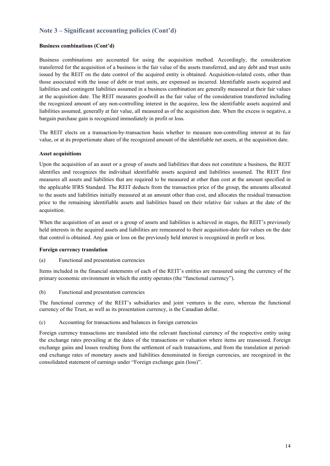### **Business combinations (Cont'd)**

Business combinations are accounted for using the acquisition method. Accordingly, the consideration transferred for the acquisition of a business is the fair value of the assets transferred, and any debt and trust units issued by the REIT on the date control of the acquired entity is obtained. Acquisition-related costs, other than those associated with the issue of debt or trust units, are expensed as incurred. Identifiable assets acquired and liabilities and contingent liabilities assumed in a business combination are generally measured at their fair values at the acquisition date. The REIT measures goodwill as the fair value of the consideration transferred including the recognized amount of any non-controlling interest in the acquiree, less the identifiable assets acquired and liabilities assumed, generally at fair value, all measured as of the acquisition date. When the excess is negative, a bargain purchase gain is recognized immediately in profit or loss.

The REIT elects on a transaction-by-transaction basis whether to measure non-controlling interest at its fair value, or at its proportionate share of the recognized amount of the identifiable net assets, at the acquisition date.

### **Asset acquisitions**

Upon the acquisition of an asset or a group of assets and liabilities that does not constitute a business, the REIT identifies and recognizes the individual identifiable assets acquired and liabilities assumed. The REIT first measures all assets and liabilities that are required to be measured at other than cost at the amount specified in the applicable IFRS Standard. The REIT deducts from the transaction price of the group, the amounts allocated to the assets and liabilities initially measured at an amount other than cost, and allocates the residual transaction price to the remaining identifiable assets and liabilities based on their relative fair values at the date of the acquisition.

When the acquisition of an asset or a group of assets and liabilities is achieved in stages, the REIT's previously held interests in the acquired assets and liabilities are remeasured to their acquisition-date fair values on the date that control is obtained. Any gain or loss on the previously held interest is recognized in profit or loss.

#### **Foreign currency translation**

(a) Functional and presentation currencies

Items included in the financial statements of each of the REIT's entities are measured using the currency of the primary economic environment in which the entity operates (the "functional currency").

(b) Functional and presentation currencies

The functional currency of the REIT's subsidiaries and joint ventures is the euro, whereas the functional currency of the Trust, as well as its presentation currency, is the Canadian dollar.

(c) Accounting for transactions and balances in foreign currencies

Foreign currency transactions are translated into the relevant functional currency of the respective entity using the exchange rates prevailing at the dates of the transactions or valuation where items are reassessed. Foreign exchange gains and losses resulting from the settlement of such transactions, and from the translation at periodend exchange rates of monetary assets and liabilities denominated in foreign currencies, are recognized in the consolidated statement of earnings under "Foreign exchange gain (loss)".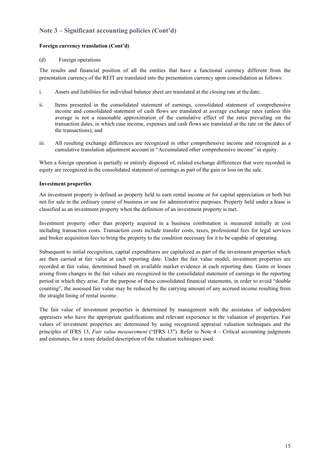### **Foreign currency translation (Cont'd)**

#### (d) Foreign operations

The results and financial position of all the entities that have a functional currency different from the presentation currency of the REIT are translated into the presentation currency upon consolidation as follows:

- i. Assets and liabilities for individual balance sheet are translated at the closing rate at the date;
- ii. Items presented in the consolidated statement of earnings, consolidated statement of comprehensive income and consolidated statement of cash flows are translated at average exchange rates (unless this average is not a reasonable approximation of the cumulative effect of the rates prevailing on the transaction dates, in which case income, expenses and cash flows are translated at the rate on the dates of the transactions); and
- iii. All resulting exchange differences are recognized in other comprehensive income and recognized as a cumulative translation adjustment account in "Accumulated other comprehensive income" in equity.

When a foreign operation is partially or entirely disposed of, related exchange differences that were recorded in equity are recognized in the consolidated statement of earnings as part of the gain or loss on the sale.

### **Investment properties**

An investment property is defined as property held to earn rental income or for capital appreciation or both but not for sale in the ordinary course of business or use for administrative purposes. Property held under a lease is classified as an investment property when the definition of an investment property is met.

Investment property other than property acquired in a business combination is measured initially at cost including transaction costs. Transaction costs include transfer costs, taxes, professional fees for legal services and broker acquisition fees to bring the property to the condition necessary for it to be capable of operating.

Subsequent to initial recognition, capital expenditures are capitalized as part of the investment properties which are then carried at fair value at each reporting date. Under the fair value model, investment properties are recorded at fair value, determined based on available market evidence at each reporting date. Gains or losses arising from changes in the fair values are recognized in the consolidated statement of earnings in the reporting period in which they arise. For the purpose of these consolidated financial statements, in order to avoid "double counting", the assessed fair value may be reduced by the carrying amount of any accrued income resulting from the straight lining of rental income.

The fair value of investment properties is determined by management with the assistance of independent appraisers who have the appropriate qualifications and relevant experience in the valuation of properties. Fair values of investment properties are determined by using recognized appraisal valuation techniques and the principles of IFRS 13, *Fair value measurement* ("IFRS 13"). Refer to Note 4 – Critical accounting judgments and estimates, for a more detailed description of the valuation techniques used.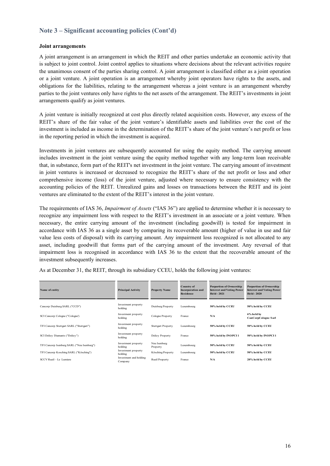### **Joint arrangements**

A joint arrangement is an arrangement in which the REIT and other parties undertake an economic activity that is subject to joint control. Joint control applies to situations where decisions about the relevant activities require the unanimous consent of the parties sharing control. A joint arrangement is classified either as a joint operation or a joint venture. A joint operation is an arrangement whereby joint operators have rights to the assets, and obligations for the liabilities, relating to the arrangement whereas a joint venture is an arrangement whereby parties to the joint ventures only have rights to the net assets of the arrangement. The REIT's investments in joint arrangements qualify as joint ventures.

A joint venture is initially recognized at cost plus directly related acquisition costs. However, any excess of the REIT's share of the fair value of the joint venture's identifiable assets and liabilities over the cost of the investment is included as income in the determination of the REIT's share of the joint venture's net profit or loss in the reporting period in which the investment is acquired.

Investments in joint ventures are subsequently accounted for using the equity method. The carrying amount includes investment in the joint venture using the equity method together with any long-term loan receivable that, in substance, form part of the REIT's net investment in the joint venture. The carrying amount of investment in joint ventures is increased or decreased to recognize the REIT's share of the net profit or loss and other comprehensive income (loss) of the joint venture, adjusted where necessary to ensure consistency with the accounting policies of the REIT. Unrealized gains and losses on transactions between the REIT and its joint ventures are eliminated to the extent of the REIT's interest in the joint venture.

The requirements of IAS 36, *Impairment of Assets* ("IAS 36") are applied to determine whether it is necessary to recognize any impairment loss with respect to the REIT's investment in an associate or a joint venture. When necessary, the entire carrying amount of the investment (including goodwill) is tested for impairment in accordance with IAS 36 as a single asset by comparing its recoverable amount (higher of value in use and fair value less costs of disposal) with its carrying amount. Any impairment loss recognized is not allocated to any asset, including goodwill that forms part of the carrying amount of the investment. Any reversal of that impairment loss is recognised in accordance with IAS 36 to the extent that the recoverable amount of the investment subsequently increases.

As at December 31, the REIT, through its subsidiary CCEU, holds the following joint ventures:

| Name of entity                             | <b>Principal Activity</b>         | <b>Property Name</b>     | <b>Country of</b><br><b>Incorporation</b> and<br>Residence | <b>Porportion of Ownership</b><br><b>Interest and Voting Power</b><br><b>Held - 2021</b> | <b>Porportion of Ownership</b><br><b>Interest and Voting Power</b><br><b>Held - 2020</b> |
|--------------------------------------------|-----------------------------------|--------------------------|------------------------------------------------------------|------------------------------------------------------------------------------------------|------------------------------------------------------------------------------------------|
| Cancorp Duisburg SARL ("CCD")              | Investment property<br>holding    | Duisburg Property        | Luxembourg                                                 | 50% held by CCEU                                                                         | 50% held by CCEU                                                                         |
| SCI Cancorp Cologne ("Cologne")            | Investment property<br>holding    | Cologne Property         | France                                                     | N/A                                                                                      | 6% held by<br><b>CanCorpCologne Sarl</b>                                                 |
| TFI Cancorp Stuttgart SARL ("Stuttgart")   | Investment property<br>holding    | Stuttgart Property       | Luxembourg                                                 | 50% held by CCEU                                                                         | 50% held by CCEU                                                                         |
| SCI Delizy Diamants ("Delizy")             | Investment property<br>holding    | Delizy Property          | France                                                     | 50% held by INOPCI1                                                                      | 50% held by INOPCI1                                                                      |
| TFI Cancorp Isenburg SARL ("Neu Isenburg") | Investment property<br>holding    | Neu Isenburg<br>Property | Luxembourg                                                 | 50% held by CCEU                                                                         | 50% held by CCEU                                                                         |
| TFI Cancorp Kosching SARL ("Kösching")     | Investment property<br>holding    | Kösching Property        | Luxembourg                                                 | 50% held by CCEU                                                                         | 50% held by CCEU                                                                         |
| SCCV Rueil - Le Lumiere                    | Investment and holding<br>Company | Rueil Property           | France                                                     | N/A                                                                                      | 20% held by CCEU                                                                         |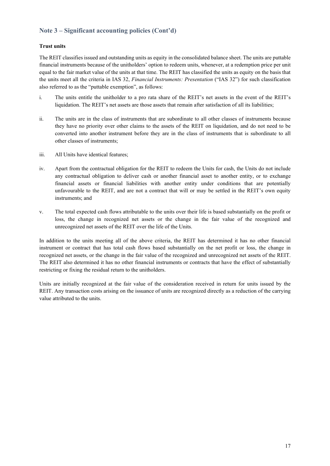## **Trust units**

The REIT classifies issued and outstanding units as equity in the consolidated balance sheet. The units are puttable financial instruments because of the unitholders' option to redeem units, whenever, at a redemption price per unit equal to the fair market value of the units at that time. The REIT has classified the units as equity on the basis that the units meet all the criteria in IAS 32, *Financial Instruments: Presentation* ("IAS 32") for such classification also referred to as the "puttable exemption", as follows:

- i. The units entitle the unitholder to a pro rata share of the REIT's net assets in the event of the REIT's liquidation. The REIT's net assets are those assets that remain after satisfaction of all its liabilities;
- ii. The units are in the class of instruments that are subordinate to all other classes of instruments because they have no priority over other claims to the assets of the REIT on liquidation, and do not need to be converted into another instrument before they are in the class of instruments that is subordinate to all other classes of instruments;
- iii. All Units have identical features;
- iv. Apart from the contractual obligation for the REIT to redeem the Units for cash, the Units do not include any contractual obligation to deliver cash or another financial asset to another entity, or to exchange financial assets or financial liabilities with another entity under conditions that are potentially unfavourable to the REIT, and are not a contract that will or may be settled in the REIT's own equity instruments; and
- v. The total expected cash flows attributable to the units over their life is based substantially on the profit or loss, the change in recognized net assets or the change in the fair value of the recognized and unrecognized net assets of the REIT over the life of the Units.

In addition to the units meeting all of the above criteria, the REIT has determined it has no other financial instrument or contract that has total cash flows based substantially on the net profit or loss, the change in recognized net assets, or the change in the fair value of the recognized and unrecognized net assets of the REIT. The REIT also determined it has no other financial instruments or contracts that have the effect of substantially restricting or fixing the residual return to the unitholders.

Units are initially recognized at the fair value of the consideration received in return for units issued by the REIT. Any transaction costs arising on the issuance of units are recognized directly as a reduction of the carrying value attributed to the units.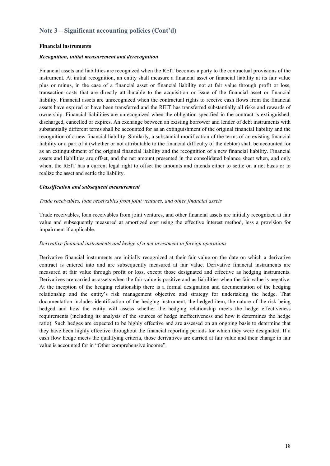### **Financial instruments**

#### *Recognition, initial measurement and derecognition*

Financial assets and liabilities are recognized when the REIT becomes a party to the contractual provisions of the instrument. At initial recognition, an entity shall measure a financial asset or financial liability at its fair value plus or minus, in the case of a financial asset or financial liability not at fair value through profit or loss, transaction costs that are directly attributable to the acquisition or issue of the financial asset or financial liability. Financial assets are unrecognized when the contractual rights to receive cash flows from the financial assets have expired or have been transferred and the REIT has transferred substantially all risks and rewards of ownership. Financial liabilities are unrecognized when the obligation specified in the contract is extinguished, discharged, cancelled or expires. An exchange between an existing borrower and lender of debt instruments with substantially different terms shall be accounted for as an extinguishment of the original financial liability and the recognition of a new financial liability. Similarly, a substantial modification of the terms of an existing financial liability or a part of it (whether or not attributable to the financial difficulty of the debtor) shall be accounted for as an extinguishment of the original financial liability and the recognition of a new financial liability. Financial assets and liabilities are offset, and the net amount presented in the consolidated balance sheet when, and only when, the REIT has a current legal right to offset the amounts and intends either to settle on a net basis or to realize the asset and settle the liability.

#### *Classification and subsequent measurement*

#### *Trade receivables, loan receivables from joint ventures, and other financial assets*

Trade receivables, loan receivables from joint ventures, and other financial assets are initially recognized at fair value and subsequently measured at amortized cost using the effective interest method, less a provision for impairment if applicable.

#### *Derivative financial instruments and hedge of a net investment in foreign operations*

Derivative financial instruments are initially recognized at their fair value on the date on which a derivative contract is entered into and are subsequently measured at fair value. Derivative financial instruments are measured at fair value through profit or loss, except those designated and effective as hedging instruments. Derivatives are carried as assets when the fair value is positive and as liabilities when the fair value is negative. At the inception of the hedging relationship there is a formal designation and documentation of the hedging relationship and the entity's risk management objective and strategy for undertaking the hedge. That documentation includes identification of the hedging instrument, the hedged item, the nature of the risk being hedged and how the entity will assess whether the hedging relationship meets the hedge effectiveness requirements (including its analysis of the sources of hedge ineffectiveness and how it determines the hedge ratio). Such hedges are expected to be highly effective and are assessed on an ongoing basis to determine that they have been highly effective throughout the financial reporting periods for which they were designated. If a cash flow hedge meets the qualifying criteria, those derivatives are carried at fair value and their change in fair value is accounted for in "Other comprehensive income".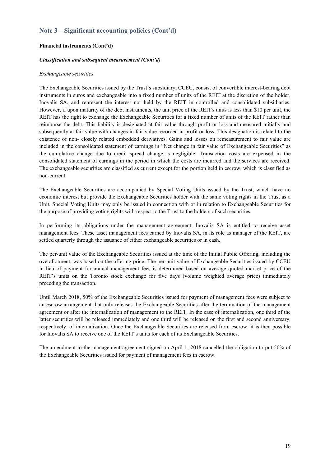#### **Financial instruments (Cont'd)**

#### *Classification and subsequent measurement (Cont'd)*

#### *Exchangeable securities*

The Exchangeable Securities issued by the Trust's subsidiary, CCEU, consist of convertible interest-bearing debt instruments in euros and exchangeable into a fixed number of units of the REIT at the discretion of the holder, Inovalis SA, and represent the interest not held by the REIT in controlled and consolidated subsidiaries. However, if upon maturity of the debt instruments, the unit price of the REIT's units is less than \$10 per unit, the REIT has the right to exchange the Exchangeable Securities for a fixed number of units of the REIT rather than reimburse the debt. This liability is designated at fair value through profit or loss and measured initially and subsequently at fair value with changes in fair value recorded in profit or loss. This designation is related to the existence of non- closely related embedded derivatives. Gains and losses on remeasurement to fair value are included in the consolidated statement of earnings in "Net change in fair value of Exchangeable Securities" as the cumulative change due to credit spread change is negligible. Transaction costs are expensed in the consolidated statement of earnings in the period in which the costs are incurred and the services are received. The exchangeable securities are classified as current except for the portion held in escrow, which is classified as non-current.

The Exchangeable Securities are accompanied by Special Voting Units issued by the Trust, which have no economic interest but provide the Exchangeable Securities holder with the same voting rights in the Trust as a Unit. Special Voting Units may only be issued in connection with or in relation to Exchangeable Securities for the purpose of providing voting rights with respect to the Trust to the holders of such securities.

In performing its obligations under the management agreement, Inovalis SA is entitled to receive asset management fees. These asset management fees earned by Inovalis SA, in its role as manager of the REIT, are settled quarterly through the issuance of either exchangeable securities or in cash.

The per-unit value of the Exchangeable Securities issued at the time of the Initial Public Offering, including the overallotment, was based on the offering price. The per-unit value of Exchangeable Securities issued by CCEU in lieu of payment for annual management fees is determined based on average quoted market price of the REIT's units on the Toronto stock exchange for five days (volume weighted average price) immediately preceding the transaction.

Until March 2018, 50% of the Exchangeable Securities issued for payment of management fees were subject to an escrow arrangement that only releases the Exchangeable Securities after the termination of the management agreement or after the internalization of management to the REIT. In the case of internalization, one third of the latter securities will be released immediately and one third will be released on the first and second anniversary, respectively, of internalization. Once the Exchangeable Securities are released from escrow, it is then possible for Inovalis SA to receive one of the REIT's units for each of its Exchangeable Securities.

The amendment to the management agreement signed on April 1, 2018 cancelled the obligation to put 50% of the Exchangeable Securities issued for payment of management fees in escrow.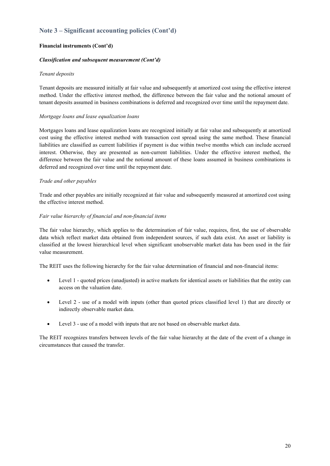## **Financial instruments (Cont'd)**

### *Classification and subsequent measurement (Cont'd)*

### *Tenant deposits*

Tenant deposits are measured initially at fair value and subsequently at amortized cost using the effective interest method. Under the effective interest method, the difference between the fair value and the notional amount of tenant deposits assumed in business combinations is deferred and recognized over time until the repayment date.

### *Mortgage loans and lease equalization loans*

Mortgages loans and lease equalization loans are recognized initially at fair value and subsequently at amortized cost using the effective interest method with transaction cost spread using the same method. These financial liabilities are classified as current liabilities if payment is due within twelve months which can include accrued interest. Otherwise, they are presented as non-current liabilities. Under the effective interest method, the difference between the fair value and the notional amount of these loans assumed in business combinations is deferred and recognized over time until the repayment date.

### *Trade and other payables*

Trade and other payables are initially recognized at fair value and subsequently measured at amortized cost using the effective interest method.

### *Fair value hierarchy of financial and non-financial items*

The fair value hierarchy, which applies to the determination of fair value, requires, first, the use of observable data which reflect market data obtained from independent sources, if such data exist. An asset or liability is classified at the lowest hierarchical level when significant unobservable market data has been used in the fair value measurement.

The REIT uses the following hierarchy for the fair value determination of financial and non-financial items:

- Level 1 quoted prices (unadjusted) in active markets for identical assets or liabilities that the entity can access on the valuation date.
- Level 2 use of a model with inputs (other than quoted prices classified level 1) that are directly or indirectly observable market data.
- Level 3 use of a model with inputs that are not based on observable market data.

The REIT recognizes transfers between levels of the fair value hierarchy at the date of the event of a change in circumstances that caused the transfer.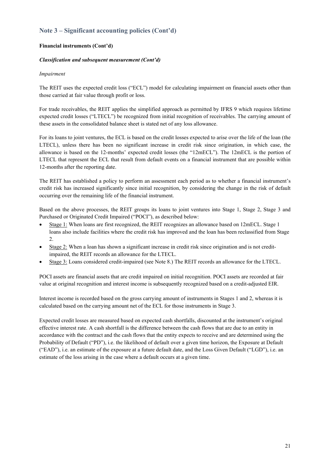## **Financial instruments (Cont'd)**

### *Classification and subsequent measurement (Cont'd)*

### *Impairment*

The REIT uses the expected credit loss ("ECL") model for calculating impairment on financial assets other than those carried at fair value through profit or loss.

For trade receivables, the REIT applies the simplified approach as permitted by IFRS 9 which requires lifetime expected credit losses ("LTECL") be recognized from initial recognition of receivables. The carrying amount of these assets in the consolidated balance sheet is stated net of any loss allowance.

For its loans to joint ventures, the ECL is based on the credit losses expected to arise over the life of the loan (the LTECL), unless there has been no significant increase in credit risk since origination, in which case, the allowance is based on the 12-months' expected credit losses (the "12mECL"). The 12mECL is the portion of LTECL that represent the ECL that result from default events on a financial instrument that are possible within 12-months after the reporting date.

The REIT has established a policy to perform an assessment each period as to whether a financial instrument's credit risk has increased significantly since initial recognition, by considering the change in the risk of default occurring over the remaining life of the financial instrument.

Based on the above processes, the REIT groups its loans to joint ventures into Stage 1, Stage 2, Stage 3 and Purchased or Originated Credit Impaired ("POCI"), as described below:

- Stage 1: When loans are first recognized, the REIT recognizes an allowance based on 12mECL. Stage 1 loans also include facilities where the credit risk has improved and the loan has been reclassified from Stage 2.
- Stage 2: When a loan has shown a significant increase in credit risk since origination and is not creditimpaired, the REIT records an allowance for the LTECL.
- Stage 3: Loans considered credit-impaired (see Note 8.) The REIT records an allowance for the LTECL.

POCI assets are financial assets that are credit impaired on initial recognition. POCI assets are recorded at fair value at original recognition and interest income is subsequently recognized based on a credit-adjusted EIR.

Interest income is recorded based on the gross carrying amount of instruments in Stages 1 and 2, whereas it is calculated based on the carrying amount net of the ECL for those instruments in Stage 3.

Expected credit losses are measured based on expected cash shortfalls, discounted at the instrument's original effective interest rate. A cash shortfall is the difference between the cash flows that are due to an entity in accordance with the contract and the cash flows that the entity expects to receive and are determined using the Probability of Default ("PD"), i.e. the likelihood of default over a given time horizon, the Exposure at Default ("EAD"), i.e. an estimate of the exposure at a future default date, and the Loss Given Default ("LGD"), i.e. an estimate of the loss arising in the case where a default occurs at a given time.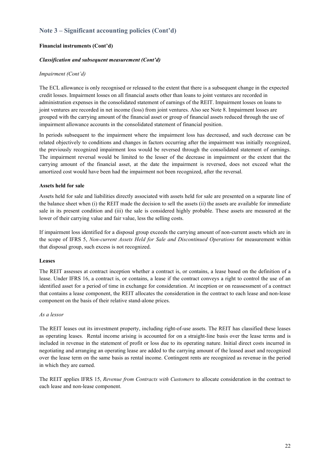## **Financial instruments (Cont'd)**

### *Classification and subsequent measurement (Cont'd)*

## *Impairment (Cont'd)*

The ECL allowance is only recognised or released to the extent that there is a subsequent change in the expected credit losses. Impairment losses on all financial assets other than loans to joint ventures are recorded in administration expenses in the consolidated statement of earnings of the REIT. Impairment losses on loans to joint ventures are recorded in net income (loss) from joint ventures. Also see Note 8. Impairment losses are grouped with the carrying amount of the financial asset or group of financial assets reduced through the use of impairment allowance accounts in the consolidated statement of financial position.

In periods subsequent to the impairment where the impairment loss has decreased, and such decrease can be related objectively to conditions and changes in factors occurring after the impairment was initially recognized, the previously recognized impairment loss would be reversed through the consolidated statement of earnings. The impairment reversal would be limited to the lesser of the decrease in impairment or the extent that the carrying amount of the financial asset, at the date the impairment is reversed, does not exceed what the amortized cost would have been had the impairment not been recognized, after the reversal.

#### **Assets held for sale**

Assets held for sale and liabilities directly associated with assets held for sale are presented on a separate line of the balance sheet when (i) the REIT made the decision to sell the assets (ii) the assets are available for immediate sale in its present condition and (iii) the sale is considered highly probable. These assets are measured at the lower of their carrying value and fair value, less the selling costs.

If impairment loss identified for a disposal group exceeds the carrying amount of non-current assets which are in the scope of IFRS 5, *Non-current Assets Held for Sale and Discontinued Operations* for measurement within that disposal group, such excess is not recognized.

#### **Leases**

The REIT assesses at contract inception whether a contract is, or contains, a lease based on the definition of a lease. Under IFRS 16, a contract is, or contains, a lease if the contract conveys a right to control the use of an identified asset for a period of time in exchange for consideration. At inception or on reassessment of a contract that contains a lease component, the REIT allocates the consideration in the contract to each lease and non-lease component on the basis of their relative stand-alone prices.

#### *As a lessor*

The REIT leases out its investment property, including right-of-use assets. The REIT has classified these leases as operating leases. Rental income arising is accounted for on a straight-line basis over the lease terms and is included in revenue in the statement of profit or loss due to its operating nature. Initial direct costs incurred in negotiating and arranging an operating lease are added to the carrying amount of the leased asset and recognized over the lease term on the same basis as rental income. Contingent rents are recognized as revenue in the period in which they are earned.

The REIT applies IFRS 15, *Revenue from Contracts with Customers* to allocate consideration in the contract to each lease and non-lease component.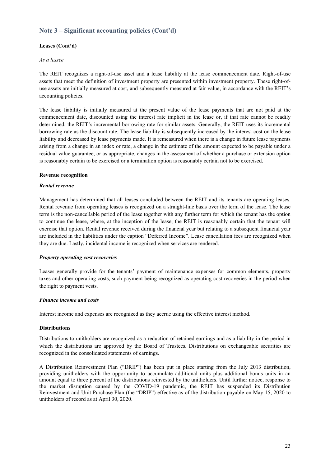## **Leases (Cont'd)**

### *As a lessee*

The REIT recognizes a right-of-use asset and a lease liability at the lease commencement date. Right-of-use assets that meet the definition of investment property are presented within investment property. These right-ofuse assets are initially measured at cost, and subsequently measured at fair value, in accordance with the REIT's accounting policies.

The lease liability is initially measured at the present value of the lease payments that are not paid at the commencement date, discounted using the interest rate implicit in the lease or, if that rate cannot be readily determined, the REIT's incremental borrowing rate for similar assets. Generally, the REIT uses its incremental borrowing rate as the discount rate. The lease liability is subsequently increased by the interest cost on the lease liability and decreased by lease payments made. It is remeasured when there is a change in future lease payments arising from a change in an index or rate, a change in the estimate of the amount expected to be payable under a residual value guarantee, or as appropriate, changes in the assessment of whether a purchase or extension option is reasonably certain to be exercised or a termination option is reasonably certain not to be exercised.

### **Revenue recognition**

### *Rental revenue*

Management has determined that all leases concluded between the REIT and its tenants are operating leases. Rental revenue from operating leases is recognized on a straight-line basis over the term of the lease. The lease term is the non-cancellable period of the lease together with any further term for which the tenant has the option to continue the lease, where, at the inception of the lease, the REIT is reasonably certain that the tenant will exercise that option. Rental revenue received during the financial year but relating to a subsequent financial year are included in the liabilities under the caption "Deferred Income". Lease cancellation fees are recognized when they are due. Lastly, incidental income is recognized when services are rendered.

## *Property operating cost recoveries*

Leases generally provide for the tenants' payment of maintenance expenses for common elements, property taxes and other operating costs, such payment being recognized as operating cost recoveries in the period when the right to payment vests.

#### *Finance income and costs*

Interest income and expenses are recognized as they accrue using the effective interest method.

## **Distributions**

Distributions to unitholders are recognized as a reduction of retained earnings and as a liability in the period in which the distributions are approved by the Board of Trustees. Distributions on exchangeable securities are recognized in the consolidated statements of earnings.

A Distribution Reinvestment Plan ("DRIP") has been put in place starting from the July 2013 distribution, providing unitholders with the opportunity to accumulate additional units plus additional bonus units in an amount equal to three percent of the distributions reinvested by the unitholders. Until further notice, response to the market disruption caused by the COVID-19 pandemic, the REIT has suspended its Distribution Reinvestment and Unit Purchase Plan (the "DRIP") effective as of the distribution payable on May 15, 2020 to unitholders of record as at April 30, 2020.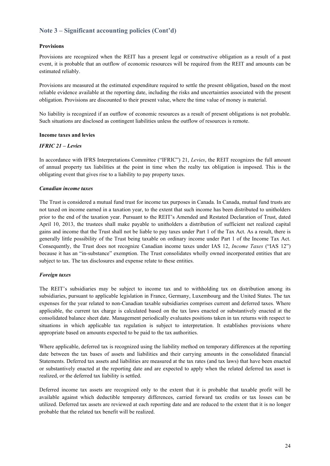### **Provisions**

Provisions are recognized when the REIT has a present legal or constructive obligation as a result of a past event, it is probable that an outflow of economic resources will be required from the REIT and amounts can be estimated reliably.

Provisions are measured at the estimated expenditure required to settle the present obligation, based on the most reliable evidence available at the reporting date, including the risks and uncertainties associated with the present obligation. Provisions are discounted to their present value, where the time value of money is material.

No liability is recognized if an outflow of economic resources as a result of present obligations is not probable. Such situations are disclosed as contingent liabilities unless the outflow of resources is remote.

#### **Income taxes and levies**

### *IFRIC 21 – Levies*

In accordance with IFRS Interpretations Committee ("IFRIC") 21, *Levies*, the REIT recognizes the full amount of annual property tax liabilities at the point in time when the realty tax obligation is imposed. This is the obligating event that gives rise to a liability to pay property taxes.

### *Canadian income taxes*

The Trust is considered a mutual fund trust for income tax purposes in Canada. In Canada, mutual fund trusts are not taxed on income earned in a taxation year, to the extent that such income has been distributed to unitholders prior to the end of the taxation year. Pursuant to the REIT's Amended and Restated Declaration of Trust, dated April 10, 2013, the trustees shall make payable to unitholders a distribution of sufficient net realized capital gains and income that the Trust shall not be liable to pay taxes under Part 1 of the Tax Act. As a result, there is generally little possibility of the Trust being taxable on ordinary income under Part 1 of the Income Tax Act. Consequently, the Trust does not recognize Canadian income taxes under IAS 12, *Income Taxes* ("IAS 12") because it has an "in-substance" exemption. The Trust consolidates wholly owned incorporated entities that are subject to tax. The tax disclosures and expense relate to these entities.

#### *Foreign taxes*

The REIT's subsidiaries may be subject to income tax and to withholding tax on distribution among its subsidiaries, pursuant to applicable legislation in France, Germany, Luxembourg and the United States. The tax expenses for the year related to non-Canadian taxable subsidiaries comprises current and deferred taxes. Where applicable, the current tax charge is calculated based on the tax laws enacted or substantively enacted at the consolidated balance sheet date. Management periodically evaluates positions taken in tax returns with respect to situations in which applicable tax regulation is subject to interpretation. It establishes provisions where appropriate based on amounts expected to be paid to the tax authorities.

Where applicable, deferred tax is recognized using the liability method on temporary differences at the reporting date between the tax bases of assets and liabilities and their carrying amounts in the consolidated financial Statements. Deferred tax assets and liabilities are measured at the tax rates (and tax laws) that have been enacted or substantively enacted at the reporting date and are expected to apply when the related deferred tax asset is realized, or the deferred tax liability is settled.

Deferred income tax assets are recognized only to the extent that it is probable that taxable profit will be available against which deductible temporary differences, carried forward tax credits or tax losses can be utilized. Deferred tax assets are reviewed at each reporting date and are reduced to the extent that it is no longer probable that the related tax benefit will be realized.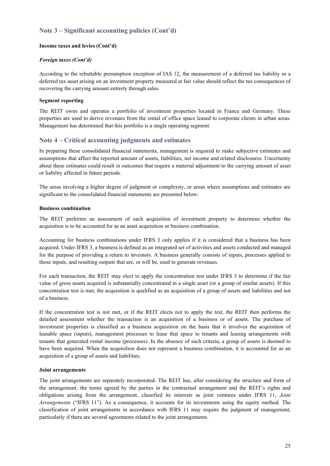### **Income taxes and levies (Cont'd)**

### *Foreign taxes (Cont'd)*

According to the rebuttable presumption exception of IAS 12, the measurement of a deferred tax liability or a deferred tax asset arising on an investment property measured at fair value should reflect the tax consequences of recovering the carrying amount entirely through sales.

### **Segment reporting**

The REIT owns and operates a portfolio of investment properties located in France and Germany. These properties are used to derive revenues from the rental of office space leased to corporate clients in urban areas. Management has determined that this portfolio is a single operating segment.

## **Note 4 – Critical accounting judgments and estimates**

In preparing these consolidated financial statements, management is required to make subjective estimates and assumptions that affect the reported amount of assets, liabilities, net income and related disclosures. Uncertainty about these estimates could result in outcomes that require a material adjustment to the carrying amount of asset or liability affected in future periods.

The areas involving a higher degree of judgment or complexity, or areas where assumptions and estimates are significant to the consolidated financial statements are presented below:

### **Business combination**

The REIT performs an assessment of each acquisition of investment property to determine whether the acquisition is to be accounted for as an asset acquisition or business combination.

Accounting for business combinations under IFRS 3 only applies if it is considered that a business has been acquired. Under IFRS 3, a business is defined as an integrated set of activities and assets conducted and managed for the purpose of providing a return to investors. A business generally consists of inputs, processes applied to those inputs, and resulting outputs that are, or will be, used to generate revenues.

For each transaction, the REIT may elect to apply the concentration test under IFRS 3 to determine if the fair value of gross assets acquired is substantially concentrated in a single asset (or a group of similar assets). If this concentration test is met, the acquisition is qualified as an acquisition of a group of assets and liabilities and not of a business.

If the concentration test is not met, or if the REIT elects not to apply the test, the REIT then performs the detailed assessment whether the transaction is an acquisition of a business or of assets. The purchase of investment properties is classified as a business acquisition on the basis that it involves the acquisition of leasable space (inputs), management processes to lease that space to tenants and leasing arrangements with tenants that generated rental income (processes). In the absence of such criteria, a group of assets is deemed to have been acquired. When the acquisition does not represent a business combination, it is accounted for as an acquisition of a group of assets and liabilities.

#### **Joint arrangements**

The joint arrangements are separately incorporated. The REIT has, after considering the structure and form of the arrangement, the terms agreed by the parties in the contractual arrangement and the REIT's rights and obligations arising from the arrangement, classified its interests as joint ventures under IFRS 11, *Joint Arrangements* ("IFRS 11"). As a consequence, it accounts for its investments using the equity method. The classification of joint arrangements in accordance with IFRS 11 may require the judgment of management, particularly if there are several agreements related to the joint arrangements.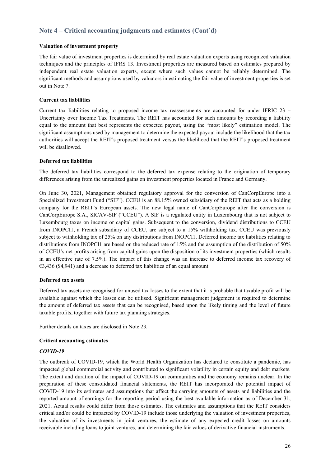## **Note 4 – Critical accounting judgments and estimates (Cont'd)**

### **Valuation of investment property**

The fair value of investment properties is determined by real estate valuation experts using recognized valuation techniques and the principles of IFRS 13. Investment properties are measured based on estimates prepared by independent real estate valuation experts, except where such values cannot be reliably determined. The significant methods and assumptions used by valuators in estimating the fair value of investment properties is set out in Note 7.

### **Current tax liabilities**

Current tax liabilities relating to proposed income tax reassessments are accounted for under IFRIC 23 – Uncertainty over Income Tax Treatments. The REIT has accounted for such amounts by recording a liability equal to the amount that best represents the expected payout, using the "most likely" estimation model. The significant assumptions used by management to determine the expected payout include the likelihood that the tax authorities will accept the REIT's proposed treatment versus the likelihood that the REIT's proposed treatment will be disallowed.

### **Deferred tax liabilities**

The deferred tax liabilities correspond to the deferred tax expense relating to the origination of temporary differences arising from the unrealized gains on investment properties located in France and Germany.

On June 30, 2021, Management obtained regulatory approval for the conversion of CanCorpEurope into a Specialized Investment Fund ("SIF"). CCEU is an 88.15% owned subsidiary of the REIT that acts as a holding company for the REIT's European assets. The new legal name of CanCorpEurope after the conversion is CanCorpEurope S.A., SICAV-SIF ("CCEU"). A SIF is a regulated entity in Luxembourg that is not subject to Luxembourg taxes on income or capital gains. Subsequent to the conversion, dividend distributions to CCEU from INOPCI1, a French subsidiary of CCEU, are subject to a 15% withholding tax. CCEU was previously subject to withholding tax of 25% on any distributions from INOPCI1. Deferred income tax liabilities relating to distributions from INOPCI1 are based on the reduced rate of 15% and the assumption of the distribution of 50% of CCEU's net profits arising from capital gains upon the disposition of its investment properties (which results in an effective rate of 7.5%). The impact of this change was an increase to deferred income tax recovery of €3,436 (\$4,941) and a decrease to deferred tax liabilities of an equal amount.

#### **Deferred tax assets**

Deferred tax assets are recognised for unused tax losses to the extent that it is probable that taxable profit will be available against which the losses can be utilised. Significant management judgement is required to determine the amount of deferred tax assets that can be recognised, based upon the likely timing and the level of future taxable profits, together with future tax planning strategies.

Further details on taxes are disclosed in Note 23.

## **Critical accounting estimates**

## *COVID-19*

The outbreak of COVID-19, which the World Health Organization has declared to constitute a pandemic, has impacted global commercial activity and contributed to significant volatility in certain equity and debt markets. The extent and duration of the impact of COVID-19 on communities and the economy remains unclear. In the preparation of these consolidated financial statements, the REIT has incorporated the potential impact of COVID-19 into its estimates and assumptions that affect the carrying amounts of assets and liabilities and the reported amount of earnings for the reporting period using the best available information as of December 31, 2021. Actual results could differ from those estimates. The estimates and assumptions that the REIT considers critical and/or could be impacted by COVID-19 include those underlying the valuation of investment properties, the valuation of its investments in joint ventures, the estimate of any expected credit losses on amounts receivable including loans to joint ventures, and determining the fair values of derivative financial instruments.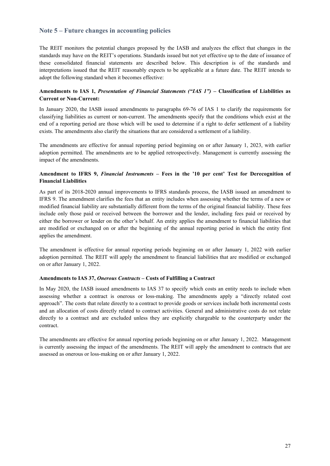## **Note 5 – Future changes in accounting policies**

The REIT monitors the potential changes proposed by the IASB and analyzes the effect that changes in the standards may have on the REIT's operations. Standards issued but not yet effective up to the date of issuance of these consolidated financial statements are described below. This description is of the standards and interpretations issued that the REIT reasonably expects to be applicable at a future date. The REIT intends to adopt the following standard when it becomes effective:

### **Amendments to IAS 1,** *Presentation of Financial Statements ("IAS 1") –* **Classification of Liabilities as Current or Non-Current:**

In January 2020, the IASB issued amendments to paragraphs 69-76 of IAS 1 to clarify the requirements for classifying liabilities as current or non-current. The amendments specify that the conditions which exist at the end of a reporting period are those which will be used to determine if a right to defer settlement of a liability exists. The amendments also clarify the situations that are considered a settlement of a liability.

The amendments are effective for annual reporting period beginning on or after January 1, 2023, with earlier adoption permitted. The amendments are to be applied retrospectively. Management is currently assessing the impact of the amendments.

## **Amendment to IFRS 9,** *Financial Instruments* **– Fees in the '10 per cent' Test for Derecognition of Financial Liabilities**

As part of its 2018-2020 annual improvements to IFRS standards process, the IASB issued an amendment to IFRS 9. The amendment clarifies the fees that an entity includes when assessing whether the terms of a new or modified financial liability are substantially different from the terms of the original financial liability. These fees include only those paid or received between the borrower and the lender, including fees paid or received by either the borrower or lender on the other's behalf. An entity applies the amendment to financial liabilities that are modified or exchanged on or after the beginning of the annual reporting period in which the entity first applies the amendment.

The amendment is effective for annual reporting periods beginning on or after January 1, 2022 with earlier adoption permitted. The REIT will apply the amendment to financial liabilities that are modified or exchanged on or after January 1, 2022.

#### **Amendments to IAS 37,** *Onerous Contracts* **– Costs of Fulfilling a Contract**

In May 2020, the IASB issued amendments to IAS 37 to specify which costs an entity needs to include when assessing whether a contract is onerous or loss-making. The amendments apply a "directly related cost approach". The costs that relate directly to a contract to provide goods or services include both incremental costs and an allocation of costs directly related to contract activities. General and administrative costs do not relate directly to a contract and are excluded unless they are explicitly chargeable to the counterparty under the contract.

The amendments are effective for annual reporting periods beginning on or after January 1, 2022. Management is currently assessing the impact of the amendments. The REIT will apply the amendment to contracts that are assessed as onerous or loss-making on or after January 1, 2022.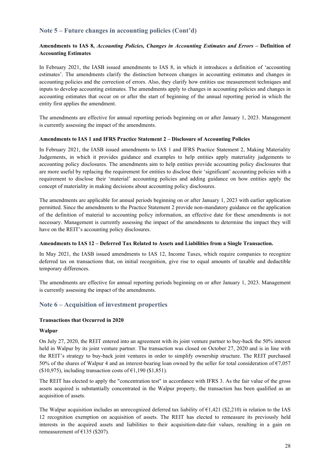## **Note 5 – Future changes in accounting policies (Cont'd)**

## **Amendments to IAS 8,** *Accounting Policies, Changes in Accounting Estimates and Errors* **– Definition of Accounting Estimates**

In February 2021, the IASB issued amendments to IAS 8, in which it introduces a definition of 'accounting estimates'. The amendments clarify the distinction between changes in accounting estimates and changes in accounting policies and the correction of errors. Also, they clarify how entities use measurement techniques and inputs to develop accounting estimates. The amendments apply to changes in accounting policies and changes in accounting estimates that occur on or after the start of beginning of the annual reporting period in which the entity first applies the amendment.

The amendments are effective for annual reporting periods beginning on or after January 1, 2023. Management is currently assessing the impact of the amendments.

#### **Amendments to IAS 1 and IFRS Practice Statement 2 – Disclosure of Accounting Policies**

In February 2021, the IASB issued amendments to IAS 1 and IFRS Practice Statement 2, Making Materiality Judgements, in which it provides guidance and examples to help entities apply materiality judgements to accounting policy disclosures. The amendments aim to help entities provide accounting policy disclosures that are more useful by replacing the requirement for entities to disclose their 'significant' accounting policies with a requirement to disclose their 'material' accounting policies and adding guidance on how entities apply the concept of materiality in making decisions about accounting policy disclosures.

The amendments are applicable for annual periods beginning on or after January 1, 2023 with earlier application permitted. Since the amendments to the Practice Statement 2 provide non-mandatory guidance on the application of the definition of material to accounting policy information, an effective date for these amendments is not necessary. Management is currently assessing the impact of the amendments to determine the impact they will have on the REIT's accounting policy disclosures.

#### **Amendments to IAS 12 – Deferred Tax Related to Assets and Liabilities from a Single Transaction.**

In May 2021, the IASB issued amendments to IAS 12, Income Taxes, which require companies to recognize deferred tax on transactions that, on initial recognition, give rise to equal amounts of taxable and deductible temporary differences.

The amendments are effective for annual reporting periods beginning on or after January 1, 2023. Management is currently assessing the impact of the amendments.

## **Note 6 – Acquisition of investment properties**

#### **Transactions that Occurred in 2020**

#### **Walpur**

On July 27, 2020, the REIT entered into an agreement with its joint venture partner to buy-back the 50% interest held in Walpur by its joint venture partner. The transaction was closed on October 27, 2020 and is in line with the REIT's strategy to buy-back joint ventures in order to simplify ownership structure. The REIT purchased 50% of the shares of Walpur 4 and an interest-bearing loan owned by the seller for total consideration of  $\epsilon$ 7,057 (\$10,975), including transaction costs of  $\epsilon$ 1,190 (\$1,851).

The REIT has elected to apply the "concentration test" in accordance with IFRS 3. As the fair value of the gross assets acquired is substantially concentrated in the Walpur property, the transaction has been qualified as an acquisition of assets.

The Walpur acquisition includes an unrecognized deferred tax liability of  $E1,421$  (\$2,210) in relation to the IAS 12 recognition exemption on acquisition of assets. The REIT has elected to remeasure its previously held interests in the acquired assets and liabilities to their acquisition-date-fair values, resulting in a gain on remeasurement of €135 (\$207).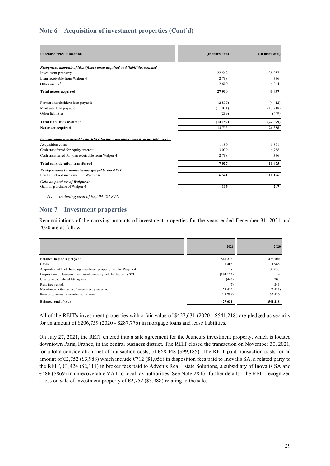## **Note 6 – Acquisition of investment properties (Cont'd)**

| Purchase price allocation                                                            | (in 000's of $\epsilon$ ) | (in 000's of \$) |
|--------------------------------------------------------------------------------------|---------------------------|------------------|
| Recognized amounts of identifiable assets acquired and liabilities assumed           |                           |                  |
| Investment property                                                                  | 22.542                    | 35 057           |
| Loan receivable from Walpur 4                                                        | 2 7 8 8                   | 4 3 3 6          |
| Other assets $(1)$                                                                   | 2 600                     | 4 0 4 4          |
| <b>Total assets acquired</b>                                                         | 27930                     | 43 437           |
| Former shareholder's loan payable                                                    | (2837)                    | (4412)           |
| Mortgage loan payable                                                                | (11071)                   | (17218)          |
| Other liabilities                                                                    | (289)                     | (449)            |
| <b>Total liabilities assumed</b>                                                     | (14197)                   | (22079)          |
| Net asset acquired                                                                   | 13733                     | 21 358           |
| Consideration transferred by the REIT for the acquisition consists of the following: |                           |                  |
| Acquisition costs                                                                    | 1 1 9 0                   | 1851             |
| Cash transferred for equity interest                                                 | 3 0 7 9                   | 4 7 8 8          |
| Cash transferred for loan receivable from Walpur 4                                   | 2 7 8 8                   | 4 3 3 6          |
| <b>Total consideration transferred</b>                                               | 7057                      | 10 975           |
| Equity method investment derecognized by the REIT                                    |                           |                  |
| Equity method investment in Walpur 4                                                 | 6541                      | 10 176           |
| Gain on purchase of Walpur 4:                                                        |                           |                  |
| Gain on purchase of Walpur 4                                                         | 135                       | 207              |

*(1) Including cash of €2,504 (\$3,894)*

## **Note 7 – Investment properties**

Reconciliations of the carrying amounts of investment properties for the years ended December 31, 2021 and 2020 are as follow:

|                                                                  | 2021     | 2020    |
|------------------------------------------------------------------|----------|---------|
| Balance, beginning of year                                       | 541 218  | 478 700 |
| Capex                                                            | 1403     | 1968    |
| Acquisition of Bad Homburg investment property held by Walpur 4  |          | 35 057  |
| Disposition of Jeuneurs investment property held by Jeuneurs SCI | (103173) |         |
| Change in capitalized letting fees                               | (445)    | 203     |
| Rent free periods                                                | (7)      | 241     |
| Net change in fair value of investment properties                | 29 419   | (7431)  |
| Foreign currency translation adjustment                          | (40784)  | 32 480  |
| Balance, end of year                                             | 427 631  | 541 218 |

All of the REIT's investment properties with a fair value of \$427,631 (2020 - \$541,218) are pledged as security for an amount of \$206,759 (2020 - \$287,776) in mortgage loans and lease liabilities.

On July 27, 2021, the REIT entered into a sale agreement for the Jeuneurs investment property, which is located downtown Paris, France, in the central business district. The REIT closed the transaction on November 30, 2021, for a total consideration, net of transaction costs, of  $668,448$  (\$99,185). The REIT paid transaction costs for an amount of €2,752 (\$3,988) which include €712 (\$1,056) in disposition fees paid to Inovalis SA, a related party to the REIT, €1,424 (\$2,111) in broker fees paid to Advenis Real Estate Solutions, a subsidiary of Inovalis SA and €586 (\$869) in unrecoverable VAT to local tax authorities. See Note 28 for further details. The REIT recognized a loss on sale of investment property of  $\epsilon$ 2,752 (\$3,988) relating to the sale.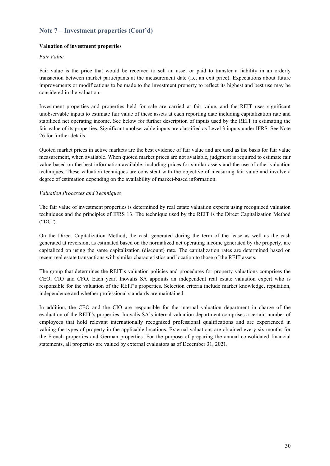## **Note 7 – Investment properties (Cont'd)**

## **Valuation of investment properties**

### *Fair Value*

Fair value is the price that would be received to sell an asset or paid to transfer a liability in an orderly transaction between market participants at the measurement date (i.e, an exit price). Expectations about future improvements or modifications to be made to the investment property to reflect its highest and best use may be considered in the valuation.

Investment properties and properties held for sale are carried at fair value, and the REIT uses significant unobservable inputs to estimate fair value of these assets at each reporting date including capitalization rate and stabilized net operating income. See below for further description of inputs used by the REIT in estimating the fair value of its properties. Significant unobservable inputs are classified as Level 3 inputs under IFRS. See Note 26 for further details.

Quoted market prices in active markets are the best evidence of fair value and are used as the basis for fair value measurement, when available. When quoted market prices are not available, judgment is required to estimate fair value based on the best information available, including prices for similar assets and the use of other valuation techniques. These valuation techniques are consistent with the objective of measuring fair value and involve a degree of estimation depending on the availability of market-based information.

### *Valuation Processes and Techniques*

The fair value of investment properties is determined by real estate valuation experts using recognized valuation techniques and the principles of IFRS 13. The technique used by the REIT is the Direct Capitalization Method ("DC").

On the Direct Capitalization Method, the cash generated during the term of the lease as well as the cash generated at reversion, as estimated based on the normalized net operating income generated by the property, are capitalized on using the same capitalization (discount) rate. The capitalization rates are determined based on recent real estate transactions with similar characteristics and location to those of the REIT assets.

The group that determines the REIT's valuation policies and procedures for property valuations comprises the CEO, CIO and CFO. Each year, Inovalis SA appoints an independent real estate valuation expert who is responsible for the valuation of the REIT's properties. Selection criteria include market knowledge, reputation, independence and whether professional standards are maintained.

In addition, the CEO and the CIO are responsible for the internal valuation department in charge of the evaluation of the REIT's properties. Inovalis SA's internal valuation department comprises a certain number of employees that hold relevant internationally recognized professional qualifications and are experienced in valuing the types of property in the applicable locations. External valuations are obtained every six months for the French properties and German properties. For the purpose of preparing the annual consolidated financial statements, all properties are valued by external evaluators as of December 31, 2021.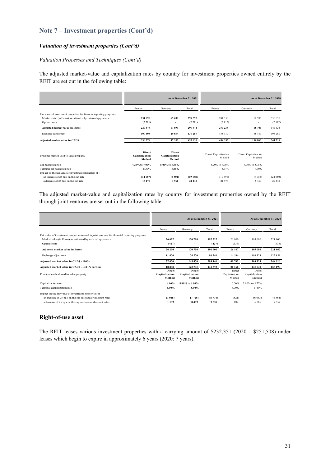## **Note 7 – Investment properties (Cont'd)**

## *Valuation of investment properties (Cont'd)*

#### *Valuation Processes and Techniques (Cont'd)*

The adjusted market-value and capitalization rates by country for investment properties owned entirely by the REIT are set out in the following table:

|                                                                      |                                    |                                    | As at December 31, 2021 |                                  | As at December 31, 2020         |         |
|----------------------------------------------------------------------|------------------------------------|------------------------------------|-------------------------|----------------------------------|---------------------------------|---------|
|                                                                      | France                             | Germany                            | Total                   | France                           | Germany                         | Total   |
| Fair value of investment properties for financial reporting purposes |                                    |                                    |                         |                                  |                                 |         |
| Market value (in Euros) as estimated by external appraisers          | 231 896                            | 67699                              | 299 595                 | 281 350                          | 68 700                          | 350 050 |
| Option costs                                                         | (2 221)                            |                                    | (2 221)                 | (2112)                           |                                 | (2112)  |
| Adjusted market value in Euros                                       | 229 675                            | 67699                              | 297 374                 | 279 238                          | 68 700                          | 347 938 |
| Exchange adjustment                                                  | 100 603                            | 29 654                             | 130 257                 | 155 117                          | 38 163                          | 193 280 |
| <b>Adjusted market value in CADS</b>                                 | 330 278                            | 97 353                             | 427 631                 | 434 355                          | 106 863                         | 541 218 |
| Principal method used to value property                              | Direct<br>Capitalization<br>Method | Direct<br>Capitalization<br>Method |                         | Direct Capitalization<br>M ethod | Direct Capitalization<br>Method |         |
| Capitalization rate                                                  | 4.20% to 7.00%                     | 5.00% to 5.50%                     |                         | 4.20% to 7.00%                   | 4.90% to 5.75%                  |         |
| Terminal capitalization rate                                         | 5.37%                              | 5.00%                              |                         | 5.37%                            | 4.90%                           |         |
| Impact on the fair value of investment properties of:                |                                    |                                    |                         |                                  |                                 |         |
| an increase of 25 bps on the cap rate                                | (14687)                            | (4501)                             | (19188)                 | (19896)                          | (4954)                          | (24850) |
| a decrease of 25 bps on the cap rate                                 | 16 179                             | 4961                               | 21 140                  | 21978                            | 5 4 6 3                         | 27 441  |

The adjusted market-value and capitalization rates by country for investment properties owned by the REIT through joint ventures are set out in the following table:

|                                                                                                                                                                                    |                                    | As at December 31, 2021            | As at December 31, 2020 |                                    |                                    |                  |
|------------------------------------------------------------------------------------------------------------------------------------------------------------------------------------|------------------------------------|------------------------------------|-------------------------|------------------------------------|------------------------------------|------------------|
|                                                                                                                                                                                    | France                             | Germany                            | Total                   | France                             | Germany                            | Total            |
| Fair value of investment properties owned in joint ventures for financial reporting purposes<br>Market value (in Euros) as estimated by external appraisers<br>Option costs        | 26 627<br>(427)                    | 170 700                            | 197327<br>(427)         | 26.800<br>(633)                    | 195 000<br>٠                       | 221 800<br>(633) |
| <b>Adjusted market value in Euros</b>                                                                                                                                              | 26 200                             | 170 700                            | 196 900                 | 26 167                             | 195 000                            | 221 167          |
| Exchange adjustment                                                                                                                                                                | 11 476                             | 74 770                             | 86 24 6                 | 14 5 3 6                           | 108 323                            | 122 859          |
| Adjusted market value in CADS - 100%                                                                                                                                               | 37 676                             | 245 470                            | 283 146                 | 40 703                             | 303 323                            | 344 026          |
| Adjusted market value in CAD\$ - REIT's portion                                                                                                                                    | 18838                              | 122 735                            | 141 573                 | 21 160                             | 135 030                            | 156 190          |
| Principal method used to value property                                                                                                                                            | Direct<br>Capitalization<br>Method | Direct<br>Capitalization<br>Method |                         | Direct<br>Capitalization<br>Method | Direct<br>Capitalization<br>Method |                  |
| Capitalization rate                                                                                                                                                                | 6.00%                              | 5.00% to 6.00%                     |                         | 6.00%                              | 3.80% to 5.75%                     |                  |
| Terminal capitalization rate                                                                                                                                                       | 6.00%                              | 5.00%                              |                         | 6.00%                              | 5.43%                              |                  |
| Impact on the fair value of investment properties of:<br>an increase of 25 bps on the cap rate and/or discount rates<br>a decrease of 25 bps on the cap rate and/or discount rates | (1048)<br>1 1 3 9                  | (7726)<br>8499                     | (8774)<br>9638          | (821)<br>892                       | (6063)<br>6 6 6 5                  | (6884)<br>7557   |

### **Right-of-use asset**

The REIT leases various investment properties with a carrying amount of \$232,351 (2020 – \$251,508) under leases which begin to expire in approximately 6 years (2020: 7 years).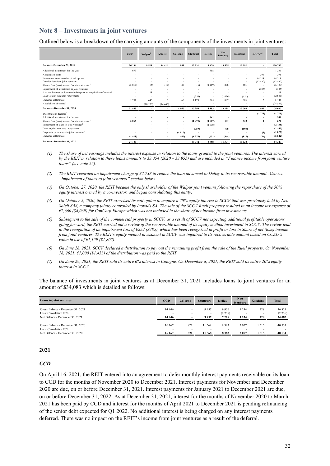## **Note 8 – Investments in joint ventures**

Outlined below is a breakdown of the carrying amounts of the components of the investments in joint ventures:

|                                                                     | <b>CCD</b> | Walpur <sup>3</sup> | Arcueil | Cologne | <b>Stuttgart</b> | Delizy         | Neu<br>Isenburg          | Kosching                 | SCCV <sup>4,5</sup> | <b>Total</b> |
|---------------------------------------------------------------------|------------|---------------------|---------|---------|------------------|----------------|--------------------------|--------------------------|---------------------|--------------|
| Balance -December 31, 2019                                          | 26 29 6    | 9518                | 14 4 16 | 955     | 17531            | 8479           | 13 505                   | 10 082                   |                     | 100 782      |
| Additional investment for the year                                  | 673        |                     |         |         |                  | 558            |                          |                          |                     | 1 2 3 1      |
| Acquisition costs                                                   |            |                     |         |         |                  |                |                          |                          | 396                 | 396          |
| Investment from exercise of call option                             |            |                     |         |         |                  |                |                          |                          | 14 2 18             | 14 218       |
| Distribution from joint ventures                                    |            |                     |         |         |                  |                |                          | $\overline{\phantom{a}}$ | (12430)             | (12.430)     |
| Share of net (loss) income from investments                         | (5817)     | (15)                | (17)    | 46      | (6)              | (1219)         | 208                      | 681                      | ٠                   | (6139)       |
| Impairment of investment in joint ventures                          |            |                     |         |         | ۰                |                |                          |                          | (385)               | (385)        |
| Accrued interest on loan receivable prior to acquisition of control | ۰          | 28                  |         |         |                  |                |                          |                          | ٠                   | 28           |
| Loan to joint ventures repayments                                   |            |                     |         |         | (754)            | $\overline{a}$ | (1476)                   | (651)                    | $\overline{a}$      | (2881)       |
| Exchange differences                                                | 1701       | 645                 | 6       | 66      | 1 1 7 9          | 565            | 897                      | 686                      | 3                   | 5 7 4 8      |
| Acquisition of control                                              | ٠          | (10176)             | (14405) |         |                  |                |                          |                          | ٠                   | (24581)      |
| Balance - December 31, 2020                                         | 22 853     |                     |         | 1067    | 17950            | 8383           | 13 134                   | 10 798                   | 1802                | 75 987       |
| Distributions declared <sup>6</sup>                                 |            |                     |         |         |                  |                |                          |                          | (1715)              | (1715)       |
| Additional investment for the year                                  |            |                     |         |         | ٠                | 941            |                          |                          | ٠                   | 941          |
| Share of net (loss) income from investments <sup>1</sup>            | 3 0 6 5    |                     |         |         | (1975)           | (1067)         | (81)                     | 732                      | $\overline{2}$      | 676          |
| Impairment of loans to joint ventures <sup>2</sup>                  |            |                     |         |         | ۰                | (2738)         | $\overline{\phantom{a}}$ |                          | ٠                   | (2738)       |
| Loan to joint ventures repayments                                   |            |                     |         |         | (759)            | ٠              | (708)                    | (693)                    | ٠                   | (2160)       |
| Disposals of interests in joint ventures <sup>7</sup>               |            |                     | ٠       | (1017)  |                  |                | $\overline{a}$           | ٠                        | (5)                 | (1022)       |
| Exchange differences                                                | (1818)     |                     |         | (50)    | (1274)           | (631)          | (968)                    | (817)                    | (84)                | (5642)       |
| Balance - December 31, 2021                                         | 24 100     |                     |         |         | 13 942           | 4888           | 11 377                   | 10 020                   |                     | 64 327       |

- *(1) The share of net earnings includes the interest expense in relation to the loans granted to the joint ventures. The interest earned by the REIT in relation to these loans amounts to \$3,354 (2020 – \$3,955) and are included in "Finance income from joint venture loans" (see note 22).*
- *(2) The REIT recorded an impairment charge of \$2,738 to reduce the loan advanced to Delizy to its recoverable amount. Also see "Impairment of loans to joint ventures" section below.*
- *(3) On October 27, 2020, the REIT became the only shareholder of the Walpur joint venture following the repurchase of the 50% equity interest owned by a co-investor, and began consolidating this entity.*
- *(4) On October 2, 2020, the REIT exercised its call option to acquire a 20% equity interest in SCCV that was previously held by Neo Soleil SAS, a company jointly controlled by Inovalis SA. The sale of the SCCV Rueil property resulted in an income tax expense of €2,660 (\$4,069) for CanCorp Europe which was not included in the share of net income from investments.*
- *(5) Subsequent to the sale of the commercial property in SCCV, as a result of SCCV not expecting additional profitable operations going forward, the REIT carried out a review of the recoverable amount of its equity method investment in SCCV. The review lead to the recognition of an impairment loss of €252 (\$385), which has been recognized in profit or loss in Share of net (loss) income from joint ventures. The REIT's equity method investment in SCCV was impaired to its recoverable amount based on CCEU's value in use of €1,159 (\$1,802).*
- *(6) On June 28, 2021, SCCV declared a distribution to pay out the remaining profit from the sale of the Rueil property. On November 18, 2021, €1,000 (\$1,433) of the distribution was paid to the REIT.*
- *(7) On June 29, 2021, the REIT sold its entire 6% interest in Cologne. On December 8, 2021, the REIT sold its entire 20% equity interest in SCCV.*

The balance of investments in joint ventures as at December 31, 2021 includes loans to joint ventures for an amount of \$34,083 which is detailed as follows:

| Loans to joint ventures                                   | <b>CCD</b> | Cologne                  | <b>Stuttgart</b> | <b>Delizy</b>  | Neu<br><b>Isenburg</b> | Kosching                         | <b>Total</b>    |
|-----------------------------------------------------------|------------|--------------------------|------------------|----------------|------------------------|----------------------------------|-----------------|
| Gross Balance - December 31, 2021<br>Less: Cumulative ECL | 14 946     | $\overline{\phantom{a}}$ | 9957             | 9956<br>(2738) | 1 234                  | 728                              | 36821<br>(2738) |
| Net Balance - December 31, 2021                           | 14 9 46    |                          | 9957             | 7218           | 1 2 3 4                | 728                              | 34 083          |
| Gross Balance - December 31, 2020<br>Less: Cumulative ECL | 16 167     | 821                      | 11 568<br>-      | 8 3 8 3        | 2077                   | 1515<br>$\overline{\phantom{a}}$ | 40 5 31         |
| Net Balance - December 31, 2020                           | 16 167     | 821                      | 11 568           | 8383           | 2077                   | 1515                             | 40 531          |

#### **2021**

#### *CCD*

On April 16, 2021, the REIT entered into an agreement to defer monthly interest payments receivable on its loan to CCD for the months of November 2020 to December 2021. Interest payments for November and December 2020 are due, on or before December 31, 2021. Interest payments for January 2021 to December 2021 are due, on or before December 31, 2022. As at December 31, 2021, interest for the months of November 2020 to March 2021 has been paid by CCD and interest for the months of April 2021 to December 2021 is pending refinancing of the senior debt expected for Q1 2022. No additional interest is being charged on any interest payments deferred. There was no impact on the REIT's income from joint ventures as a result of the deferral.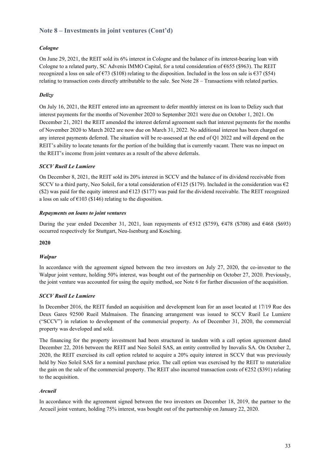## **Note 8 – Investments in joint ventures (Cont'd)**

### *Cologne*

On June 29, 2021, the REIT sold its 6% interest in Cologne and the balance of its interest-bearing loan with Cologne to a related party, SC Advenis IMMO Capital, for a total consideration of €655 (\$963). The REIT recognized a loss on sale of  $\epsilon$ 73 (\$108) relating to the disposition. Included in the loss on sale is  $\epsilon$ 37 (\$54) relating to transaction costs directly attributable to the sale. See Note 28 – Transactions with related parties.

### *Delizy*

On July 16, 2021, the REIT entered into an agreement to defer monthly interest on its loan to Delizy such that interest payments for the months of November 2020 to September 2021 were due on October 1, 2021. On December 21, 2021 the REIT amended the interest deferral agreement such that interest payments for the months of November 2020 to March 2022 are now due on March 31, 2022. No additional interest has been charged on any interest payments deferred. The situation will be re-assessed at the end of Q1 2022 and will depend on the REIT's ability to locate tenants for the portion of the building that is currently vacant. There was no impact on the REIT's income from joint ventures as a result of the above deferrals.

#### *SCCV Rueil Le Lumiere*

On December 8, 2021, the REIT sold its 20% interest in SCCV and the balance of its dividend receivable from SCCV to a third party, Neo Soleil, for a total consideration of  $\epsilon$ 125 (\$179). Included in the consideration was  $\epsilon$ 2  $(S2)$  was paid for the equity interest and  $E(123 (S177))$  was paid for the dividend receivable. The REIT recognized a loss on sale of  $\epsilon$ 103 (\$146) relating to the disposition.

#### *Repayments on loans to joint ventures*

During the year ended December 31, 2021, loan repayments of €512 (\$759), €478 (\$708) and €468 (\$693) occurred respectively for Stuttgart, Neu-Isenburg and Kosching.

#### **2020**

#### *Walpur*

In accordance with the agreement signed between the two investors on July 27, 2020, the co-investor to the Walpur joint venture, holding 50% interest, was bought out of the partnership on October 27, 2020. Previously, the joint venture was accounted for using the equity method, see Note 6 for further discussion of the acquisition.

#### *SCCV Rueil Le Lumiere*

In December 2016, the REIT funded an acquisition and development loan for an asset located at 17/19 Rue des Deux Gares 92500 Rueil Malmaison. The financing arrangement was issued to SCCV Rueil Le Lumiere ("SCCV") in relation to development of the commercial property. As of December 31, 2020, the commercial property was developed and sold.

The financing for the property investment had been structured in tandem with a call option agreement dated December 22, 2016 between the REIT and Neo Soleil SAS, an entity controlled by Inovalis SA. On October 2, 2020, the REIT exercised its call option related to acquire a 20% equity interest in SCCV that was previously held by Neo Soleil SAS for a nominal purchase price. The call option was exercised by the REIT to materialize the gain on the sale of the commercial property. The REIT also incurred transaction costs of  $\epsilon$ 252 (\$391) relating to the acquisition.

#### *Arcueil*

In accordance with the agreement signed between the two investors on December 18, 2019, the partner to the Arcueil joint venture, holding 75% interest, was bought out of the partnership on January 22, 2020.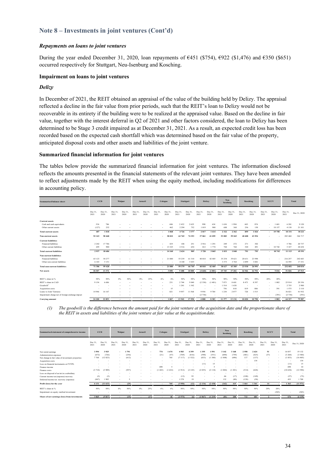## **Note 8 – Investments in joint ventures (Cont'd)**

#### *Repayments on loans to joint ventures*

During the year ended December 31, 2020, loan repayments of €451 (\$754), €922 (\$1,476) and €350 (\$651) occurred respectively for Stuttgart, Neu-Isenburg and Kosching.

#### **Impairment on loans to joint ventures**

#### *Delizy*

In December of 2021, the REIT obtained an appraisal of the value of the building held by Delizy. The appraisal reflected a decline in the fair value from prior periods, such that the REIT's loan to Delizy would not be recoverable in its entirety if the building were to be realized at the appraised value. Based on the decline in fair value, together with the interest deferral in Q2 of 2021 and other factors considered, the loan to Delizy has been determined to be Stage 3 credit impaired as at December 31, 2021. As a result, an expected credit loss has been recorded based on the expected cash shortfall which was determined based on the fair value of the property, anticipated disposal costs and other assets and liabilities of the joint venture.

#### **Summarized financial information for joint ventures**

The tables below provide the summarized financial information for joint ventures. The information disclosed reflects the amounts presented in the financial statements of the relevant joint ventures. They have been amended to reflect adjustments made by the REIT when using the equity method, including modifications for differences in accounting policy.

| <b>Summarised balance sheet</b>                  | CCD             |                 |                 | Walpur          |                          | <b>Arcueil</b>   |                          | Cologne         |         | <b>Stutteart</b> |                | <b>Delizy</b>            |                | Neu<br>Isenburg |                |                 | Kosching       | <b>SCCV</b>     |                          |                 | <b>Total</b> |
|--------------------------------------------------|-----------------|-----------------|-----------------|-----------------|--------------------------|------------------|--------------------------|-----------------|---------|------------------|----------------|--------------------------|----------------|-----------------|----------------|-----------------|----------------|-----------------|--------------------------|-----------------|--------------|
|                                                  | Dec 31.<br>2021 | Dec 31.<br>2020 | Dec 31.<br>2021 | Dec 31.<br>2020 | Dec 31.<br>2021          | Dec 31,<br>2020  | Dec 31.<br>2021          | Dec 31,<br>2020 |         | Dec 31.<br>2021  | Dec 31<br>2020 | Dec 31.<br>2021          | Dec 31<br>2020 | Dec 31<br>2021  | Dec 31<br>2020 | Dec 31.<br>2021 | Dec 31<br>2020 | Dec 31,<br>2021 | Dec 31,<br>2020          | Dec 31,<br>2021 | Dec 31, 2020 |
| <b>Current</b> assets                            |                 |                 |                 |                 |                          |                  |                          |                 |         |                  |                |                          |                |                 |                |                 |                |                 |                          |                 |              |
| Cash and cash equivalents                        | 534             | 786             |                 |                 |                          |                  |                          |                 | 606     | 2432             | 2625           | 998                      | 634            | 1634            | 1994           | 603             | 874            |                 | 1601                     | 6 2 0 1         | 9 1 2 0      |
| Other current assets                             | (127)           | 232             |                 |                 |                          |                  |                          |                 | 462     | 2 2 9 4          | 752            | 1019                     | 980            | 688             | 368            | 256             | 150            | $\sim$          | 18 157                   | 4 1 3 0         | 21 101       |
| <b>Total current assets</b>                      | 407             | 1018            |                 |                 |                          |                  |                          |                 | 1 068   | 4 7 2 6          | 3377           | 2 0 1 7                  | 1614           | 2 3 2 2         | 2 3 6 2        | 859             | 1024           |                 | $-19758$                 | 10 331          | 30 221       |
| <b>Non-current assets</b>                        | 92 143          | 90 468          |                 |                 |                          |                  |                          |                 | 38 022  | 62 765           | 74 353         | 37 061                   | 41 055         | 53 083          | 59 265         | 40 408          | 43 5 5 4       |                 |                          | 285 460         | 346 717      |
| <b>Current liabilities</b>                       |                 |                 |                 |                 |                          |                  |                          |                 |         |                  |                |                          |                |                 |                |                 |                |                 |                          |                 |              |
| Financial liabilities                            | 2 2 4 2         | 17 786          |                 |                 |                          |                  |                          |                 | 835     | 108              | 251            | 2916                     | 1 2 9 1        | 249             | 272            | 271             | 302            |                 |                          | 5 7 8 6         | 20 737       |
| Other current liabilities                        | 695             | 900             |                 |                 |                          |                  |                          | <b>A</b>        | 13 3 25 | 2 5 1 6          | 654            | 812                      | 1 7 7 4        | 784             | 768            | 520             | 491            | $\sim$          | 10 742                   | 5 3 2 7         | 28 654       |
| <b>Total current liabilities</b>                 | 2937            | 18 686          |                 |                 |                          |                  |                          |                 | 14 160  | 2 6 2 4          | 905            | 3728                     | 3 0 6 5        | 1 033           | 1 0 4 0        | 791             | 793            | $\sim$          | 10742                    | 11 113          | 49 391       |
| <b>Non-current liabilities</b>                   |                 |                 |                 |                 |                          |                  |                          |                 |         |                  |                |                          |                |                 |                |                 |                |                 |                          |                 |              |
| <b>Financial liabilities</b>                     | 65 123          | 54 277          |                 |                 |                          |                  |                          |                 | 21 080  | 55 239           | 61310          | 40 010                   | 42 405         | 35 25 4         | 39 621         | 20 631          | 23.990         |                 |                          | 216 257         | 242 683      |
| Other non-current liabilities                    | 6 183           | 5 1 5 1         |                 |                 |                          |                  |                          |                 |         | 4 1 4 0          | 5435           |                          |                | 3 3 7 3         | 3 7 6 4        | 2899            | 3 0 0 1        |                 |                          | 16 5 9 5        | 17351        |
| <b>Total non-current liabilities</b>             | 71 30 6         | 59 428          |                 |                 |                          |                  |                          |                 | 21 080  | 59 379           | 66 745         | 40 010                   | 42 405         | 38 627          | 43 385         | 23 530          | 26 991         |                 |                          | 232 852         | 260 034      |
| Net assets                                       | 18 307          | 13 372          |                 | $\sim$          |                          | $\sim$<br>$\sim$ |                          |                 | 3850    | 5488             | 10 080         | (4660)                   | (2801)         | 15745           | 17 20 2        | 16 946          | 16 794         |                 | 9016                     | 51826           | 67 513       |
|                                                  |                 |                 |                 |                 |                          |                  |                          |                 |         |                  |                |                          |                |                 |                |                 |                |                 |                          |                 |              |
| REIT's share in %                                | 50%             | 50%             | 0%              | 50%             | 0%                       | 25%              | 6%                       |                 | 6%      | 50%              | 50%            | 50%                      | 50%            | 50%             | 50%            | 50%             | 50%            | 20%             | 20%                      |                 |              |
| REIT's share in CAD                              | 9 1 5 4         | 6 68 6          |                 |                 |                          |                  |                          |                 | 231     | 2 7 4 4          | 5 0 4 0        | (2330)                   | 1401           | 7873            | 8 601          | 8473            | 8 3 9 7        |                 | 1802                     | 25 914          | 29 3 5 6     |
| Goodwill                                         |                 |                 |                 |                 |                          |                  |                          |                 | ٠.      | 1 2 4 1          | 1342           |                          |                | 1514            | 1638           | . .             |                |                 | $\overline{\phantom{a}}$ | 2 7 5 5         | 2980         |
| Acquisition costs                                |                 |                 |                 |                 |                          |                  |                          |                 | 15      |                  |                | $\overline{\phantom{a}}$ | ٠              | 756             | 818            | 819             | 886            |                 | 391                      | 1575            | 2 1 1 0      |
| Loans to Joint Ventures                          | 14 9 46         | 16 167          |                 |                 |                          |                  |                          |                 | 821     | 9957             | 11 5 68        | 9956                     | 9 7 8 4        | 1 2 3 4         | 2077           | 728             | 1515           |                 |                          | 36 821          | 41 932       |
| Impairment charge net of foreign exchange impact |                 |                 |                 |                 |                          |                  |                          |                 |         |                  |                | (2738)                   |                |                 |                |                 |                |                 | (391)                    | (2738)          | (391)        |
| <b>Carrying</b> amount                           | 24 100          | 22853           |                 | $\sim$          | $\overline{\phantom{a}}$ |                  | $\overline{\phantom{a}}$ |                 | 1 0 6 7 | 13 942           | 17950          | 4888                     | 8 3 8 3        | 11 377          | 13 13 4        | 10 020          | 10 798         |                 | 1802                     | 64 3 27         | 75987        |

*(1) The goodwill is the difference between the amount paid for the joint venture at the acquisition date and the proportionate share of the REIT in assets and liabilities of the joint venture at fair value at the acquisitiondate.*

| Summarised statement of comprehensive income      | <b>CCD</b>      |                 |                 | Walpur                   |                 | <b>Arcueil</b>                     | Cologne                  |                          | Stuttgart       |                          | <b>Delizy</b>            |                          | Neu<br><b>Isenburg</b> |                 |                 | Kosching        |                 | <b>SCCV</b>     |                 | <b>Total</b> |
|---------------------------------------------------|-----------------|-----------------|-----------------|--------------------------|-----------------|------------------------------------|--------------------------|--------------------------|-----------------|--------------------------|--------------------------|--------------------------|------------------------|-----------------|-----------------|-----------------|-----------------|-----------------|-----------------|--------------|
|                                                   | Dec 31.<br>2021 | Dec 31.<br>2020 | Dec 31.<br>2021 | Dec 31.<br>2020          | Dec 31.<br>2021 | Dec 31.<br>2020                    | Dec 31.<br>2021          | Dec 31.<br>2020          | Dec 31.<br>2021 | Dec 31<br>2020           | Dec 31.<br>2021          | Dec 31<br>2020           | Dec 31<br>2021         | Dec 31.<br>2020 | Dec 31.<br>2021 | Dec 31.<br>2020 | Dec 31.<br>2021 | Dec 31.<br>2020 | Dec 31,<br>2021 | Dec 31, 2020 |
| Net rental earnings                               | 3594            | 3 9 2 5         |                 | 1791<br>$\sim$           |                 | $\sim$<br>$\sim$                   | 774                      | 1674                     | 4583            | 4 3 5 9                  | 1355                     | 1591                     | 3 1 4 2                | 3 1 6 8         | 2 5 5 8         | 2 6 2 4         | 51              | $\sim$          | 16057           | 19 13 2      |
| Administration expenses                           | (672)           | (726)           |                 | (256)<br>$\sim$          |                 | $\sim$<br>$\overline{\phantom{a}}$ | (21)                     | (47)                     | (769)           | (816)                    | (590)                    | (551)                    | (690)                  | (759)           | (481)           | (425)           | (37)            | $\sim$          | (3.260)         | (3.580)      |
| Net change in fair value of investment properties | 7768            | (12823)         |                 | (612)<br>$\sim$          |                 | $\sim$                             | ٠                        | 765                      | (7117)          | (1522)                   | (833)                    | (1380)                   | (1808)                 | (696)           | 137             | (137)           | $\sim$          | $\sim$          | (1853)          | (16, 405)    |
| Acquisition costs                                 |                 |                 |                 |                          |                 |                                    |                          |                          |                 |                          |                          |                          |                        |                 | $\sim$          | 134             | $\sim$          |                 |                 | 134          |
| Loss on financial instruments at FVTPL            |                 |                 |                 |                          |                 |                                    |                          |                          |                 | $\overline{\phantom{a}}$ | (11)                     | 15                       |                        |                 |                 |                 |                 |                 | (11)            | 15           |
| Finance income                                    |                 |                 |                 |                          |                 |                                    | 690                      |                          |                 |                          |                          |                          |                        |                 |                 |                 |                 |                 | 690             | 10           |
| Finance costs                                     | (3710)          | (3.909)         |                 | (957)<br>$\sim$          |                 | $\sim$<br>$\sim$                   | (1443)                   | (1632)                   | (1912)          | (2.145)                  | (2.055)                  | (2118)                   | (1004)                 | (1201)          | (514)           | (628)           | $\sim$          |                 | (10638)         | (12.590)     |
| Loss on disposal of an int.in a subsidiary        |                 |                 |                 |                          |                 |                                    |                          |                          |                 |                          |                          |                          |                        |                 |                 |                 |                 |                 |                 |              |
| Current income tax (expense) recovery             | (2)             | (2)             |                 | $\overline{\phantom{a}}$ |                 |                                    |                          |                          | (13)            | 93                       | $\overline{\phantom{a}}$ |                          | 66                     | (17)            | (108)           | (149)           |                 |                 | (57)            | (75)         |
| Deferred income tax recovery (expense)            | (847)           | 1902            |                 |                          |                 |                                    | $\overline{\phantom{a}}$ | $\overline{\phantom{a}}$ | 1278            | 19                       | $\overline{\phantom{a}}$ | $\overline{\phantom{a}}$ | 132                    | (80)            | (128)           | (58)            |                 |                 | 435             | 1788         |
| Profit (loss) for the year                        | 6 1 3 1         | (11633)         |                 | (29)<br>$\sim$           |                 | $\sim$                             | $\sim$                   | 765                      | (3950)          | (12)                     | (2134)                   | (2.438)                  | (162)                  | 415             | 1 4 6 4         | 1361            | 14              | $\sim$          | 1363            | (11571)      |
| REIT's share in %                                 | 50%             | 50%             |                 | $0\%$<br>50%             | $0\%$           | 25%                                | 6%                       | 6%                       | 50%             | 50%                      | 50%                      | 50%                      | 50%                    | 50%             | 50%             | 50%             | 20%             | 20%             |                 |              |
| Impairment on equity method investment            |                 |                 |                 |                          |                 |                                    |                          |                          | ٠.              |                          |                          | $\overline{\phantom{a}}$ |                        |                 |                 |                 |                 | (385)           |                 | (385)        |
| Share of net earnings (loss) from investments     | 3 0 6 5         | (5817)          |                 | (15)                     |                 | (17)                               | $\overline{\phantom{a}}$ | 46                       | (1975)          | (6)                      | (1067)                   | (1 219)                  | (81)                   | 208             | 732             | 681             |                 |                 | 676             | (6139)       |
|                                                   |                 |                 |                 |                          |                 |                                    |                          |                          |                 |                          |                          |                          |                        |                 |                 |                 |                 |                 |                 |              |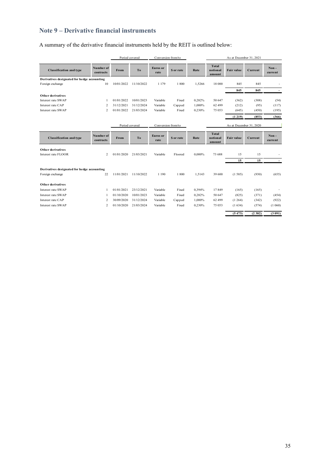## **Note 9 – Derivative financial instruments**

## A summary of the derivative financial instruments held by the REIT is outlined below:

|                                             |                        | Period covered |            | Conversion from/to      |                  |           | As at December 31, 2021            |                   |                         |                 |  |  |
|---------------------------------------------|------------------------|----------------|------------|-------------------------|------------------|-----------|------------------------------------|-------------------|-------------------------|-----------------|--|--|
| <b>Classification and type</b>              | Number of<br>contracts | From           | To         | <b>Euros</b> or<br>rate | <b>S</b> or rate | Rate      | Total<br>notional<br>amount        | <b>Fair value</b> | Current                 | Non-<br>current |  |  |
| Derivatives designated for hedge accounting |                        |                |            |                         |                  |           |                                    |                   |                         |                 |  |  |
| Foreign exchange                            | 10                     | 10/01/2022     | 11/10/2022 | 1 1 7 9                 | 1800             | 1,5266    | 18 000                             | 845               | 845                     |                 |  |  |
|                                             |                        |                |            |                         |                  |           |                                    | 845               | 845                     | $\sim$          |  |  |
| Other derivatives                           |                        |                |            |                         |                  |           |                                    |                   |                         |                 |  |  |
| Interest rate SWAP                          | $\mathbf{1}$           | 01/01/2022     | 10/01/2023 | Variable                | Fixed            | 0,282%    | 50 647                             | (362)             | (308)                   | (54)            |  |  |
| Interest rate CAP                           | $\overline{2}$         | 31/12/2021     | 31/12/2024 | Variable                | Capped           | 1,000%    | 62 499                             | (212)             | (95)                    | (117)           |  |  |
| Interest rate SWAP                          | 2                      | 01/01/2022     | 21/03/2024 | Variable                | Fixed            | 0,230%    | 75 053                             | (645)             | (450)                   | (195)           |  |  |
|                                             |                        |                |            |                         |                  |           |                                    | (1 219)           | (853)                   | (366)           |  |  |
|                                             |                        | Period covered |            | Conversion from/to      |                  |           |                                    |                   | As at December 31, 2020 |                 |  |  |
| <b>Classification and type</b>              | Number of<br>contracts | From           | To         | <b>Euros</b> or<br>rate | <b>S</b> or rate | Rate      | <b>Total</b><br>notional<br>amount | <b>Fair value</b> | Current                 | Non-<br>current |  |  |
| Other derivatives                           |                        |                |            |                         |                  |           |                                    |                   |                         |                 |  |  |
| Interest rate FLOOR                         | 2                      | 01/01/2020     | 21/03/2021 | Variable                | Floored          | $0,000\%$ | 73 688                             | 15                | 15                      |                 |  |  |
|                                             |                        |                |            |                         |                  |           |                                    | 15                | 15                      |                 |  |  |
| Derivatives designated for hedge accounting |                        |                |            |                         |                  |           |                                    |                   |                         |                 |  |  |
| Foreign exchange                            | 22                     | 11/01/2021     | 11/10/2022 | 1 1 9 0                 | 1800             | 1,5143    | 39 600                             | (1585)            | (930)                   | (655)           |  |  |
| Other derivatives                           |                        |                |            |                         |                  |           |                                    |                   |                         |                 |  |  |
| Interest rate SWAP                          | 1                      | 01/01/2021     | 23/12/2021 | Variable                | Fixed            | 0,394%    | 17849                              | (165)             | (165)                   |                 |  |  |
| Interest rate SWAP                          | 1                      | 01/10/2020     | 10/01/2023 | Variable                | Fixed            | 0,282%    | 50 647                             | (825)             | (371)                   | (454)           |  |  |
| Interest rate CAP                           | 2                      | 30/09/2020     | 31/12/2024 | Variable                | Capped           | 1,000%    | 62 499                             | (1264)            | (342)                   | (922)           |  |  |
| Interest rate SWAP                          | 2                      | 01/10/2020     | 21/03/2024 | Variable                | Fixed            | 0,230%    | 75 053                             | (1634)            | (574)                   | (1060)          |  |  |
|                                             |                        |                |            |                         |                  |           |                                    | (5473)            | (2382)                  | (3091)          |  |  |
|                                             |                        |                |            |                         |                  |           |                                    |                   |                         |                 |  |  |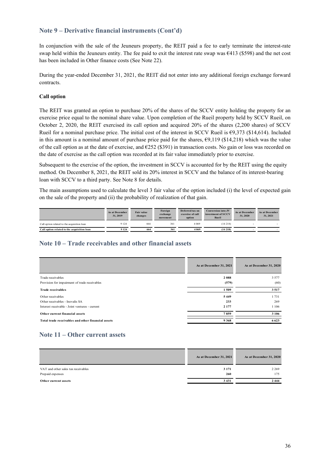## **Note 9 – Derivative financial instruments (Cont'd)**

In conjunction with the sale of the Jeuneurs property, the REIT paid a fee to early terminate the interest-rate swap held within the Jeuneurs entity. The fee paid to exit the interest rate swap was €413 (\$598) and the net cost has been included in Other finance costs (See Note 22).

During the year-ended December 31, 2021, the REIT did not enter into any additional foreign exchange forward contracts.

### **Call option**

The REIT was granted an option to purchase 20% of the shares of the SCCV entity holding the property for an exercise price equal to the nominal share value. Upon completion of the Rueil property held by SCCV Rueil, on October 2, 2020, the REIT exercised its call option and acquired 20% of the shares (2,200 shares) of SCCV Rueil for a nominal purchase price. The initial cost of the interest in SCCV Rueil is  $\epsilon$ 9,373 (\$14,614). Included in this amount is a nominal amount of purchase price paid for the shares, €9,119 (\$14,218) which was the value of the call option as at the date of exercise, and  $\epsilon$ 252 (\$391) in transaction costs. No gain or loss was recorded on the date of exercise as the call option was recorded at its fair value immediately prior to exercise.

Subsequent to the exercise of the option, the investment in SCCV is accounted for by the REIT using the equity method. On December 8, 2021, the REIT sold its 20% interest in SCCV and the balance of its interest-bearing loan with SCCV to a third party. See Note 8 for details.

The main assumptions used to calculate the level 3 fair value of the option included (i) the level of expected gain on the sale of the property and (ii) the probability of realization of that gain.

|                                             | As at December<br>31, 2019 | <b>Fair value</b><br>changes | Foreign<br>exchange<br>movement | Deferred tax on<br>exercise of call<br>option | <b>Conversion into JV</b><br>investment of SCCV<br>Rueil | As at December<br>31, 2020 | As at December<br>31, 2021 |
|---------------------------------------------|----------------------------|------------------------------|---------------------------------|-----------------------------------------------|----------------------------------------------------------|----------------------------|----------------------------|
| Call option related to the acquisition loan | 9 1 2 4                    | 664                          | 361                             | 4 0 6 9                                       | (14218)                                                  |                            |                            |
| Call option related to the acquisition loan | 9 1 2 4                    | 664                          | 361                             | 4 0 6 9                                       | (14218)                                                  |                            |                            |

## **Note 10 – Trade receivables and other financial assets**

|                                                    | As at December 31, 2021 | As at December 31, 2020 |
|----------------------------------------------------|-------------------------|-------------------------|
| Trade receivables                                  | 2088                    | 3 5 7 7                 |
| Provision for impairment of trade receivables      | (579)                   | (60)                    |
| Trade receivables                                  | 1509                    | 3517                    |
| Other receivables                                  | 5449                    | 1731                    |
| Other receivables - Inovalis SA                    | 233                     | 269                     |
| Interest receivable - Joint ventures - current     | 2 1 7 7                 | 1 1 0 6                 |
| Other current financial assets                     | 7859                    | 3 1 0 6                 |
| Total trade receivables and other financial assets | 9 3 6 8                 | 6 6 23                  |

## **Note 11 – Other current assets**

|                                     | As at December 31, 2021 | As at December 31, 2020 |
|-------------------------------------|-------------------------|-------------------------|
| VAT and other sales tax receivables | 3 1 7 1                 | 2 2 6 9                 |
| Prepaid expenses                    | 260                     | 175                     |
| Other current assets                | 3 4 3 1                 | 2444                    |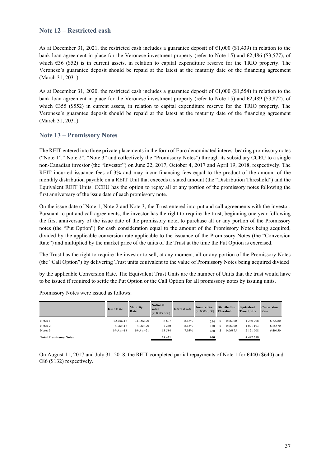## **Note 12 – Restricted cash**

As at December 31, 2021, the restricted cash includes a guarantee deposit of  $\epsilon$ 1,000 (\$1,439) in relation to the bank loan agreement in place for the Veronese investment property (refer to Note 15) and  $\epsilon$ 2,486 (\$3,577), of which  $636$  (\$52) is in current assets, in relation to capital expenditure reserve for the TRIO property. The Veronese's guarantee deposit should be repaid at the latest at the maturity date of the financing agreement (March 31, 2031).

As at December 31, 2020, the restricted cash includes a guarantee deposit of  $\epsilon$ 1,000 (\$1,554) in relation to the bank loan agreement in place for the Veronese investment property (refer to Note 15) and €2,489 (\$3,872), of which €355 (\$552) in current assets, in relation to capital expenditure reserve for the TRIO property. The Veronese's guarantee deposit should be repaid at the latest at the maturity date of the financing agreement (March 31, 2031).

## **Note 13 – Promissory Notes**

The REIT entered into three private placements in the form of Euro denominated interest bearing promissory notes ("Note 1"," Note 2", "Note 3" and collectively the "Promissory Notes") through its subsidiary CCEU to a single non-Canadian investor (the "Investor") on June 22, 2017, October 4, 2017 and April 19, 2018, respectively. The REIT incurred issuance fees of 3% and may incur financing fees equal to the product of the amount of the monthly distribution payable on a REIT Unit that exceeds a stated amount (the "Distribution Threshold") and the Equivalent REIT Units. CCEU has the option to repay all or any portion of the promissory notes following the first anniversary of the issue date of each promissory note.

On the issue date of Note 1, Note 2 and Note 3, the Trust entered into put and call agreements with the investor. Pursuant to put and call agreements, the investor has the right to require the trust, beginning one year following the first anniversary of the issue date of the promissory note, to purchase all or any portion of the Promissory notes (the "Put Option") for cash consideration equal to the amount of the Promissory Notes being acquired, divided by the applicable conversion rate applicable to the issuance of the Promissory Notes (the "Conversion Rate") and multiplied by the market price of the units of the Trust at the time the Put Option is exercised.

The Trust has the right to require the investor to sell, at any moment, all or any portion of the Promissory Notes (the "Call Option") by delivering Trust units equivalent to the value of Promissory Notes being acquired divided

by the applicable Conversion Rate. The Equivalent Trust Units are the number of Units that the trust would have to be issued if required to settle the Put Option or the Call Option for all promissory notes by issuing units.

Promissory Notes were issued as follows:

|                               | <b>Issue Date</b> | Maturity<br>Date | <b>Notional</b><br>value<br>$(in 000's of \epsilon)$ | Interest rate | <b>Isuance Fee</b><br>$(in 000's of \epsilon)$ | <b>Distribution</b><br><b>Threshold</b> |         | Equivalent<br><b>Trust Units</b> | Conversion<br>Rate |
|-------------------------------|-------------------|------------------|------------------------------------------------------|---------------|------------------------------------------------|-----------------------------------------|---------|----------------------------------|--------------------|
| Notes 1                       | $22 - Jun-17$     | $31 - Dec-20$    | 8607                                                 | 8.18%         | 274                                            | S                                       | 0.06900 | 1 280 208                        | 6,72280            |
| Notes 2                       | $4-Oct-17$        | $4-Oct-20$       | 7 2 4 0                                              | 8.13%         | 218                                            | S                                       | 0.06900 | 1 091 103                        | 6,65570            |
| Notes 3                       | $19-Apr-18$       | $19-Apr-21$      | 13 5 8 4                                             | 7.95%         | 408                                            | S                                       | 0,06875 | 2 121 008                        | 6,40450            |
| <b>Total Promissory Notes</b> |                   |                  | 29 431                                               |               | 900                                            |                                         |         | 4 4 9 2 3 1 9                    |                    |

On August 11, 2017 and July 31, 2018, the REIT completed partial repayments of Note 1 for  $\epsilon$ 440 (\$640) and  $€86$  (\$132) respectively.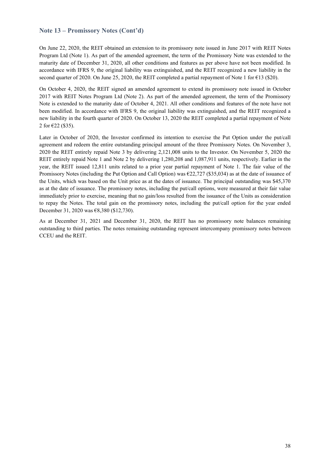## **Note 13 – Promissory Notes (Cont'd)**

On June 22, 2020, the REIT obtained an extension to its promissory note issued in June 2017 with REIT Notes Program Ltd (Note 1). As part of the amended agreement, the term of the Promissory Note was extended to the maturity date of December 31, 2020, all other conditions and features as per above have not been modified. In accordance with IFRS 9, the original liability was extinguished, and the REIT recognized a new liability in the second quarter of 2020. On June 25, 2020, the REIT completed a partial repayment of Note 1 for €13 (\$20).

On October 4, 2020, the REIT signed an amended agreement to extend its promissory note issued in October 2017 with REIT Notes Program Ltd (Note 2). As part of the amended agreement, the term of the Promissory Note is extended to the maturity date of October 4, 2021. All other conditions and features of the note have not been modified. In accordance with IFRS 9, the original liability was extinguished, and the REIT recognized a new liability in the fourth quarter of 2020. On October 13, 2020 the REIT completed a partial repayment of Note 2 for €22 (\$35).

Later in October of 2020, the Investor confirmed its intention to exercise the Put Option under the put/call agreement and redeem the entire outstanding principal amount of the three Promissory Notes. On November 3, 2020 the REIT entirely repaid Note 3 by delivering 2,121,008 units to the Investor. On November 5, 2020 the REIT entirely repaid Note 1 and Note 2 by delivering 1,280,208 and 1,087,911 units, respectively. Earlier in the year, the REIT issued 12,811 units related to a prior year partial repayment of Note 1. The fair value of the Promissory Notes (including the Put Option and Call Option) was €22,727 (\$35,034) as at the date of issuance of the Units, which was based on the Unit price as at the dates of issuance. The principal outstanding was \$45,370 as at the date of issuance. The promissory notes, including the put/call options, were measured at their fair value immediately prior to exercise, meaning that no gain/loss resulted from the issuance of the Units as consideration to repay the Notes. The total gain on the promissory notes, including the put/call option for the year ended December 31, 2020 was €8,380 (\$12,730).

As at December 31, 2021 and December 31, 2020, the REIT has no promissory note balances remaining outstanding to third parties. The notes remaining outstanding represent intercompany promissory notes between CCEU and the REIT.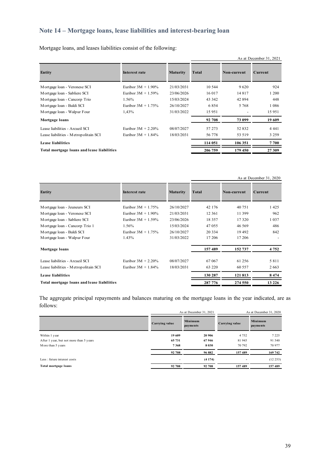## **Note 14 – Mortgage loans, lease liabilities and interest-bearing loan**

Mortgage loans, and leases liabilities consist of the following:

|                                            |                       |                 | As at December 31, 2021 |             |         |  |  |  |
|--------------------------------------------|-----------------------|-----------------|-------------------------|-------------|---------|--|--|--|
| Entity                                     | Interest rate         | <b>Maturity</b> | <b>Total</b>            | Non-current | Current |  |  |  |
| Mortgage loan - Veronese SCI               | Euribor $3M + 1.90\%$ | 21/03/2031      | 10 544                  | 9620        | 924     |  |  |  |
| Mortgage loan - Sabliere SCI               | Euribor $3M + 1.59\%$ | 23/06/2026      | 16 017                  | 14817       | 1 200   |  |  |  |
| Mortgage loan - Cancorp Trio               | 1.56%                 | 15/03/2024      | 43 342                  | 42 894      | 448     |  |  |  |
| Mortgage loan - Baldi SCI                  | Euribor $3M + 1.75%$  | 26/10/2027      | 6854                    | 5 7 6 8     | 1 0 8 6 |  |  |  |
| Mortgage loan - Walpur Four                | 1,43%                 | 31/03/2022      | 15951                   |             | 15 951  |  |  |  |
| Mortgage loans                             |                       |                 | 92 708                  | 73 099      | 19 609  |  |  |  |
| Lease liabilities - Arcueil SCI            | Euribor $3M + 2.20\%$ | 08/07/2027      | 57 273                  | 52 832      | 4 4 4 1 |  |  |  |
| Lease liabilities - Metropolitain SCI      | Euribor $3M + 1.84\%$ | 18/03/2031      | 56 778                  | 53 519      | 3 2 5 9 |  |  |  |
| Lease liabilities                          |                       |                 | 114 051                 | 106 351     | 7700    |  |  |  |
| Total mortgage loans and lease liabilities |                       |                 | 206 759                 | 179 450     | 27 309  |  |  |  |

|                                            |                       |                 |              |             | As at December 31, 2020 |
|--------------------------------------------|-----------------------|-----------------|--------------|-------------|-------------------------|
| <b>Entity</b>                              | Interest rate         | <b>Maturity</b> | <b>Total</b> | Non-current | Current                 |
| Mortgage loan - Jeuneurs SCI               | Euribor $3M + 1.75%$  | 26/10/2027      | 42 176       | 40 751      | 1425                    |
| Mortgage loan - Veronese SCI               | Euribor $3M + 1.90\%$ | 21/03/2031      | 12 3 6 1     | 11 399      | 962                     |
| Mortgage loan - Sabliere SCI               | Euribor $3M + 1.59%$  | 23/06/2026      | 18 3 5 7     | 17 3 20     | 1 0 3 7                 |
| Mortgage loan - Cancorp Trio 1             | 1.56%                 | 15/03/2024      | 47 055       | 46 569      | 486                     |
| Mortgage loan - Baldi SCI                  | Euribor $3M + 1.75\%$ | 26/10/2027      | 20 3 3 4     | 19 492      | 842                     |
| Mortgage loan - Walpur Four                | 1.43%                 | 31/03/2022      | 17 20 6      | 17 20 6     |                         |
| Mortgage loans                             |                       |                 | 157489       | 152 737     | 4 7 5 2                 |
|                                            |                       |                 |              |             |                         |
| Lease liabilities - Arcueil SCI            | Euribor $3M + 2.20\%$ | 08/07/2027      | 67 067       | 61 256      | 5811                    |
| Lease liabilities - Metropolitain SCI      | Euribor $3M + 1.84\%$ | 18/03/2031      | 63 220       | 60 557      | 2 6 6 3                 |
| Lease liabilities                          |                       |                 | 130 287      | 121 813     | 8474                    |
| Total mortgage loans and lease liabilities |                       |                 | 287 776      | 274 550     | 13 2 26                 |

The aggregate principal repayments and balances maturing on the mortgage loans in the year indicated, are as follows:

|                                         |                          | As at December 31, 2021 | As at December 31, 2020  |                     |  |  |
|-----------------------------------------|--------------------------|-------------------------|--------------------------|---------------------|--|--|
|                                         | Carrying value           | Minimum<br>payments     | <b>Carrying value</b>    | Minimum<br>payments |  |  |
| Within 1 year                           | 19 609                   | 20 906                  | 4 7 5 2                  | 7 2 2 5             |  |  |
| After 1 year, but not more than 5 years | 65 731                   | 67946                   | 81 945                   | 91 540              |  |  |
| More than 5 years                       | 7368                     | 8 0 3 0                 | 70 792                   | 70 977              |  |  |
|                                         | 92 708                   | 96 882                  | 157 489                  | 169 742             |  |  |
| Less: future interest costs             | $\overline{\phantom{0}}$ | (4174)                  | $\overline{\phantom{0}}$ | (12 253)            |  |  |
| <b>Total mortgage loans</b>             | 92 708                   | 92 708                  | 157 489                  | 157 489             |  |  |
|                                         |                          |                         |                          |                     |  |  |

As at December 31, 2020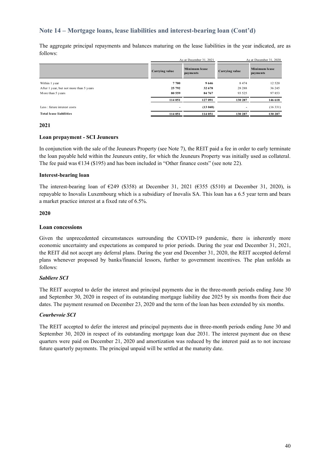## **Note 14 – Mortgage loans, lease liabilities and interest-bearing loan (Cont'd)**

The aggregate principal repayments and balances maturing on the lease liabilities in the year indicated, are as follows:

|                                         |                       | As at December 31, 2021   | As at December 31, 2020  |                           |  |  |  |
|-----------------------------------------|-----------------------|---------------------------|--------------------------|---------------------------|--|--|--|
|                                         | <b>Carrying value</b> | Minimum lease<br>payments | <b>Carrying value</b>    | Minimum lease<br>payments |  |  |  |
| Within 1 year                           | 7700                  | 9646                      | 8 4 7 4                  | 12 5 20                   |  |  |  |
| After 1 year, but not more than 5 years | 25 792                | 32 678                    | 28 28 8                  | 36 245                    |  |  |  |
| More than 5 years                       | 80 559                | 84 767                    | 93 5 25                  | 97853                     |  |  |  |
|                                         | 114 051               | 127 091                   | 130 287                  | 146 618                   |  |  |  |
| Less: future interest costs             | $\overline{a}$        | (13040)                   | $\overline{\phantom{0}}$ | (16331)                   |  |  |  |
| <b>Total lease liabilities</b>          | 114 051               | 114 051                   | 130 287                  | 130 287                   |  |  |  |

#### **2021**

### **Loan prepayment - SCI Jeuneurs**

In conjunction with the sale of the Jeuneurs Property (see Note 7), the REIT paid a fee in order to early terminate the loan payable held within the Jeuneurs entity, for which the Jeuneurs Property was initially used as collateral. The fee paid was  $E$ 134 (\$195) and has been included in "Other finance costs" (see note 22).

### **Interest-bearing loan**

The interest-bearing loan of  $E$ 249 (\$358) at December 31, 2021 ( $E$ 355 (\$510) at December 31, 2020), is repayable to Inovalis Luxembourg which is a subsidiary of Inovalis SA. This loan has a 6.5 year term and bears a market practice interest at a fixed rate of 6.5%.

### **2020**

## **Loan concessions**

Given the unprecedented circumstances surrounding the COVID-19 pandemic, there is inherently more economic uncertainty and expectations as compared to prior periods. During the year end December 31, 2021, the REIT did not accept any deferral plans. During the year end December 31, 2020, the REIT accepted deferral plans whenever proposed by banks/financial lessors, further to government incentives. The plan unfolds as follows:

## *Sabliere SCI*

The REIT accepted to defer the interest and principal payments due in the three-month periods ending June 30 and September 30, 2020 in respect of its outstanding mortgage liability due 2025 by six months from their due dates. The payment resumed on December 23, 2020 and the term of the loan has been extended by six months.

## *Courbevoie SCI*

The REIT accepted to defer the interest and principal payments due in three-month periods ending June 30 and September 30, 2020 in respect of its outstanding mortgage loan due 2031. The interest payment due on these quarters were paid on December 21, 2020 and amortization was reduced by the interest paid as to not increase future quarterly payments. The principal unpaid will be settled at the maturity date.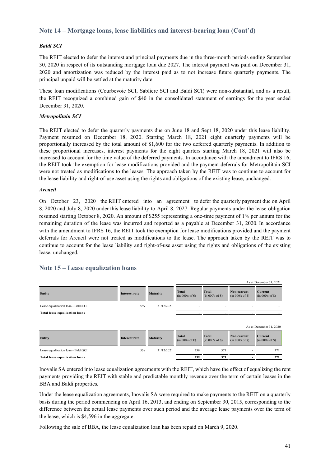## **Note 14 – Mortgage loans, lease liabilities and interest-bearing loan (Cont'd)**

## *Baldi SCI*

The REIT elected to defer the interest and principal payments due in the three-month periods ending September 30, 2020 in respect of its outstanding mortgage loan due 2027. The interest payment was paid on December 31, 2020 and amortization was reduced by the interest paid as to not increase future quarterly payments. The principal unpaid will be settled at the maturity date.

These loan modifications (Courbevoie SCI, Sabliere SCI and Baldi SCI) were non-substantial, and as a result, the REIT recognized a combined gain of \$40 in the consolidated statement of earnings for the year ended December 31, 2020.

### *Metropolitain SCI*

The REIT elected to defer the quarterly payments due on June 18 and Sept 18, 2020 under this lease liability. Payment resumed on December 18, 2020. Starting March 18, 2021 eight quarterly payments will be proportionally increased by the total amount of \$1,600 for the two deferred quarterly payments. In addition to these proportional increases, interest payments for the eight quarters starting March 18, 2021 will also be increased to account for the time value of the deferred payments. In accordance with the amendment to IFRS 16, the REIT took the exemption for lease modifications provided and the payment deferrals for Metropolitain SCI were not treated as modifications to the leases. The approach taken by the REIT was to continue to account for the lease liability and right-of-use asset using the rights and obligations of the existing lease, unchanged.

### *Arcueil*

On October 23, 2020 the REIT entered into an agreement to defer the quarterly payment due on April 8, 2020 and July 8, 2020 under this lease liability to April 8, 2027. Regular payments under the lease obligation resumed starting October 8, 2020. An amount of \$255 representing a one-time payment of 1% per annum for the remaining duration of the lease was incurred and reported as a payable at December 31, 2020. In accordance with the amendment to IFRS 16, the REIT took the exemption for lease modifications provided and the payment deferrals for Arcueil were not treated as modifications to the lease. The approach taken by the REIT was to continue to account for the lease liability and right-of-use asset using the rights and obligations of the existing lease, unchanged.

## **Note 15 – Lease equalization loans**



Inovalis SA entered into lease equalization agreements with the REIT, which have the effect of equalizing the rent payments providing the REIT with stable and predictable monthly revenue over the term of certain leases in the BBA and Baldi properties.

Under the lease equalization agreements, Inovalis SA were required to make payments to the REIT on a quarterly basis during the period commencing on April 16, 2013, and ending on September 30, 2015, corresponding to the difference between the actual lease payments over such period and the average lease payments over the term of the lease, which is \$4,596 in the aggregate.

Following the sale of BBA, the lease equalization loan has been repaid on March 9, 2020.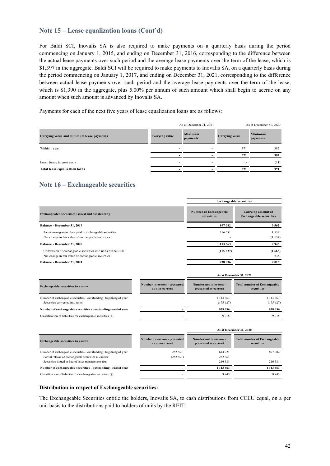## **Note 15 – Lease equalization loans (Cont'd)**

For Baldi SCI, Inovalis SA is also required to make payments on a quarterly basis during the period commencing on January 1, 2015, and ending on December 31, 2016, corresponding to the difference between the actual lease payments over such period and the average lease payments over the term of the lease, which is \$1,397 in the aggregate. Baldi SCI will be required to make payments to Inovalis SA, on a quarterly basis during the period commencing on January 1, 2017, and ending on December 31, 2021, corresponding to the difference between actual lease payments over such period and the average lease payments over the term of the lease, which is \$1,390 in the aggregate, plus 5.00% per annum of such amount which shall begin to accrue on any amount when such amount is advanced by Inovalis SA.

Payments for each of the next five years of lease equalization loans are as follows:

|                          |                          |                          | As at December 31, 2020 |
|--------------------------|--------------------------|--------------------------|-------------------------|
| Carrying value           | Minimum<br>payments      | <b>Carrying value</b>    | Minimum<br>payments     |
| $\overline{\phantom{0}}$ | $\overline{\phantom{0}}$ | 371                      | 382                     |
|                          |                          | 371                      | 382                     |
| $\overline{\phantom{0}}$ | $\sim$                   | $\overline{\phantom{a}}$ | (11)                    |
|                          |                          | 371                      | 371                     |
|                          |                          | As at December 31, 2021  |                         |

## **Note 16 – Exchangeable securities**

|                                                                                                                     | <b>Exchangeable securities</b>              |                                                      |  |
|---------------------------------------------------------------------------------------------------------------------|---------------------------------------------|------------------------------------------------------|--|
| Exchangeable securities issued and outstanding                                                                      | <b>Number of Exchangeable</b><br>securities | Carrying amount of<br><b>Exchangeable securities</b> |  |
| Balance - December 31, 2019                                                                                         | 897 082                                     | 9 5 6 2                                              |  |
| Asset management fees paid in exchangeable securities<br>Net change in fair value of exchangeable securities        | 216 581                                     | 1537<br>(1154)                                       |  |
| Balance - December 31, 2020                                                                                         | 1 1 1 3 6 6 3                               | 9945                                                 |  |
| Conversion of exchangeable securities into units of the REIT<br>Net change in fair value of exchangeable securities | (175627)                                    | (1665)<br>735                                        |  |
| Balance - December 31, 2021                                                                                         | 938 036                                     | 9 0 1 5                                              |  |

|                                                                                                        |                                                |                                               | As at December 31, 2021                           |
|--------------------------------------------------------------------------------------------------------|------------------------------------------------|-----------------------------------------------|---------------------------------------------------|
| Exchangeable securities in escrow                                                                      | Number in escrow - presented<br>as non-current | Number not in escrow-<br>presented as current | <b>Total number of Exchangeable</b><br>securities |
| Number of exchangeable securities - outstanding - beginning of year<br>Securities converted into units |                                                | 1 1 1 3 6 6 3<br>(175627)                     | 1 1 1 3 6 6 3<br>(175627)                         |
| Number of exchangeable securities - outstanding - end of year                                          |                                                | 938 036                                       | 938 036                                           |
| Classification of liabilities for exchangeable securities (\$)                                         | -                                              | 9 0 1 5                                       | 9 0 1 5                                           |

|                                                                     |                                                |                                               | As at December 31, 2020                           |  |  |  |
|---------------------------------------------------------------------|------------------------------------------------|-----------------------------------------------|---------------------------------------------------|--|--|--|
| <b>Exchangeable securities in escrow</b>                            | Number in escrow - presented<br>as non-current | Number not in escrow-<br>presented as current | <b>Total number of Exchangeable</b><br>securities |  |  |  |
| Number of exchangeable securities - outstanding - beginning of year | 252.861                                        | 644 221                                       | 897 082                                           |  |  |  |
| Partial release of exchangeable securities in escrow                | (252861)                                       | 252 861                                       |                                                   |  |  |  |
| Securities issued in lieu of asset management fees                  | $\overline{\phantom{a}}$                       | 216.581                                       | 216 581                                           |  |  |  |
| Number of exchangeable securities - outstanding - end of year       |                                                | 1 1 1 3 6 6 3                                 | 1 1 1 3 6 6 3                                     |  |  |  |
| Classification of liabilities for exchangeable securities (\$)      |                                                | 9945                                          | 9945                                              |  |  |  |

#### **Distribution in respect of Exchangeable securities:**

The Exchangeable Securities entitle the holders, Inovalis SA, to cash distributions from CCEU equal, on a per unit basis to the distributions paid to holders of units by the REIT.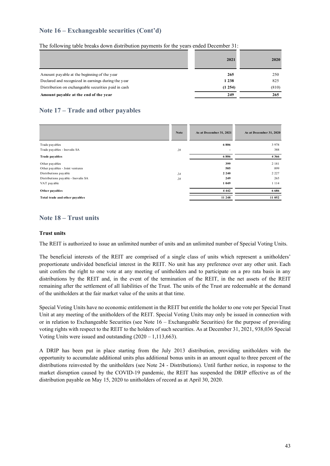## **Note 16 – Exchangeable securities (Cont'd)**

The following table breaks down distribution payments for the years ended December 31:

|                                                      | 2021    | 2020  |
|------------------------------------------------------|---------|-------|
| Amount payable at the beginning of the year          | 265     | 250   |
| Declared and recognized in earnings during the year  | 1 2 3 8 | 825   |
| Distribution on exchangeable securities paid in cash | (1254)  | (810) |
| Amount payable at the end of the year                | 249     | 265   |

## **Note 17 – Trade and other payables**

|                                     | <b>Note</b> | As at December 31, 2021 | As at December 31, 2020 |
|-------------------------------------|-------------|-------------------------|-------------------------|
| Trade payables                      |             | 6806                    | 3978                    |
| Trade payables - Inovalis SA        | 28          | ٠                       | 388                     |
| <b>Trade payables</b>               |             | 6806                    | 4 3 6 6                 |
| Other payables                      |             | 399                     | 2 1 8 1                 |
| Other payables - Joint ventures     |             | 505                     | 899                     |
| Distributions payable               | 24          | 2 2 4 0                 | 2 2 2 7                 |
| Distributions payable - Inovalis SA | 28          | 249                     | 265                     |
| VAT payable                         |             | 1 0 4 9                 | 1 1 1 4                 |
| Other payables                      |             | 4 4 4 2                 | 6 6 8 6                 |
| Total trade and other payables      |             | 11 248                  | 11 052                  |

## **Note 18 – Trust units**

#### **Trust units**

The REIT is authorized to issue an unlimited number of units and an unlimited number of Special Voting Units.

The beneficial interests of the REIT are comprised of a single class of units which represent a unitholders' proportionate undivided beneficial interest in the REIT. No unit has any preference over any other unit. Each unit confers the right to one vote at any meeting of unitholders and to participate on a pro rata basis in any distributions by the REIT and, in the event of the termination of the REIT, in the net assets of the REIT remaining after the settlement of all liabilities of the Trust. The units of the Trust are redeemable at the demand of the unitholders at the fair market value of the units at that time.

Special Voting Units have no economic entitlement in the REIT but entitle the holder to one vote per Special Trust Unit at any meeting of the unitholders of the REIT. Special Voting Units may only be issued in connection with or in relation to Exchangeable Securities (see Note 16 – Exchangeable Securities) for the purpose of providing voting rights with respect to the REIT to the holders of such securities. As at December 31, 2021, 938,036 Special Voting Units were issued and outstanding  $(2020 - 1, 113, 663)$ .

A DRIP has been put in place starting from the July 2013 distribution, providing unitholders with the opportunity to accumulate additional units plus additional bonus units in an amount equal to three percent of the distributions reinvested by the unitholders (see Note 24 - Distributions). Until further notice, in response to the market disruption caused by the COVID-19 pandemic, the REIT has suspended the DRIP effective as of the distribution payable on May 15, 2020 to unitholders of record as at April 30, 2020.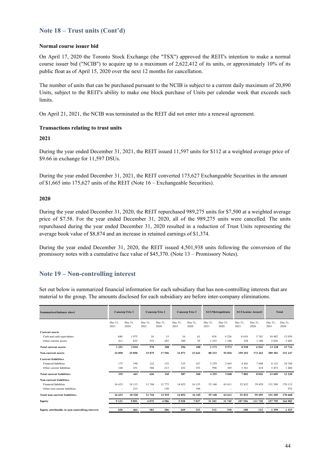## **Note 18 – Trust units (Cont'd)**

### **Normal course issuer bid**

On April 17, 2020 the Toronto Stock Exchange (the "TSX") approved the REIT's intention to make a normal course issuer bid ("NCIB") to acquire up to a maximum of 2,622,412 of its units, or approximately 10% of its public float as of April 15, 2020 over the next 12 months for cancellation.

The number of units that can be purchased pursuant to the NCIB is subject to a current daily maximum of 20,890 Units, subject to the REIT's ability to make one block purchase of Units per calendar week that exceeds such limits.

On April 21, 2021, the NCIB was terminated as the REIT did not enter into a renewal agreement.

### **Transactions relating to trust units**

#### **2021**

During the year ended December 31, 2021, the REIT issued 11,597 units for \$112 at a weighted average price of \$9.66 in exchange for 11,597 DSUs.

During the year ended December 31, 2021, the REIT converted 175,627 Exchangeable Securities in the amount of \$1,665 into 175,627 units of the REIT (Note 16 – Exchangeable Securities).

### **2020**

During the year ended December 31, 2020, the REIT repurchased 989,275 units for \$7,500 at a weighted average price of \$7.58. For the year ended December 31, 2020, all of the 989,275 units were cancelled. The units repurchased during the year ended December 31, 2020 resulted in a reduction of Trust Units representing the average book value of \$8,874 and an increase in retained earnings of \$1,374.

During the year ended December 31, 2020, the REIT issued 4,501,938 units following the conversion of the promissory notes with a cumulative face value of \$45,370. (Note 13 – Promissory Notes).

## **Note 19 – Non-controlling interest**

Set out below is summarized financial information for each subsidiary that has non-controlling interests that are material to the group. The amounts disclosed for each subsidiary are before inter-company eliminations.

| <b>Summarised balance sheet</b>                |                 | Cancorp Trio 1  |                 | <b>Cancorp Trio 2</b> |                          | <b>Cancorp Trio 3</b> |                 | <b>SCI Metropolitain</b> |                 | <b>SCI Lenine Arcueil</b> |                 | Total           |
|------------------------------------------------|-----------------|-----------------|-----------------|-----------------------|--------------------------|-----------------------|-----------------|--------------------------|-----------------|---------------------------|-----------------|-----------------|
|                                                | Dec 31.<br>2021 | Dec 31.<br>2020 | Dec 31.<br>2021 | Dec 31.<br>2020       | Dec 31.<br>2021          | Dec 31.<br>2020       | Dec 31.<br>2021 | Dec 31.<br>2020          | Dec 31.<br>2021 | Dec 31.<br>2020           | Dec 31.<br>2021 | Dec 31.<br>2020 |
| <b>Current assets</b>                          |                 |                 |                 |                       |                          |                       |                 |                          |                 |                           |                 |                 |
| Cash and cash equivalents                      | 840             | 1975            | 18              | 15                    | 16                       | 61                    | 918             | 4 2 2 6                  | 8610            | 5 7 6 2                   | 10 40 2         | 12 039          |
| Other current assets                           | 411             | 835             | 552             | 285                   | 280                      | 39                    | 1255            | 1 3 4 6                  | 328             | 1 1 8 0                   | 2826            | 3685            |
| <b>Total current assets</b>                    | 1 2 5 1         | 2810            | 570             | 300                   | 296                      | 100                   | 2 1 7 3         | 5 5 7 2                  | 8938            | 6942                      | 13 228          | 15724           |
| <b>Non-current assets</b>                      | 24 850          | 25850           | 15875           | 17556                 | 21 071                   | 23 642                | 88 333          | 92 836                   | 159 252         | 172 263                   | 309 381         | 332 147         |
| <b>Current liabilities</b>                     |                 |                 |                 |                       |                          |                       |                 |                          |                 |                           |                 |                 |
| Financial liabilities                          | 175             | 190             | 122             | 132                   | 155                      | 167                   | 3 2 5 9         | 2 6 6 3                  | 4 4 4 1         | 7608                      | 8 1 5 2         | 10760           |
| Other current liabilities                      | 160             | 251             | 504             | 213                   | 432                      | 193                   | 996             | 385                      | 3 3 6 1         | 418                       | 5453            | 1 4 6 0         |
| <b>Total current liabilities</b>               | 335             | 441             | 626             | 345                   | 587                      | 360                   | 4 2 5 5         | 3 0 4 8                  | 7802            | 8026                      | 13 605          | 12 220          |
| <b>Non-current liabilities</b>                 |                 |                 |                 |                       |                          |                       |                 |                          |                 |                           |                 |                 |
| <b>Financial liabilities</b>                   | 16 633          | 18 113          | 11 744          | 12 775                | 14852                    | 16 155                | 55 148          | 63 611                   | 52 832          | 59 459                    | 151 209         | 170 113         |
| Other non-current liabilities                  | ×               | 215             | ٠               | 150                   | $\overline{\phantom{a}}$ | 190                   |                 | ٠                        |                 |                           |                 | 555             |
| <b>Total non-current liabilities</b>           | 16 633          | 18328           | 11 744          | 12 9 25               | 14852                    | 16 345                | 55 148          | 63 611                   | 52 832          | 59 459                    | 151 209         | 170 668         |
| Equity                                         | 9 1 3 3         | 9891            | 4 0 7 5         | 4586                  | 5928                     | 7 037                 | 31 103          | 31 749                   | 107 556         | 111 720                   | 157 795         | 164 983         |
| Equity attribuable to non-controlling interest | 428             | 464             | 182             | 206                   | 269                      | 323                   | 312             | 318                      | 108             | 112                       | 1 2 9 9         | 1 4 2 3         |
|                                                |                 |                 |                 |                       |                          |                       |                 |                          |                 |                           |                 |                 |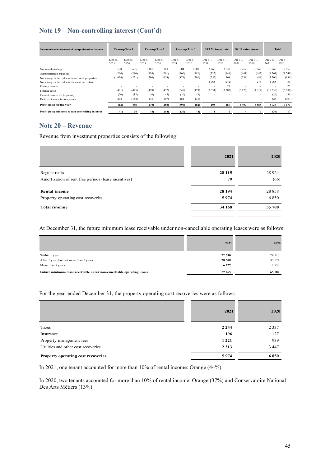## **Note 19 – Non-controlling interest (Cont'd)**

| Summarised statement of comprehensive income        |                 | <b>Cancorp Trio 1</b> |                 | <b>Cancorp Trio 2</b> |                 | Cancorp Trio 3  |                 | <b>SCI Metropolitain</b> |                          | <b>SCI Lenine Arcueil</b> |                          | <b>Total</b>    |
|-----------------------------------------------------|-----------------|-----------------------|-----------------|-----------------------|-----------------|-----------------|-----------------|--------------------------|--------------------------|---------------------------|--------------------------|-----------------|
|                                                     | Dec 31.<br>2021 | Dec 31.<br>2020       | Dec 31.<br>2021 | Dec 31.<br>2020       | Dec 31.<br>2021 | Dec 31.<br>2020 | Dec 31.<br>2021 | Dec 31.<br>2020          | Dec 31.<br>2021          | Dec 31.<br>2020           | Dec 31.<br>2021          | Dec 31.<br>2020 |
| Net rental earnings                                 | 1538            | 1635                  | 1 1 0 1         | 1 1 1 8               | 804             | 1 008           | 3 2 6 8         | 3833                     | 10 257                   | 10 363                    | 16 968                   | 17957           |
| Administration expenses                             | (204)           | (280)                 | (134)           | (201)                 | (160)           | (181)           | (322)           | (444)                    | (441)                    | (642)                     | (1261)                   | (1748)          |
| Net change in fair value of investment properties   | (1039)          | (221)                 | (796)           | (653)                 | (871)           | (291)           | (255)           | 368                      | (239)                    | (89)                      | (3 200)                  | (886)           |
| Net change in fair value of financial derivative    | ٠               |                       | ٠               | ٠                     | $\sim$          | ٠               | 1 0 6 5         | (242)                    | $\overline{\phantom{a}}$ | 273                       | 1.065                    | 31              |
| Finance income                                      | ٠               |                       | ٠               |                       |                 | ٠               | $\overline{a}$  | 27                       | ٠                        |                           | $\overline{\phantom{a}}$ | 27              |
| Finance costs                                       | (491)           | (475)                 | (478)           | (432)                 | (540)           | (473)           | (3651)          | (3383)                   | (5170)                   | (1017)                    | (10330)                  | (5780)          |
| Current income tax (expense)                        | (20)            | (17)                  | (6)             | (5)                   | (10)            | (9)             | ٠               |                          | ٠                        | $\sim$                    | (36)                     | (31)            |
| Deferred income tax (expense)                       | 204             | (154)                 | 143             | (107)                 | 181             | (136)           |                 | ٠                        |                          | $\overline{\phantom{a}}$  | 528                      | (397)           |
| Profit (loss) for the year                          | (12)            | 488                   | (170)           | (280)                 | (596)           | (82)            | 105             | 159                      | 4407                     | 8888                      | 3 7 3 4                  | 9 1 7 3         |
| Profit (loss) allocated to non-controlling interest | (1)             | 24                    | (8)             | (14)                  | (30)            | (4)             |                 |                          |                          | 9                         | (34)                     | 17              |

## **Note 20 – Revenue**

Revenue from investment properties consists of the following:

|                                                      | 2021    | 2020     |
|------------------------------------------------------|---------|----------|
| Regular rents                                        | 28 1 15 | 28 9 24  |
| Amortization of rent free periods (lease incentives) | 79      | (66)     |
| Rental income                                        | 28 194  | 28 8 5 8 |
| Property operating cost recoveries                   | 5974    | 6850     |
| <b>Total revenue</b>                                 | 34 168  | 35 708   |

At December 31, the future minimum lease receivable under non-cancellable operating leases were as follows:

|                                                                        | 2021    | 2020    |
|------------------------------------------------------------------------|---------|---------|
| Within 1 year                                                          | 22 530  | 29 5 10 |
| After 1 year, but not more than 5 years                                | 28 508  | 33 124  |
| More than 5 years                                                      | 6 2 2 7 | 2 5 5 0 |
| Future minimum lease receivable under non-cancellable operating leases | 57 265  | 65 184  |

#### For the year ended December 31, the property operating cost recoveries were as follows:

|                                     | 2021    | 2020    |
|-------------------------------------|---------|---------|
| Taxes                               | 2 2 4 4 | 2 3 3 7 |
| Insurance                           | 196     | 127     |
| Property management fees            | 1 2 2 1 | 939     |
| Utilities and other cost recoveries | 2 3 1 3 | 3 4 4 7 |
| Property operating cost recoveries  | 5974    | 6850    |

In 2021, one tenant accounted for more than 10% of rental income: Orange (44%).

In 2020, two tenants accounted for more than 10% of rental income: Orange (37%) and Conservatoire National Des Arts Métiers (13%).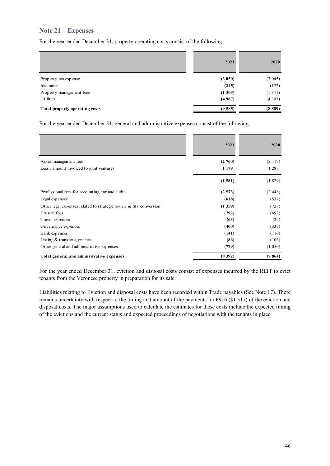## **Note 21 – Expenses**

For the year ended December 31, property operating costs consist of the following:

|                                | 2021    | 2020    |
|--------------------------------|---------|---------|
| Property tax expense           | (3 050) | (3.045) |
| Insurance                      | (245)   | (172)   |
| Property management fees       | (1303)  | (1371)  |
| Utilities                      | (4987)  | (4301)  |
| Total property operating costs | (9585)  | (8889)  |

For the year ended December 31, general and administrative expenses consist of the following:

|                                                                   | 2021    | 2020     |
|-------------------------------------------------------------------|---------|----------|
|                                                                   |         |          |
| Asset management fees                                             | (2760)  | (3117)   |
| Less: amount invoiced to joint ventures                           | 1 1 7 9 | 1 2 8 8  |
|                                                                   | (1581)  | (1829)   |
| Professional fees for accounting, tax and audit                   | (2573)  | (2, 448) |
| Legal expenses                                                    | (618)   | (537)    |
| Other legal expenses related to strategic review & SIF conversion | (1359)  | (727)    |
| Trustee fees                                                      | (792)   | (692)    |
| Travel expenses                                                   | (63)    | (22)     |
| Governance expenses                                               | (400)   | (337)    |
| Bank expenses                                                     | (141)   | (116)    |
| Listing & transfer agent fees                                     | (86)    | (106)    |
| Other general and administrative expenses                         | (779)   | (1050)   |
| Total general and admnsitrative expenses                          | (8392)  | (7864)   |

For the year ended December 31, eviction and disposal costs consist of expenses incurred by the REIT to evict tenants from the Veronese property in preparation for its sale.

Liabilities relating to Eviction and disposal costs have been recorded within Trade payables (See Note 17). There remains uncertainty with respect to the timing and amount of the payments for €916 (\$1,317) of the eviction and disposal costs. The major assumptions used to calculate the estimates for these costs include the expected timing of the evictions and the current status and expected proceedings of negotiations with the tenants in place.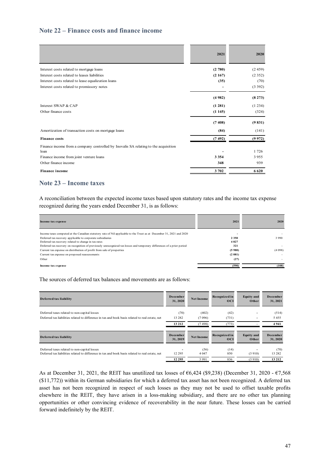## **Note 22 – Finance costs and finance income**

|                                                                                     | 2021    | 2020       |
|-------------------------------------------------------------------------------------|---------|------------|
| Interest costs related to mortgage loans                                            | (2780)  | (2459)     |
| Interest costs related to leases liabilities                                        | (2167)  | (2352)     |
| Interest costs related to lease equalization loans                                  | (35)    | (70)       |
| Interest costs related to promissory notes                                          |         | (3392)     |
|                                                                                     | (4982)  | $(8\;273)$ |
| Interest SWAP & CAP                                                                 | (1 281) | (1234)     |
| Other finance costs                                                                 | (1145)  | (324)      |
|                                                                                     | (7408)  | (9831)     |
| Amortization of transaction costs on mortgage loans                                 | (84)    | (141)      |
| <b>Finance costs</b>                                                                | (7492)  | (9972)     |
| Finance income from a company controlled by Inovalis SA relating to the acquisition |         |            |
| loan                                                                                |         | 1726       |
| Finance income from joint venture loans                                             | 3 3 5 4 | 3955       |
| Other finance income                                                                | 348     | 939        |
| <b>Finance income</b>                                                               | 3 702   | 6620       |

## **Note 23 – Income taxes**

A reconciliation between the expected income taxes based upon statutory rates and the income tax expense recognized during the years ended December 31, is as follows:

| Income tax expense                                                                                                     | 2021    | 2020    |
|------------------------------------------------------------------------------------------------------------------------|---------|---------|
| Income taxes computed at the Canadian statutory rate of Nil applicable to the Trust as at December 31, 2021 and 2020   | ۰       |         |
| Deferred tax recovery applicable to corporate subsidiaries                                                             | 2 3 5 0 | 3 9 9 0 |
| Deferred tax recovery related to change in tax rates                                                                   | 4827    |         |
| Deferred tax recovery on recognition of previously unrecognized tax losses and temporary differences of a prior period | 321     |         |
| Current tax expense on distribution of profit from sale of properties                                                  | (5980)  | (4098)  |
| Current tax expense on proposed reassessments                                                                          | (2 081) |         |
| Other                                                                                                                  | (27)    |         |
| Income tax expense                                                                                                     | (590)   | (108)   |

#### The sources of deferred tax balances and movements are as follows:

| Deferred tax liability                                                                           | December<br>31, 2020 | <b>Net Income</b> | Recognized in<br><b>OCI</b> | <b>Equity</b> and<br>Other | December<br>31, 2021 |
|--------------------------------------------------------------------------------------------------|----------------------|-------------------|-----------------------------|----------------------------|----------------------|
| Deferred taxes related to non-capital losses                                                     | (70)                 | (402)             | (42)                        | ٠                          | (514)                |
| Deferred tax liabilities related to difference in tax and book basis related to real estate, net | 13 28 2              | (7096)            | (731)                       | -                          | 5455                 |
|                                                                                                  | 13 21 2              | (7498)            | (773)                       |                            | 4941                 |
| Deferred tax liability                                                                           | December<br>31, 2019 | <b>Net Income</b> | Recognized in<br><b>OCI</b> | <b>Equity</b> and<br>Other | December<br>31, 2020 |
| Deferred taxes related to non-capital losses                                                     |                      | (56)              | (14)                        |                            | (70)                 |
| Deferred tax liabilities related to difference in tax and book basis related to real estate, net | 12 29 5              | 4 0 4 7           | 850                         | (3910)                     | 13 2 8 2             |
|                                                                                                  | 12 29 5              | 3 9 9 1           | 836                         | (3910)                     | 13 212               |

As at December 31, 2021, the REIT has unutilized tax losses of  $66,424$  (\$9,238) (December 31, 2020 -  $67,568$ (\$11,772)) within its German subsidiaries for which a deferred tax asset has not been recognized. A deferred tax asset has not been recognized in respect of such losses as they may not be used to offset taxable profits elsewhere in the REIT, they have arisen in a loss-making subsidiary, and there are no other tax planning opportunities or other convincing evidence of recoverability in the near future. These losses can be carried forward indefinitely by the REIT.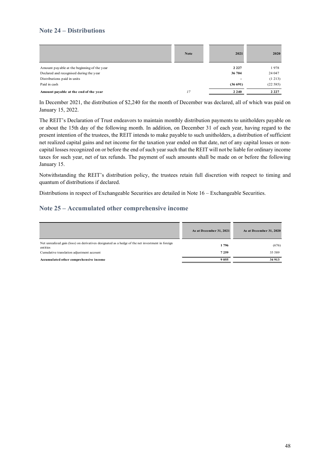## **Note 24 – Distributions**

|                                             | <b>Note</b> | 2021    | <b>2020</b> |
|---------------------------------------------|-------------|---------|-------------|
| Amount payable at the beginning of the year |             | 2 2 2 7 | 1978        |
| Declared and recognised during the year     |             | 36 704  | 24 047      |
| Distributions paid in units                 |             | ۰       | (1 213)     |
| Paid in cash                                |             | (36691) | (22585)     |
| Amount payable at the end of the year       | 17          | 2 2 4 0 | 2 2 2 7     |

In December 2021, the distribution of \$2,240 for the month of December was declared, all of which was paid on January 15, 2022.

The REIT's Declaration of Trust endeavors to maintain monthly distribution payments to unitholders payable on or about the 15th day of the following month. In addition, on December 31 of each year, having regard to the present intention of the trustees, the REIT intends to make payable to such unitholders, a distribution of sufficient net realized capital gains and net income for the taxation year ended on that date, net of any capital losses or noncapital losses recognized on or before the end of such year such that the REIT will not be liable for ordinary income taxes for such year, net of tax refunds. The payment of such amounts shall be made on or before the following January 15.

Notwithstanding the REIT's distribution policy, the trustees retain full discretion with respect to timing and quantum of distributions if declared.

Distributions in respect of Exchangeable Securities are detailed in Note 16 – Exchangeable Securities.

## **Note 25 – Accumulated other comprehensive income**

|                                                                                                              | As at December 31, 2021 | As at December 31, 2020 |
|--------------------------------------------------------------------------------------------------------------|-------------------------|-------------------------|
| Net unrealized gain (loss) on derivatives designated as a hedge of the net investment in foreign<br>entities | 1796                    | (676)                   |
| Cumulative translation adjustment account                                                                    | 7 2 5 9                 | 35 589                  |
| Accumulated other comprehensive income                                                                       | 9 0 5 5                 | 34 913                  |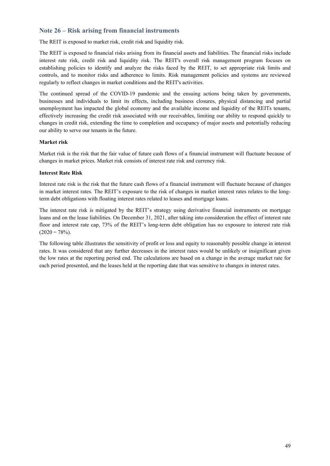The REIT is exposed to market risk, credit risk and liquidity risk.

The REIT is exposed to financial risks arising from its financial assets and liabilities. The financial risks include interest rate risk, credit risk and liquidity risk. The REIT's overall risk management program focuses on establishing policies to identify and analyze the risks faced by the REIT, to set appropriate risk limits and controls, and to monitor risks and adherence to limits. Risk management policies and systems are reviewed regularly to reflect changes in market conditions and the REIT's activities.

The continued spread of the COVID-19 pandemic and the ensuing actions being taken by governments, businesses and individuals to limit its effects, including business closures, physical distancing and partial unemployment has impacted the global economy and the available income and liquidity of the REITs tenants, effectively increasing the credit risk associated with our receivables, limiting our ability to respond quickly to changes in credit risk, extending the time to completion and occupancy of major assets and potentially reducing our ability to serve our tenants in the future.

## **Market risk**

Market risk is the risk that the fair value of future cash flows of a financial instrument will fluctuate because of changes in market prices. Market risk consists of interest rate risk and currency risk.

## **Interest Rate Risk**

Interest rate risk is the risk that the future cash flows of a financial instrument will fluctuate because of changes in market interest rates. The REIT's exposure to the risk of changes in market interest rates relates to the longterm debt obligations with floating interest rates related to leases and mortgage loans.

The interest rate risk is mitigated by the REIT's strategy using derivative financial instruments on mortgage loans and on the lease liabilities. On December 31, 2021, after taking into consideration the effect of interest rate floor and interest rate cap, 73% of the REIT's long-term debt obligation has no exposure to interest rate risk  $(2020 - 78\%)$ .

The following table illustrates the sensitivity of profit or loss and equity to reasonably possible change in interest rates. It was considered that any further decreases in the interest rates would be unlikely or insignificant given the low rates at the reporting period end. The calculations are based on a change in the average market rate for each period presented, and the leases held at the reporting date that was sensitive to changes in interest rates.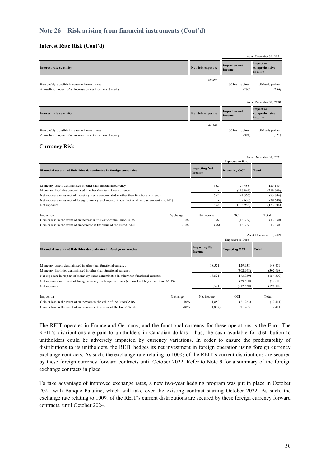## **Interest Rate Risk (Cont'd)**

|                                                                                                                                                                                              |          |                                |                          | As at December 31, 2021                     |
|----------------------------------------------------------------------------------------------------------------------------------------------------------------------------------------------|----------|--------------------------------|--------------------------|---------------------------------------------|
| Interest rate sentivity                                                                                                                                                                      |          | Net debt exposure              | Impact on net<br>income  | <b>Impact on</b><br>comprehensive<br>income |
| Reasonably possible increase in interest rates<br>Annualized impact of an increase on net income and equity                                                                                  |          | 59 294                         | 50 basis points<br>(296) | 50 basis points<br>(296)                    |
|                                                                                                                                                                                              |          |                                |                          | As at December 31, 2020                     |
| Interest rate sentivity                                                                                                                                                                      |          | Net debt exposure              | Impact on net<br>income  | <b>Impact on</b><br>comprehensive<br>income |
|                                                                                                                                                                                              |          | 64 261                         |                          |                                             |
| Reasonably possible increase in interest rates<br>Annualized impact of an increase on net income and equity                                                                                  |          |                                | 50 basis points<br>(321) | 50 basis points<br>(321)                    |
| <b>Currency Risk</b>                                                                                                                                                                         |          |                                |                          |                                             |
|                                                                                                                                                                                              |          |                                |                          | As at December 31, 2021                     |
|                                                                                                                                                                                              |          |                                | Exposure to Euro         |                                             |
| Financial assets and liabilities denominated in foreign currencies                                                                                                                           |          | <b>Impacting Net</b><br>Income | <b>Impacting OCI</b>     | <b>Total</b>                                |
|                                                                                                                                                                                              |          |                                |                          |                                             |
| Monetary assets denominated in other than functional currency                                                                                                                                |          | 662                            | 124 483                  | 125 145                                     |
| Monetary liabilities denominated in other than functional currency                                                                                                                           |          |                                | (218849)                 | (218849)                                    |
| Net exposure in respect of monetary items denominated in other than functional currency                                                                                                      |          | 662                            | (94366)<br>(39600)       | (93704)                                     |
| Net exposure in respect of foreign currency exchange contracts (notional net buy amount in CAD\$)<br>Net exposure                                                                            |          | 662                            | (133966)                 | (39600)<br>(133 304)                        |
|                                                                                                                                                                                              |          |                                |                          |                                             |
| Impact on                                                                                                                                                                                    | % change | Net income                     | OCI                      | Total                                       |
| Gain or loss in the event of an increase in the value of the Euro/CAD\$                                                                                                                      | 10%      | 66                             | (13397)                  | (13330)                                     |
| Gain or loss in the event of an decrease in the value of the Euro/CAD\$                                                                                                                      | $-10%$   | (66)                           | 13 397                   | 13 330                                      |
|                                                                                                                                                                                              |          |                                |                          | As at December 31, 2020                     |
|                                                                                                                                                                                              |          |                                | Exposure to Euro         |                                             |
| Financial assets and liabilities denominated in foreign currencies                                                                                                                           |          | <b>Impacting Net</b><br>Income | <b>Impacting OCI</b>     | <b>Total</b>                                |
|                                                                                                                                                                                              |          |                                |                          |                                             |
| Monetary assets denominated in other than functional currency                                                                                                                                |          | 18,521                         | 129,938                  | 148,459                                     |
| Monetary liabilities denominated in other than functional currency                                                                                                                           |          | 18,521                         | (302,968)<br>(173,030)   | (302,968)<br>(154, 509)                     |
| Net exposure in respect of monetary items denominated in other than functional currency<br>Net exposure in respect of foreign currency exchange contracts (notional net buy amount in CAD\$) |          | $\overline{a}$                 | (39,600)                 | (39,600)                                    |
| Net exposure                                                                                                                                                                                 |          | 18,521                         | (212, 630)               | (194, 109)                                  |
|                                                                                                                                                                                              |          |                                |                          |                                             |
| Impact on                                                                                                                                                                                    | % change | Net income                     | OCI                      | Total                                       |
| Gain or loss in the event of an increase in the value of the Euro/CAD\$                                                                                                                      | 10%      | 1,852                          | (21, 263)                | (19, 411)                                   |
| Gain or loss in the event of an decrease in the value of the Euro/CAD\$                                                                                                                      | $-10%$   | (1, 852)                       | 21,263                   | 19,411                                      |

The REIT operates in France and Germany, and the functional currency for these operations is the Euro. The REIT's distributions are paid to unitholders in Canadian dollars. Thus, the cash available for distribution to unitholders could be adversely impacted by currency variations. In order to ensure the predictability of distributions to its unitholders, the REIT hedges its net investment in foreign operation using foreign currency exchange contracts. As such, the exchange rate relating to 100% of the REIT's current distributions are secured by these foreign currency forward contracts until October 2022. Refer to Note 9 for a summary of the foreign exchange contracts in place.

To take advantage of improved exchange rates, a new two-year hedging program was put in place in October 2021 with Banque Palatine, which will take over the existing contract starting October 2022. As such, the exchange rate relating to 100% of the REIT's current distributions are secured by these foreign currency forward contracts, until October 2024.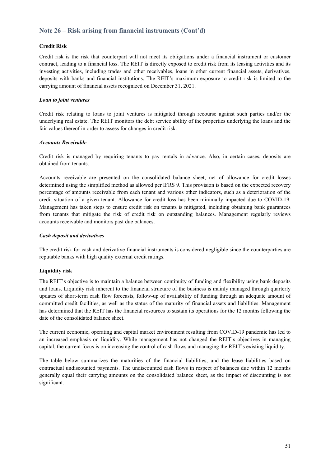## **Credit Risk**

Credit risk is the risk that counterpart will not meet its obligations under a financial instrument or customer contract, leading to a financial loss. The REIT is directly exposed to credit risk from its leasing activities and its investing activities, including trades and other receivables, loans in other current financial assets, derivatives, deposits with banks and financial institutions. The REIT's maximum exposure to credit risk is limited to the carrying amount of financial assets recognized on December 31, 2021.

## *Loan to joint ventures*

Credit risk relating to loans to joint ventures is mitigated through recourse against such parties and/or the underlying real estate. The REIT monitors the debt service ability of the properties underlying the loans and the fair values thereof in order to assess for changes in credit risk.

## *Accounts Receivable*

Credit risk is managed by requiring tenants to pay rentals in advance. Also, in certain cases, deposits are obtained from tenants.

Accounts receivable are presented on the consolidated balance sheet, net of allowance for credit losses determined using the simplified method as allowed per IFRS 9. This provision is based on the expected recovery percentage of amounts receivable from each tenant and various other indicators, such as a deterioration of the credit situation of a given tenant. Allowance for credit loss has been minimally impacted due to COVID-19. Management has taken steps to ensure credit risk on tenants is mitigated, including obtaining bank guarantees from tenants that mitigate the risk of credit risk on outstanding balances. Management regularly reviews accounts receivable and monitors past due balances.

## *Cash deposit and derivatives*

The credit risk for cash and derivative financial instruments is considered negligible since the counterparties are reputable banks with high quality external credit ratings.

## **Liquidity risk**

The REIT's objective is to maintain a balance between continuity of funding and flexibility using bank deposits and loans. Liquidity risk inherent to the financial structure of the business is mainly managed through quarterly updates of short-term cash flow forecasts, follow-up of availability of funding through an adequate amount of committed credit facilities, as well as the status of the maturity of financial assets and liabilities. Management has determined that the REIT has the financial resources to sustain its operations for the 12 months following the date of the consolidated balance sheet.

The current economic, operating and capital market environment resulting from COVID-19 pandemic has led to an increased emphasis on liquidity. While management has not changed the REIT's objectives in managing capital, the current focus is on increasing the control of cash flows and managing the REIT's existing liquidity.

The table below summarizes the maturities of the financial liabilities, and the lease liabilities based on contractual undiscounted payments. The undiscounted cash flows in respect of balances due within 12 months generally equal their carrying amounts on the consolidated balance sheet, as the impact of discounting is not significant.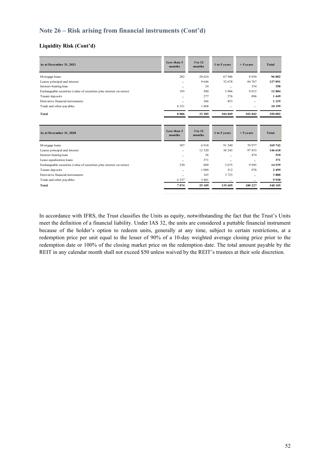## **Liquidity Risk (Cont'd)**

| As at December 31, 2021                                              | Less than 3<br>months                                                                                                                                                                                                                               | 3 to 12<br>months                                     | 1 to 5 years | $> 5$ years | <b>Total</b> |
|----------------------------------------------------------------------|-----------------------------------------------------------------------------------------------------------------------------------------------------------------------------------------------------------------------------------------------------|-------------------------------------------------------|--------------|-------------|--------------|
| Mortgage loans                                                       | 282                                                                                                                                                                                                                                                 | 20 624                                                | 67946        | 8 0 3 0     | 96882        |
| Leases principal and interest                                        | $\overline{\phantom{a}}$                                                                                                                                                                                                                            | 9646                                                  | 32 678       | 84 767      | 127 091      |
| Interest-bearing loan                                                | $\overline{\phantom{a}}$                                                                                                                                                                                                                            | 24                                                    | ٠            | 334         | 358          |
| Exchangeable securities (value of securities plus interest on notes) | 193                                                                                                                                                                                                                                                 | 580                                                   | 3 0 9 6      | 9 0 1 5     | 12884        |
| Tenant deposits                                                      | $\overline{\phantom{a}}$                                                                                                                                                                                                                            | 277                                                   | 276          | 896         | 1449         |
| Derivative financial instruments                                     | $\overline{\phantom{0}}$                                                                                                                                                                                                                            | 366                                                   | 853          |             | 1 2 1 9      |
| Trade and other payables                                             | 8 3 3 1                                                                                                                                                                                                                                             | 1868                                                  | ٠            | ٠           | 10 199       |
| Total                                                                | 8806                                                                                                                                                                                                                                                | 33 385                                                | 104 849      | 103 042     | 250 082      |
| As at December 31, 2020                                              | Less than 3<br><b>Contract Contract Contract Contract Contract Contract Contract Contract Contract Contract Contract Contract Contract Contract Contract Contract Contract Contract Contract Contract Contract Contract Contract Contract Contr</b> | 3 to 12<br><b>Contract Contract Contract Contract</b> | 1 to 5 years | $> 5$ years | <b>Total</b> |

| As at December 31, 2020                                              | <b>LABOR CHAIR D</b><br>months | $\sim$ to $\sim$<br>months | 1 to 5 years             | $> 5$ years | <b>Total</b> |
|----------------------------------------------------------------------|--------------------------------|----------------------------|--------------------------|-------------|--------------|
| Mortgage loans                                                       | 307                            | 6918                       | 91 540                   | 70 977      | 169 742      |
| Leases principal and interest                                        | $\overline{\phantom{0}}$       | 12 5 20                    | 36 245                   | 97853       | 146 618      |
| Interest-bearing loan                                                | $\overline{\phantom{0}}$       | 36                         | $\overline{\phantom{0}}$ | 474         | 510          |
| Lease equalization loans                                             | $\overline{\phantom{0}}$       | 371                        |                          |             | 371          |
| Exchangeable securities (value of securities plus interest on notes) | 230                            | 689                        | 3675                     | 9 9 4 5     | 14 539       |
| Tenant deposits                                                      | $\overline{\phantom{a}}$       | 1 009                      | 512                      | 978         | 2499         |
| Derivative financial instruments                                     | $\overline{\phantom{0}}$       | 165                        | 3 7 2 3                  |             | 3888         |
| Trade and other payables                                             | 6 5 3 7                        | 3 4 0 1                    |                          |             | 9938         |
| Total                                                                | 7074                           | 25 109                     | 135 695                  | 180 227     | 348 105      |
|                                                                      |                                |                            |                          |             |              |

In accordance with IFRS, the Trust classifies the Units as equity, notwithstanding the fact that the Trust's Units meet the definition of a financial liability. Under IAS 32, the units are considered a puttable financial instrument because of the holder's option to redeem units, generally at any time, subject to certain restrictions, at a redemption price per unit equal to the lesser of 90% of a 10-day weighted average closing price prior to the redemption date or 100% of the closing market price on the redemption date. The total amount payable by the REIT in any calendar month shall not exceed \$50 unless waived by the REIT's trustees at their sole discretion.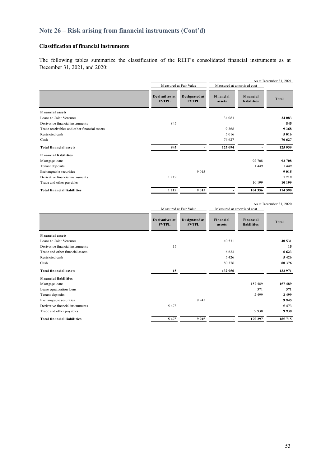## **Classification of financial instruments**

The following tables summarize the classification of the REIT's consolidated financial instruments as at December 31, 2021, and 2020:

|                                              |                                |                               |                            |                          | As at December 31, 2021 |
|----------------------------------------------|--------------------------------|-------------------------------|----------------------------|--------------------------|-------------------------|
|                                              | Measured at Fair Value         |                               | Measured at amortized cost |                          |                         |
|                                              | Derivatives at<br><b>FVTPL</b> | Designated at<br><b>FVTPL</b> | Financial<br>assets        | Financial<br>liabilities | <b>Total</b>            |
| <b>Financial assets</b>                      |                                |                               |                            |                          |                         |
| Loans to Joint Ventures                      |                                |                               | 34 083                     |                          | 34 083                  |
| Derivative financial instruments             | 845                            |                               |                            |                          | 845                     |
| Trade receivables and other financial assets |                                |                               | 9 3 6 8                    |                          | 9368                    |
| Restricted cash                              |                                |                               | 5 0 1 6                    |                          | 5016                    |
| Cash                                         |                                |                               | 76 627                     |                          | 76 627                  |
| <b>Total financial assets</b>                | 845                            |                               | 125 094                    |                          | 125 939                 |
| <b>Financial liabilities</b>                 |                                |                               |                            |                          |                         |
| Mortgage loans                               |                                |                               |                            | 92 708                   | 92 708                  |
| Tenant deposits                              |                                |                               |                            | 1 4 4 9                  | 1449                    |
| Exchangeable securities                      |                                | 9 0 1 5                       |                            |                          | 9 0 1 5                 |
| Derivative financial instruments             | 1 2 1 9                        |                               |                            |                          | 1 2 1 9                 |
| Trade and other payables                     |                                |                               |                            | 10 199                   | 10 199                  |
| <b>Total financial liabilities</b>           | 1 2 1 9                        | 9 0 1 5                       |                            | 104 356                  | 114 590                 |

|                                    |                                |                               |                            |                          | As at December 31, 2020 |
|------------------------------------|--------------------------------|-------------------------------|----------------------------|--------------------------|-------------------------|
|                                    | Measured at Fair Value         |                               | Measured at amortized cost |                          |                         |
|                                    | Derivatives at<br><b>FVTPL</b> | Designated as<br><b>FVTPL</b> | Financial<br>assets        | Financial<br>liabilities | <b>Total</b>            |
| <b>Financial assets</b>            |                                |                               |                            |                          |                         |
| Loans to Joint Ventures            |                                |                               | 40 531                     |                          | 40 531                  |
| Derivative financial instruments   | 15                             |                               |                            |                          | 15                      |
| Trade and other financial assets   |                                |                               | 6 6 23                     |                          | 6 6 23                  |
| Restricted cash                    |                                |                               | 5 4 2 6                    |                          | 5426                    |
| Cash                               |                                |                               | 80 376                     |                          | 80 376                  |
| <b>Total financial assets</b>      | 15                             |                               | 132 956                    |                          | 132 971                 |
| <b>Financial liabilities</b>       |                                |                               |                            |                          |                         |
| Mortgage loans                     |                                |                               |                            | 157489                   | 157 489                 |
| Lease equalization loans           |                                |                               |                            | 371                      | 371                     |
| Tenant deposits                    |                                |                               |                            | 2499                     | 2499                    |
| Exchangeable securities            |                                | 9 9 4 5                       |                            |                          | 9945                    |
| Derivative financial instruments   | 5 4 7 3                        |                               |                            |                          | 5473                    |
| Trade and other payables           |                                |                               |                            | 9938                     | 9938                    |
| <b>Total financial liabilities</b> | 5473                           | 9945                          |                            | 170 297                  | 185 715                 |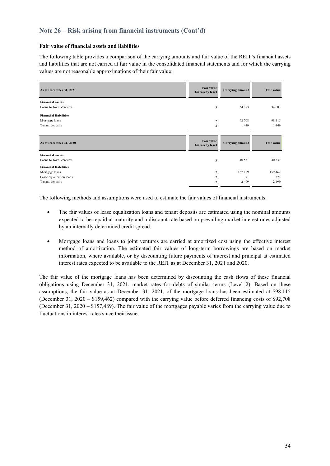#### **Fair value of financial assets and liabilities**

The following table provides a comparison of the carrying amounts and fair value of the REIT's financial assets and liabilities that are not carried at fair value in the consolidated financial statements and for which the carrying values are not reasonable approximations of their fair value:

| As at December 31, 2021      | <b>Fair value</b><br>hierarchy level | <b>Carrying amount</b> | <b>Fair value</b> |
|------------------------------|--------------------------------------|------------------------|-------------------|
| <b>Financial assets</b>      |                                      |                        |                   |
| Loans to Joint Ventures      | 3                                    | 34 083                 | 34 083            |
| <b>Financial liabilities</b> |                                      |                        |                   |
| Mortgage loans               | 2                                    | 92 708                 | 98 115            |
| Tenant deposits              | 2                                    | 1449                   | 1449              |
|                              |                                      |                        |                   |
|                              |                                      |                        |                   |
| As at December 31, 2020      | Fair value<br>hierarchy level        | <b>Carrying amount</b> | <b>Fair value</b> |
| <b>Financial assets</b>      |                                      |                        |                   |
| Loans to Joint Ventures      | 3                                    | 40 531                 | 40 531            |
| <b>Financial liabilities</b> |                                      |                        |                   |
| Mortgage loans               | 2                                    | 157489                 | 159 462           |
| Lease equalization loans     | $\overline{c}$                       | 371                    | 371               |

The following methods and assumptions were used to estimate the fair values of financial instruments:

- The fair values of lease equalization loans and tenant deposits are estimated using the nominal amounts expected to be repaid at maturity and a discount rate based on prevailing market interest rates adjusted by an internally determined credit spread.
- Mortgage loans and loans to joint ventures are carried at amortized cost using the effective interest method of amortization. The estimated fair values of long-term borrowings are based on market information, where available, or by discounting future payments of interest and principal at estimated interest rates expected to be available to the REIT as at December 31, 2021 and 2020.

The fair value of the mortgage loans has been determined by discounting the cash flows of these financial obligations using December 31, 2021, market rates for debts of similar terms (Level 2). Based on these assumptions, the fair value as at December 31, 2021, of the mortgage loans has been estimated at \$98,115 (December 31, 2020 – \$159,462) compared with the carrying value before deferred financing costs of \$92,708 (December 31, 2020 – \$157,489). The fair value of the mortgages payable varies from the carrying value due to fluctuations in interest rates since their issue.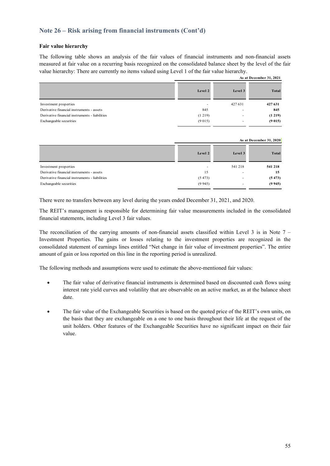### **Fair value hierarchy**

The following table shows an analysis of the fair values of financial instruments and non-financial assets measured at fair value on a recurring basis recognized on the consolidated balance sheet by the level of the fair value hierarchy: There are currently no items valued using Level 1 of the fair value hierarchy.

|                                                | As at December 31, 2021 |         |              |
|------------------------------------------------|-------------------------|---------|--------------|
|                                                | Level 2                 | Level 3 | <b>Total</b> |
| Investment properties                          | ۰                       | 427 631 | 427 631      |
| Derivative financial instruments - assets      | 845                     |         | 845          |
| Derivative financial instruments - liabilities | (1 219)                 | ۰.      | (1 219)      |
| Exchangeable securities                        | (9015)                  | ۰.      | (9 015)      |

|                                                | As at December 31, 2020 |                          |              |
|------------------------------------------------|-------------------------|--------------------------|--------------|
|                                                | Level 2                 | Level 3                  | <b>Total</b> |
| Investment properties                          |                         | 541 218                  | 541 218      |
| Derivative financial instruments - assets      | 15                      | ٠                        | 15           |
| Derivative financial instruments - liabilities | (5473)                  | ۰                        | (5473)       |
| Exchangeable securities                        | (9945)                  | $\overline{\phantom{a}}$ | (9945)       |

There were no transfers between any level during the years ended December 31, 2021, and 2020.

The REIT's management is responsible for determining fair value measurements included in the consolidated financial statements, including Level 3 fair values.

The reconciliation of the carrying amounts of non-financial assets classified within Level 3 is in Note 7 – Investment Properties. The gains or losses relating to the investment properties are recognized in the consolidated statement of earnings lines entitled "Net change in fair value of investment properties". The entire amount of gain or loss reported on this line in the reporting period is unrealized.

The following methods and assumptions were used to estimate the above-mentioned fair values:

- The fair value of derivative financial instruments is determined based on discounted cash flows using interest rate yield curves and volatility that are observable on an active market, as at the balance sheet date.
- The fair value of the Exchangeable Securities is based on the quoted price of the REIT's own units, on the basis that they are exchangeable on a one to one basis throughout their life at the request of the unit holders. Other features of the Exchangeable Securities have no significant impact on their fair value.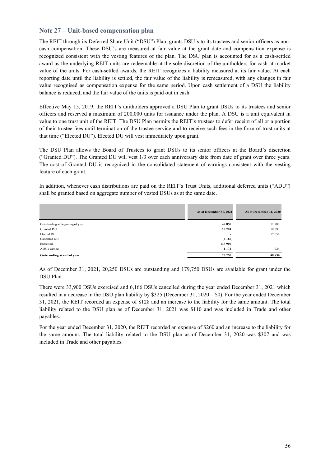## **Note 27 – Unit-based compensation plan**

The REIT through its Deferred Share Unit ("DSU") Plan, grants DSU's to its trustees and senior officers as noncash compensation. These DSU's are measured at fair value at the grant date and compensation expense is recognized consistent with the vesting features of the plan. The DSU plan is accounted for as a cash-settled award as the underlying REIT units are redeemable at the sole discretion of the unitholders for cash at market value of the units. For cash-settled awards, the REIT recognizes a liability measured at its fair value. At each reporting date until the liability is settled, the fair value of the liability is remeasured, with any changes in fair value recognised as compensation expense for the same period. Upon cash settlement of a DSU the liability balance is reduced, and the fair value of the units is paid out in cash.

Effective May 15, 2019, the REIT's unitholders approved a DSU Plan to grant DSUs to its trustees and senior officers and reserved a maximum of 200,000 units for issuance under the plan. A DSU is a unit equivalent in value to one trust unit of the REIT. The DSU Plan permits the REIT's trustees to defer receipt of all or a portion of their trustee fees until termination of the trustee service and to receive such fees in the form of trust units at that time ("Elected DU"). Elected DU will vest immediately upon grant.

The DSU Plan allows the Board of Trustees to grant DSUs to its senior officers at the Board's discretion ("Granted DU"). The Granted DU will vest 1/3 over each anniversary date from date of grant over three years. The cost of Granted DU is recognized in the consolidated statement of earnings consistent with the vesting feature of each grant.

In addition, whenever cash distributions are paid on the REIT's Trust Units, additional deferred units ("ADU") shall be granted based on aggregate number of vested DSUs as at the same date.

|                                  | As at December 31, 2021  | As at December 31, 2020 |
|----------------------------------|--------------------------|-------------------------|
| Outstanding at beginning of year | 48 850                   | 11 782                  |
| Granted DU                       | 10 294                   | 19 093                  |
| Elected DU                       | $\overline{\phantom{a}}$ | 17051                   |
| Cancelled DU                     | (6166)                   |                         |
| Exercised                        | (33900)                  |                         |
| ADU <sub>s</sub> earned          | 1 1 7 2                  | 924                     |
| Outstanding at end of year       | 20 250                   | 48 850                  |

As of December 31, 2021, 20,250 DSUs are outstanding and 179,750 DSUs are available for grant under the DSU Plan.

There were 33,900 DSUs exercised and 6,166 DSUs cancelled during the year ended December 31, 2021 which resulted in a decrease in the DSU plan liability by \$325 (December 31, 2020 – \$0). For the year ended December 31, 2021, the REIT recorded an expense of \$128 and an increase to the liability for the same amount. The total liability related to the DSU plan as of December 31, 2021 was \$110 and was included in Trade and other payables.

For the year ended December 31, 2020, the REIT recorded an expense of \$260 and an increase to the liability for the same amount. The total liability related to the DSU plan as of December 31, 2020 was \$307 and was included in Trade and other payables.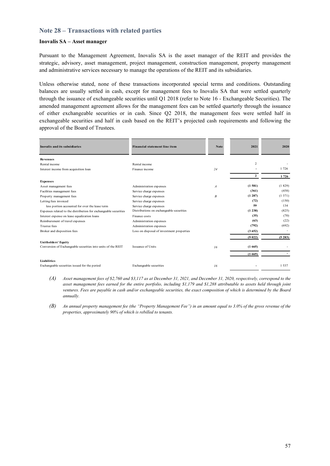## **Note 28 – Transactions with related parties**

#### **Inovalis SA – Asset manager**

Pursuant to the Management Agreement, Inovalis SA is the asset manager of the REIT and provides the strategic, advisory, asset management, project management, construction management, property management and administrative services necessary to manage the operations of the REIT and its subsidiaries.

Unless otherwise stated, none of these transactions incorporated special terms and conditions. Outstanding balances are usually settled in cash, except for management fees to Inovalis SA that were settled quarterly through the issuance of exchangeable securities until Q1 2018 (refer to Note 16 - Exchangeable Securities). The amended management agreement allows for the management fees can be settled quarterly through the issuance of either exchangeable securities or in cash. Since Q2 2018, the management fees were settled half in exchangeable securities and half in cash based on the REIT's projected cash requirements and following the approval of the Board of Trustees.

| Inovalis and its subsidiaries                                    | <b>Financial statement line item</b>      | <b>Note</b>      | 2021           | 2020   |
|------------------------------------------------------------------|-------------------------------------------|------------------|----------------|--------|
| <b>Revenues</b>                                                  |                                           |                  |                |        |
| Rental income                                                    | Rental income                             |                  | $\mathfrak{2}$ |        |
| Interest income from acquisition loan                            | Finance income                            | 24               |                | 1726   |
|                                                                  |                                           |                  | $\overline{2}$ | 1726   |
| <b>Expenses</b>                                                  |                                           |                  |                |        |
| Asset management fees                                            | Administration expenses                   | $\boldsymbol{A}$ | (1581)         | (1829) |
| Facilities management fees                                       | Service charge expenses                   |                  | (361)          | (458)  |
| Property management fees                                         | Service charge expenses                   | B                | (1287)         | (1371) |
| Letting fees invoiced                                            | Service charge expenses                   |                  | (72)           | (150)  |
| less portion accounted for over the lease term                   | Service charge expenses                   |                  | 59             | 134    |
| Expenses related to the distribution for exchangeable securities | Distributions on exchangeable securities  |                  | (1238)         | (825)  |
| Interest expense on lease equalization loans                     | Finance costs                             |                  | (35)           | (70)   |
| Reimbursment of travel expenses                                  | Administration expenses                   |                  | (63)           | (22)   |
| Trustee fees                                                     | Administration expenses                   |                  | (792)          | (692)  |
| Broker and disposition fees                                      | Loss on disposal of investment properties |                  | (3652)         |        |
|                                                                  |                                           |                  | (9022)         | (5283) |
| <b>Unitholders' Equity</b>                                       |                                           |                  |                |        |
| Conversion of Exchangeable securities into units of the REIT     | Issuance of Units                         | 16               | (1665)         |        |
|                                                                  |                                           |                  | (1665)         |        |
| Liabilities                                                      |                                           |                  |                |        |
| Exchangeable securities issued for the period                    | Exchangeable securities                   | 16               |                | 1537   |

- *(A) Asset management fees of \$2,760 and \$3,117 as at December 31, 2021, and December 31, 2020, respectively, correspond to the asset management fees earned for the entire portfolio, including \$1,179 and \$1,288 attributable to assets held through joint ventures. Fees are payable in cash and/or exchangeable securities, the exact composition of which is determined by the Board annually.*
- *(B) An annual property management fee (the "Property Management Fee") in an amount equal to 3.0% of the gross revenue of the properties, approximately 90% of which is rebilled to tenants.*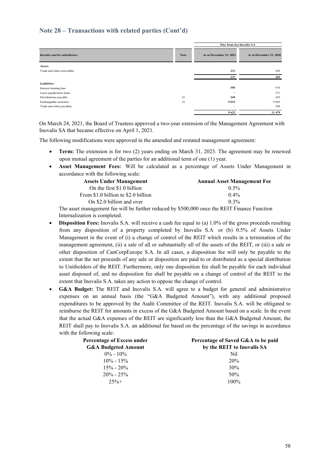## **Note 28 – Transactions with related parties (Cont'd)**

|                               |             | Due from (to) Inovalis SA |                         |  |
|-------------------------------|-------------|---------------------------|-------------------------|--|
| Inovalis and its subsidiaries | <b>Note</b> | As at December 31, 2021   | As at December 31, 2020 |  |
| Assets                        |             |                           |                         |  |
| Trade and other receivables   |             | 233                       | 269                     |  |
|                               |             | 233                       | 269                     |  |
| Liabilities                   |             |                           |                         |  |
| Interest-bearing loan         |             | 358                       | 510                     |  |
| Lease equalization loans      |             | $\overline{\phantom{a}}$  | 371                     |  |
| Distributions payable         | 16          | 249                       | 265                     |  |
| Exchangeable securities       | 16          | 9 0 1 5                   | 9 9 4 5                 |  |
| Trade and other payables      |             | ٠                         | 388                     |  |
|                               |             | 9622                      | 11 479                  |  |

On March 24, 2021, the Board of Trustees approved a two-year extension of the Management Agreement with Inovalis SA that became effective on April 1, 2021.

The following modifications were approved in the amended and restated management agreement:

- **Term:** The extension is for two (2) years ending on March 31, 2023. The agreement may be renewed upon mutual agreement of the parties for an additional term of one (1) year.
- **Asset Management Fees:** Will be calculated as a percentage of Assets Under Management in accordance with the following scale:

| <b>Assets Under Management</b>      | <b>Annual Asset Management Fee</b> |
|-------------------------------------|------------------------------------|
| On the first \$1.0 billion          | $0.5\%$                            |
| From \$1.0 billion to \$2.0 billion | $0.4\%$                            |
| On \$2.0 billion and over           | $0.3\%$                            |

The asset management fee will be further reduced by \$500,000 once the REIT Finance Function Internalization is completed.

- **Disposition Fees:** Inovalis S.A. will receive a cash fee equal to (a) 1.0% of the gross proceeds resulting from any disposition of a property completed by Inovalis S.A or (b) 0.5% of Assets Under Management in the event of (i) a change of control of the REIT which results in a termination of the management agreement, (ii) a sale of all or substantially all of the assets of the REIT, or (iii) a sale or other disposition of CanCorpEurope S.A. In all cases, a disposition fee will only be payable to the extent that the net proceeds of any sale or disposition are paid to or distributed as a special distribution to Unitholders of the REIT. Furthermore, only one disposition fee shall be payable for each individual asset disposed of, and no disposition fee shall be payable on a change of control of the REIT to the extent that Inovalis S.A. takes any action to oppose the change of control.
- **G&A Budget:** The REIT and Inovalis S.A. will agree to a budget for general and administrative expenses on an annual basis (the "G&A Budgeted Amount"), with any additional proposed expenditures to be approved by the Audit Committee of the REIT. Inovalis S.A. will be obligated to reimburse the REIT for amounts in excess of the G&A Budgeted Amount based on a scale. In the event that the actual G&A expenses of the REIT are significantly less than the G&A Budgeted Amount, the REIT shall pay to Inovalis S.A. an additional fee based on the percentage of the savings in accordance with the following scale:

| Percentage of Excess under     | Percentage of Saved G&A to be paid |
|--------------------------------|------------------------------------|
| <b>G&amp;A Budgeted Amount</b> | by the REIT to Inovalis SA         |
| $0\% - 10\%$                   | Nil                                |
| $10\% - 15\%$                  | 20%                                |
| $15\% - 20\%$                  | 30%                                |
| $20\% - 25\%$                  | 50%                                |
| $25%+$                         | $100\%$                            |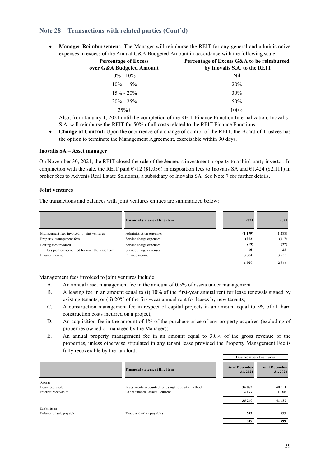## **Note 28 – Transactions with related parties (Cont'd)**

• **Manager Reimbursement:** The Manager will reimburse the REIT for any general and administrative expenses in excess of the Annual G&A Budgeted Amount in accordance with the following scale:

| <b>Percentage of Excess</b><br>over G&A Budgeted Amount | Percentage of Excess G&A to be reimbursed<br>by Inovalis S.A. to the REIT |
|---------------------------------------------------------|---------------------------------------------------------------------------|
| $0\% - 10\%$                                            | Nil                                                                       |
| $10\% - 15\%$                                           | 20%                                                                       |
| $15\% - 20\%$                                           | 30%                                                                       |
| $20\% - 25\%$                                           | 50%                                                                       |
| 2.5%                                                    | 100%                                                                      |

Also, from January 1, 2021 until the completion of the REIT Finance Function Internalization, Inovalis S.A. will reimburse the REIT for 50% of all costs related to the REIT Finance Functions.

• **Change of Control:** Upon the occurrence of a change of control of the REIT, the Board of Trustees has the option to terminate the Management Agreement, exercisable within 90 days.

#### **Inovalis SA – Asset manager**

On November 30, 2021, the REIT closed the sale of the Jeuneurs investment property to a third-party investor. In conjunction with the sale, the REIT paid  $\epsilon$ 712 (\$1,056) in disposition fees to Inovalis SA and  $\epsilon$ 1,424 (\$2,111) in broker fees to Advenis Real Estate Solutions, a subsidiary of Inovalis SA. See Note 7 for further details.

#### **Joint ventures**

The transactions and balances with joint ventures entities are summarized below:

|                                                | Financial statement line item | 2021    | 2020    |
|------------------------------------------------|-------------------------------|---------|---------|
| Management fees invoiced to joint ventures     | Administration expenses       | (1179)  | (1288)  |
| Property management fees                       | Service charge expenses       | (252)   | (317)   |
| Letting fees invoiced                          | Service charge expenses       | (19)    | (32)    |
| less portion accounted for over the lease term | Service charge expenses       | 16      | 28      |
| Finance income                                 | Finance income                | 3 3 5 4 | 3955    |
|                                                |                               | 1920    | 2 3 4 6 |

Management fees invoiced to joint ventures include:

- A. An annual asset management fee in the amount of 0.5% of assets under management
- B. A leasing fee in an amount equal to (i) 10% of the first-year annual rent for lease renewals signed by existing tenants, or (ii) 20% of the first-year annual rent for leases by new tenants;
- C. A construction management fee in respect of capital projects in an amount equal to 5% of all hard construction costs incurred on a project;
- D. An acquisition fee in the amount of 1% of the purchase price of any property acquired (excluding of properties owned or managed by the Manager);
- E. An annual property management fee in an amount equal to 3.0% of the gross revenue of the properties, unless otherwise stipulated in any tenant lease provided the Property Management Fee is fully recoverable by the landlord. **Due from joint ventures**

|                         |                                                   | Duc nom joint ventures     |                            |
|-------------------------|---------------------------------------------------|----------------------------|----------------------------|
|                         | Financial statement line item                     | As at December<br>31, 2021 | As at December<br>31, 2020 |
| Assets                  |                                                   |                            |                            |
| Loan receivable         | Investments accounted for using the equity method | 34 083                     | 40 5 31                    |
| Interest receivables    | Other financial assets - current                  | 2 1 7 7                    | 1 1 0 6                    |
|                         |                                                   | 36 260                     | 41 637                     |
| Liabilities             |                                                   |                            |                            |
| Balance of sale payable | Trade and other payables                          | 505                        | 899                        |
|                         |                                                   | 505                        | 899                        |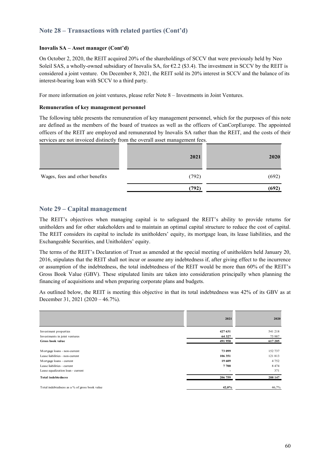## **Note 28 – Transactions with related parties (Cont'd)**

#### **Inovalis SA – Asset manager (Cont'd)**

On October 2, 2020, the REIT acquired 20% of the shareholdings of SCCV that were previously held by Neo Soleil SAS, a wholly-owned subsidiary of Inovalis SA, for  $\epsilon$ 2.2 (\$3.4). The investment in SCCV by the REIT is considered a joint venture. On December 8, 2021, the REIT sold its 20% interest in SCCV and the balance of its interest-bearing loan with SCCV to a third party.

For more information on joint ventures, please refer Note 8 – Investments in Joint Ventures.

### **Remuneration of key management personnel**

The following table presents the remuneration of key management personnel, which for the purposes of this note are defined as the members of the board of trustees as well as the officers of CanCorpEurope. The appointed officers of the REIT are employed and remunerated by Inovalis SA rather than the REIT, and the costs of their services are not invoiced distinctly from the overall asset management fees.

|                                | 2021  | 2020  |
|--------------------------------|-------|-------|
| Wages, fees and other benefits | (792) | (692) |
|                                | (792) | (692) |

## **Note 29 – Capital management**

The REIT's objectives when managing capital is to safeguard the REIT's ability to provide returns for unitholders and for other stakeholders and to maintain an optimal capital structure to reduce the cost of capital. The REIT considers its capital to include its unitholders' equity, its mortgage loan, its lease liabilities, and the Exchangeable Securities, and Unitholders' equity.

The terms of the REIT's Declaration of Trust as amended at the special meeting of unitholders held January 20, 2016, stipulates that the REIT shall not incur or assume any indebtedness if, after giving effect to the incurrence or assumption of the indebtedness, the total indebtedness of the REIT would be more than 60% of the REIT's Gross Book Value (GBV). These stipulated limits are taken into consideration principally when planning the financing of acquisitions and when preparing corporate plans and budgets.

As outlined below, the REIT is meeting this objective in that its total indebtedness was 42% of its GBV as at December 31, 2021 (2020 – 46.7%).

|                                               | 2021    | 2020    |
|-----------------------------------------------|---------|---------|
| Investment properties                         | 427 631 | 541 218 |
| Investments in joint ventures                 | 64 327  | 75 987  |
| Gross book value                              | 491 958 | 617 205 |
|                                               |         |         |
| Mortgage loans - non-current                  | 73 099  | 152 737 |
| Lease liabilities - non-current               | 106 351 | 121813  |
| Mortgage loans - current                      | 19 609  | 4752    |
| Lease liabilities - current                   | 7700    | 8474    |
| Lease equalization loan - current             | ۰       | 371     |
| <b>Total indebtedness</b>                     | 206 759 | 288 147 |
| Total indebtedness as a % of gross book value | 42,0%   | 46,7%   |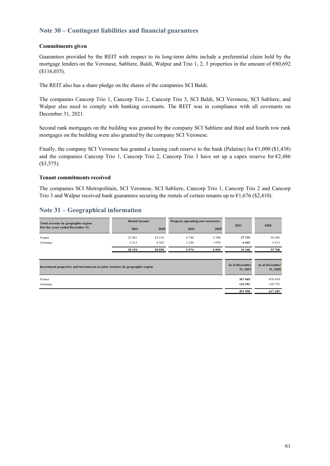## **Note 30 – Contingent liabilities and financial guarantees**

### **Commitments given**

Guarantees provided by the REIT with respect to its long-term debts include a preferential claim held by the mortgage lenders on the Veronese, Sabliere, Baldi, Walpur and Trio 1, 2, 3 properties in the amount of €80,692 (\$116,035).

The REIT also has a share pledge on the shares of the companies SCI Baldi.

The companies Cancorp Trio 1, Cancorp Trio 2, Cancorp Trio 3, SCI Baldi, SCI Veronese, SCI Sabliere, and Walpur also need to comply with banking covenants. The REIT was in compliance with all covenants on December 31, 2021.

Second rank mortgages on the building was granted by the company SCI Sabliere and third and fourth row rank mortgages on the building were also granted by the company SCI Veronese.

Finally, the company SCI Veronese has granted a leasing cash reserve to the bank (Palatine) for €1,000 (\$1,438) and the companies Cancorp Trio 1, Cancorp Trio 2, Cancorp Trio 3 have set up a capex reserve for  $\epsilon$ 2,486 (\$3,575).

### **Tenant commitments received**

The companies SCI Metropolitain, SCI Veronese, SCI Sabliere, Cancorp Trio 1, Cancorp Trio 2 and Cancorp Trio 3 and Walpur received bank guarantees securing the rentals of certain tenants up to  $\epsilon$ 1,676 (\$2,410).

## **Note 31 – Geographical information**

| Total revenue by geographic region<br>For the years ended December 31, | <b>Rental income</b> |         | Property operating cost recoveries |         |        |         |
|------------------------------------------------------------------------|----------------------|---------|------------------------------------|---------|--------|---------|
|                                                                        | 2021                 | 2020    | 2021                               | 2020    | 2021   | 2020    |
| France                                                                 | 22 981               | 24 5 16 | 4 7 4 4                            | 5 7 8 0 | 27 725 | 30 29 6 |
| Germany                                                                | 5 2 1 3              | 4 3 4 2 | 230                                | 1070    | 6443   | 5412    |
|                                                                        | 28 194               | 28 858  | 5974                               | 6850    | 34 168 | 35 708  |
|                                                                        |                      |         |                                    |         |        |         |

| Investment properties and investments in joint ventures by geographic region | As at December<br>31, 2021 | As at December<br>31, 2020 |  |
|------------------------------------------------------------------------------|----------------------------|----------------------------|--|
| France                                                                       | 367 665                    | 478 450                    |  |
| Germany                                                                      | 124 293                    | 138 755                    |  |
|                                                                              | 491 958                    | 617 205                    |  |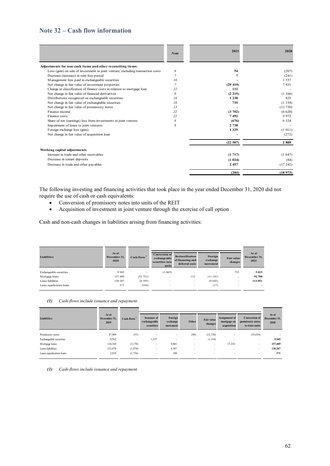## **Note 32 – Cash flow information**

|                                                                                 | <b>Note</b> | 2021     | 2020    |
|---------------------------------------------------------------------------------|-------------|----------|---------|
| Adjustments for non-cash items and other reconciling items:                     |             |          |         |
| Loss (gain) on sale of investment in joint venture, excluding transaction costs | 8           | 54       | (207)   |
| Decrease (increase) in rent-free period                                         | 7           | 7        | (241)   |
| Management fees paid in exchangeable securities                                 | 16          |          | 1 5 3 7 |
| Net change in fair value of investment properties                               | 7           | (29 419) | 7431    |
| Change in classification of finance costs in relation to mortgage loan          | 22          | 112      |         |
| Net change in fair value of financial derivatives                               | 9           | (2.215)  | (1166)  |
| Distributions recognized on exchangeable securities                             | 16          | 1 2 3 8  | 825     |
| Net change in fair value of exchangeable securities                             | 16          | 735      | (1154)  |
| Net change in fair value of promissory notes                                    | 13          |          | (12730) |
| Finance income                                                                  | 22          | (3702)   | (6620)  |
| Finance costs                                                                   | 22          | 7492     | 9 9 7 2 |
| Share of net (earnings) loss from investments in joint venture                  | 8           | (676)    | 6 5 2 4 |
| Impairment of loans to joint ventures                                           | 8           | 2 738    |         |
| Foreign exchange loss (gain)                                                    |             | 1 1 2 9  | (1 011) |
| Net change in fair value of acquisition loan                                    |             |          | (272)   |
|                                                                                 |             | (22.507) | 2888    |
| Working capital adjustments                                                     |             |          |         |
| Increase in trade and other receivables                                         |             | (1717)   | (1647)  |
| Decrease in tenant deposits                                                     |             | (1024)   | (84)    |
| Decrease in trade and other payables                                            |             | 2457     | (17242) |
|                                                                                 |             | (284)    | (18973) |

The following investing and financing activities that took place in the year ended December 31, 2020 did not require the use of cash or cash equivalents:

- Conversion of promissory notes into units of the REIT
- Acquisition of investment in joint venture through the exercise of call option

Cash and non-cash changes in liabilities arising from financing activities:

|                          | As at<br>December 31,<br>2020 | $\text{Cash-flows}^1$ |                                                                  |                                                        |                                 |                              |                               |
|--------------------------|-------------------------------|-----------------------|------------------------------------------------------------------|--------------------------------------------------------|---------------------------------|------------------------------|-------------------------------|
| Liabilities              |                               |                       | <b>Conversion of</b><br>exchangeable<br>securities into<br>units | Reclassification<br>of financing and<br>deferral costs | Foreign<br>exchange<br>movement | <b>Fair value</b><br>changes | As at<br>December 31,<br>2021 |
| Exchangeable securities  | 9 9 4 5                       |                       | (1665)                                                           | ۰                                                      |                                 | 735                          | 9 0 1 5                       |
| M ortgage loans          | 157489                        | (53751)               | $\sim$                                                           | 112                                                    | (11141)                         | $\overline{\phantom{a}}$     | 92 708                        |
| Lease liabilities        | 130 287                       | (6593)                | $\overline{\phantom{a}}$                                         | ٠                                                      | (9643)                          | $\overline{\phantom{a}}$     | 114 051                       |
| Lease equalization loans | 371                           | (354)                 | $\sim$                                                           | $\overline{\phantom{a}}$                               | (17)                            | $\overline{\phantom{a}}$     |                               |

#### *(1) Cash-flows include issuance and repayment.*

| <b>Liabilities</b>       | As at<br>December 31.<br>2019 | Cash-flows <sup>1</sup> | <b>Issuance of</b><br>exchangeable<br>securities | Foreign<br>exchange<br>movement | Other                    | <b>Fair value</b><br>changes | <b>Assignment of</b><br>mortgage on<br>acquisition | <b>Conversion of</b><br>promissory notes<br>to trust units | As at<br>December 31,<br>2020 |
|--------------------------|-------------------------------|-------------------------|--------------------------------------------------|---------------------------------|--------------------------|------------------------------|----------------------------------------------------|------------------------------------------------------------|-------------------------------|
| Promissory notes         | 47,909                        | (55)                    | $\overline{\phantom{a}}$                         | $\overline{\phantom{a}}$        | (90)                     | (12,730)                     |                                                    | (35,034)                                                   | ۰                             |
| Exchangeable securities  | 9,562                         |                         | 1,537                                            |                                 | $\overline{\phantom{a}}$ | (1, 154)                     |                                                    | $\overline{\phantom{a}}$                                   | 9.945                         |
| Mortgage loans           | 134,360                       | (3,170)                 | ۰                                                | 9,081                           |                          | $\overline{\phantom{a}}$     | 17,218                                             | $\overline{\phantom{a}}$                                   | 157,489                       |
| Lease liabilities        | 123,878                       | (1.978)                 | ٠                                                | 8,387                           | ٠.                       | $\overline{\phantom{a}}$     | ٠                                                  | $\overline{\phantom{a}}$                                   | 130,287                       |
| Lease equalization loans | 2,019                         | (1,756)                 | ۰                                                | 108                             |                          | $\overline{\phantom{a}}$     | $\overline{\phantom{a}}$                           | $\overline{\phantom{a}}$                                   | 371                           |

*(1) Cash-flows include issuance and repayment.*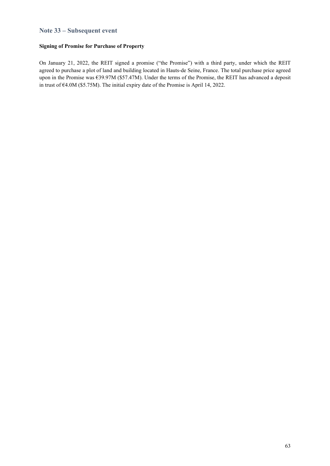## **Note 33 – Subsequent event**

## **Signing of Promise for Purchase of Property**

On January 21, 2022, the REIT signed a promise ("the Promise") with a third party, under which the REIT agreed to purchase a plot of land and building located in Hauts-de Seine, France. The total purchase price agreed upon in the Promise was €39.97M (\$57.47M). Under the terms of the Promise, the REIT has advanced a deposit in trust of €4.0M (\$5.75M). The initial expiry date of the Promise is April 14, 2022.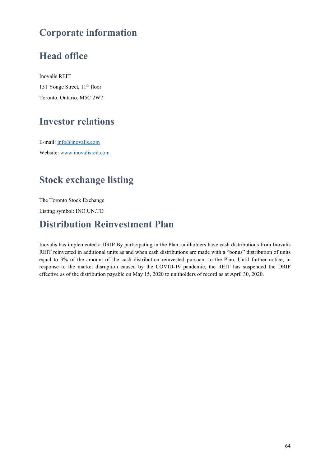# **Corporate information**

# **Head office**

Inovalis REIT 151 Yonge Street, 11th floor Toronto, Ontario, M5C 2W7

# **Investor relations**

E-mail: [info@inovalis.com](mailto:info@inovalis.com) Website: [www.inovalisreit.com](http://www.inovalisreit.com/)

# **Stock exchange listing**

The Toronto Stock Exchange

Listing symbol: INO.UN.TO

# **Distribution Reinvestment Plan**

Inovalis has implemented a DRIP By participating in the Plan, unitholders have cash distributions from Inovalis REIT reinvested in additional units as and when cash distributions are made with a "bonus" distribution of units equal to 3% of the amount of the cash distribution reinvested pursuant to the Plan. Until further notice, in response to the market disruption caused by the COVID-19 pandemic, the REIT has suspended the DRIP effective as of the distribution payable on May 15, 2020 to unitholders of record as at April 30, 2020.